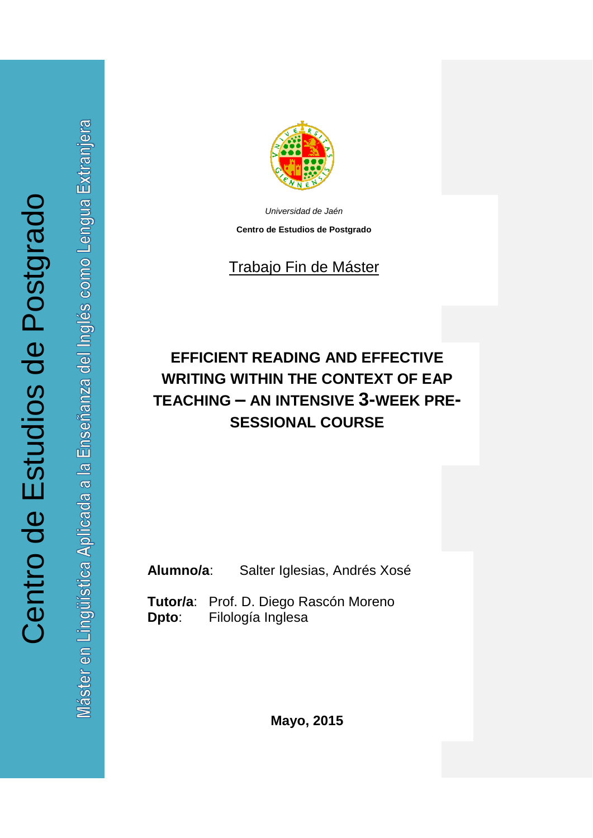Inglés como Lengua Extranjera Máster en Lingüística Aplicada a la Enseñanza del



*Universidad de Jaén*

**Centro de Estudios de Postgrado**

# Trabajo Fin de Máster

# **EFFICIENT READING AND EFFECTIVE WRITING WITHIN THE CONTEXT OF EAP TEACHING – AN INTENSIVE 3-WEEK PRE-SESSIONAL COURSE**

**Alumno/a**: Salter Iglesias, Andrés Xosé

**Tutor/a**: Prof. D. Diego Rascón Moreno **Dpto**: Filología Inglesa

**Mayo, 2015**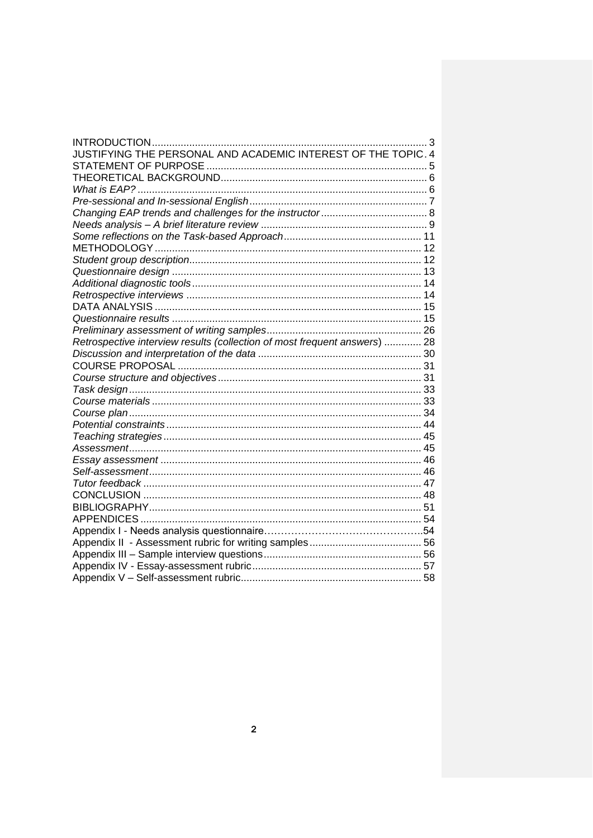| INTRODUCTION<br>. 3                                                       |  |
|---------------------------------------------------------------------------|--|
| JUSTIFYING THE PERSONAL AND ACADEMIC INTEREST OF THE TOPIC. 4             |  |
|                                                                           |  |
|                                                                           |  |
|                                                                           |  |
|                                                                           |  |
|                                                                           |  |
|                                                                           |  |
|                                                                           |  |
|                                                                           |  |
|                                                                           |  |
|                                                                           |  |
|                                                                           |  |
|                                                                           |  |
|                                                                           |  |
|                                                                           |  |
|                                                                           |  |
| Retrospective interview results (collection of most frequent answers)  28 |  |
|                                                                           |  |
|                                                                           |  |
|                                                                           |  |
|                                                                           |  |
|                                                                           |  |
|                                                                           |  |
|                                                                           |  |
|                                                                           |  |
|                                                                           |  |
|                                                                           |  |
|                                                                           |  |
|                                                                           |  |
|                                                                           |  |
|                                                                           |  |
|                                                                           |  |
|                                                                           |  |
|                                                                           |  |
|                                                                           |  |
|                                                                           |  |
|                                                                           |  |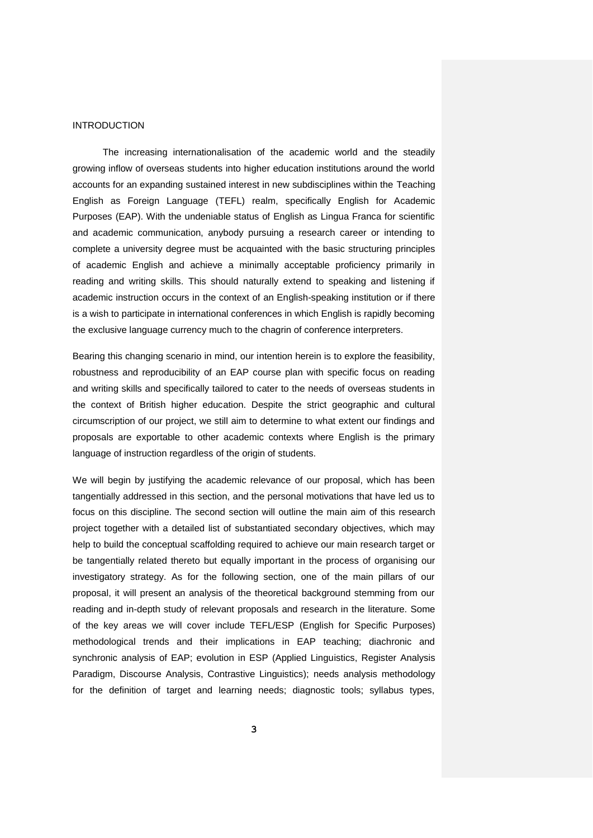#### **INTRODUCTION**

The increasing internationalisation of the academic world and the steadily growing inflow of overseas students into higher education institutions around the world accounts for an expanding sustained interest in new subdisciplines within the Teaching English as Foreign Language (TEFL) realm, specifically English for Academic Purposes (EAP). With the undeniable status of English as Lingua Franca for scientific and academic communication, anybody pursuing a research career or intending to complete a university degree must be acquainted with the basic structuring principles of academic English and achieve a minimally acceptable proficiency primarily in reading and writing skills. This should naturally extend to speaking and listening if academic instruction occurs in the context of an English-speaking institution or if there is a wish to participate in international conferences in which English is rapidly becoming the exclusive language currency much to the chagrin of conference interpreters.

Bearing this changing scenario in mind, our intention herein is to explore the feasibility, robustness and reproducibility of an EAP course plan with specific focus on reading and writing skills and specifically tailored to cater to the needs of overseas students in the context of British higher education. Despite the strict geographic and cultural circumscription of our project, we still aim to determine to what extent our findings and proposals are exportable to other academic contexts where English is the primary language of instruction regardless of the origin of students.

We will begin by justifying the academic relevance of our proposal, which has been tangentially addressed in this section, and the personal motivations that have led us to focus on this discipline. The second section will outline the main aim of this research project together with a detailed list of substantiated secondary objectives, which may help to build the conceptual scaffolding required to achieve our main research target or be tangentially related thereto but equally important in the process of organising our investigatory strategy. As for the following section, one of the main pillars of our proposal, it will present an analysis of the theoretical background stemming from our reading and in-depth study of relevant proposals and research in the literature. Some of the key areas we will cover include TEFL/ESP (English for Specific Purposes) methodological trends and their implications in EAP teaching; diachronic and synchronic analysis of EAP; evolution in ESP (Applied Linguistics, Register Analysis Paradigm, Discourse Analysis, Contrastive Linguistics); needs analysis methodology for the definition of target and learning needs; diagnostic tools; syllabus types,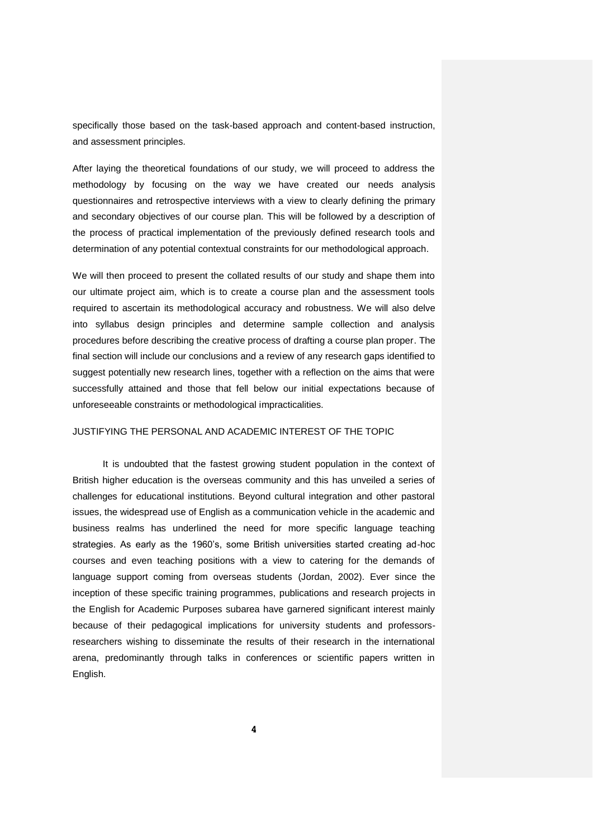specifically those based on the task-based approach and content-based instruction, and assessment principles.

After laying the theoretical foundations of our study, we will proceed to address the methodology by focusing on the way we have created our needs analysis questionnaires and retrospective interviews with a view to clearly defining the primary and secondary objectives of our course plan. This will be followed by a description of the process of practical implementation of the previously defined research tools and determination of any potential contextual constraints for our methodological approach.

We will then proceed to present the collated results of our study and shape them into our ultimate project aim, which is to create a course plan and the assessment tools required to ascertain its methodological accuracy and robustness. We will also delve into syllabus design principles and determine sample collection and analysis procedures before describing the creative process of drafting a course plan proper. The final section will include our conclusions and a review of any research gaps identified to suggest potentially new research lines, together with a reflection on the aims that were successfully attained and those that fell below our initial expectations because of unforeseeable constraints or methodological impracticalities.

## JUSTIFYING THE PERSONAL AND ACADEMIC INTEREST OF THE TOPIC

It is undoubted that the fastest growing student population in the context of British higher education is the overseas community and this has unveiled a series of challenges for educational institutions. Beyond cultural integration and other pastoral issues, the widespread use of English as a communication vehicle in the academic and business realms has underlined the need for more specific language teaching strategies. As early as the 1960's, some British universities started creating ad-hoc courses and even teaching positions with a view to catering for the demands of language support coming from overseas students (Jordan, 2002). Ever since the inception of these specific training programmes, publications and research projects in the English for Academic Purposes subarea have garnered significant interest mainly because of their pedagogical implications for university students and professorsresearchers wishing to disseminate the results of their research in the international arena, predominantly through talks in conferences or scientific papers written in English.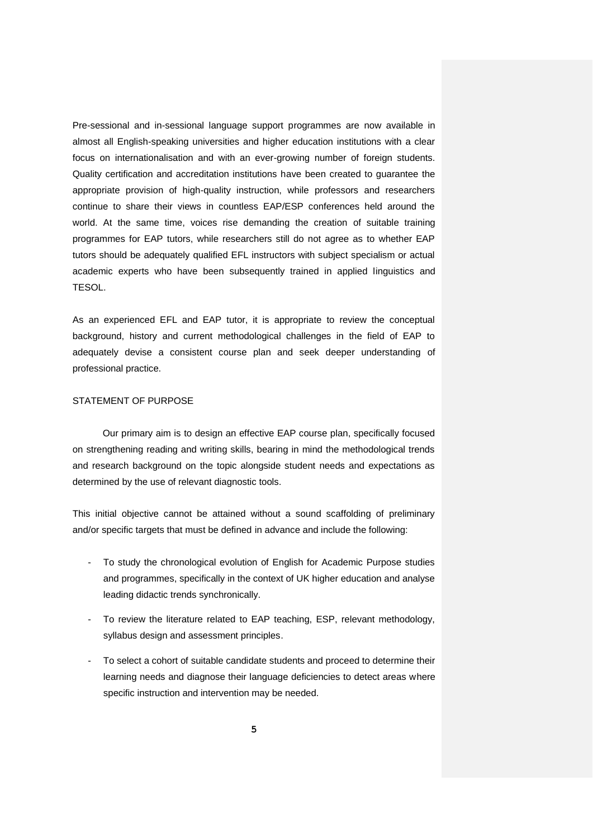Pre-sessional and in-sessional language support programmes are now available in almost all English-speaking universities and higher education institutions with a clear focus on internationalisation and with an ever-growing number of foreign students. Quality certification and accreditation institutions have been created to guarantee the appropriate provision of high-quality instruction, while professors and researchers continue to share their views in countless EAP/ESP conferences held around the world. At the same time, voices rise demanding the creation of suitable training programmes for EAP tutors, while researchers still do not agree as to whether EAP tutors should be adequately qualified EFL instructors with subject specialism or actual academic experts who have been subsequently trained in applied linguistics and TESOL.

As an experienced EFL and EAP tutor, it is appropriate to review the conceptual background, history and current methodological challenges in the field of EAP to adequately devise a consistent course plan and seek deeper understanding of professional practice.

## STATEMENT OF PURPOSE

Our primary aim is to design an effective EAP course plan, specifically focused on strengthening reading and writing skills, bearing in mind the methodological trends and research background on the topic alongside student needs and expectations as determined by the use of relevant diagnostic tools.

This initial objective cannot be attained without a sound scaffolding of preliminary and/or specific targets that must be defined in advance and include the following:

- To study the chronological evolution of English for Academic Purpose studies and programmes, specifically in the context of UK higher education and analyse leading didactic trends synchronically.
- To review the literature related to EAP teaching, ESP, relevant methodology, syllabus design and assessment principles.
- To select a cohort of suitable candidate students and proceed to determine their learning needs and diagnose their language deficiencies to detect areas where specific instruction and intervention may be needed.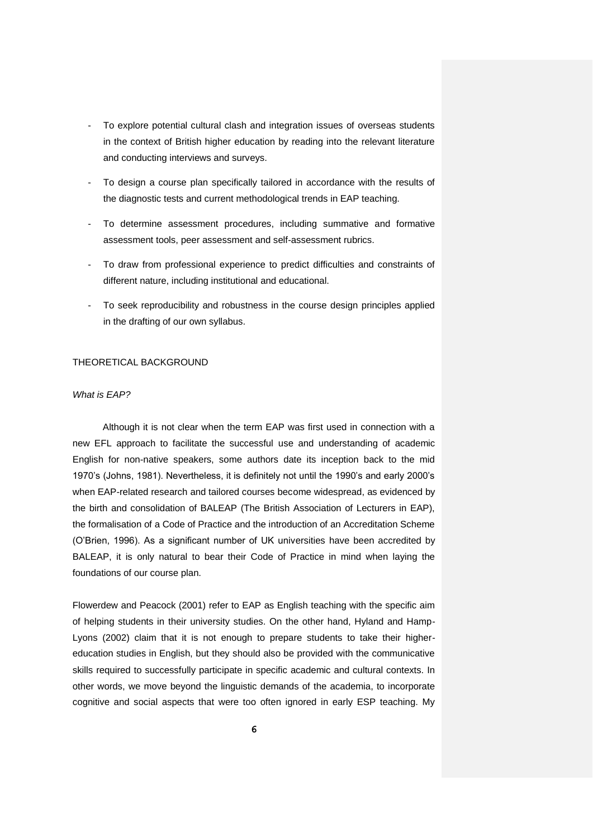- To explore potential cultural clash and integration issues of overseas students in the context of British higher education by reading into the relevant literature and conducting interviews and surveys.
- To design a course plan specifically tailored in accordance with the results of the diagnostic tests and current methodological trends in EAP teaching.
- To determine assessment procedures, including summative and formative assessment tools, peer assessment and self-assessment rubrics.
- To draw from professional experience to predict difficulties and constraints of different nature, including institutional and educational.
- To seek reproducibility and robustness in the course design principles applied in the drafting of our own syllabus.

#### THEORETICAL BACKGROUND

#### *What is EAP?*

Although it is not clear when the term EAP was first used in connection with a new EFL approach to facilitate the successful use and understanding of academic English for non-native speakers, some authors date its inception back to the mid 1970's (Johns, 1981). Nevertheless, it is definitely not until the 1990's and early 2000's when EAP-related research and tailored courses become widespread, as evidenced by the birth and consolidation of BALEAP (The British Association of Lecturers in EAP), the formalisation of a Code of Practice and the introduction of an Accreditation Scheme (O'Brien, 1996). As a significant number of UK universities have been accredited by BALEAP, it is only natural to bear their Code of Practice in mind when laying the foundations of our course plan.

Flowerdew and Peacock (2001) refer to EAP as English teaching with the specific aim of helping students in their university studies. On the other hand, Hyland and Hamp-Lyons (2002) claim that it is not enough to prepare students to take their highereducation studies in English, but they should also be provided with the communicative skills required to successfully participate in specific academic and cultural contexts. In other words, we move beyond the linguistic demands of the academia, to incorporate cognitive and social aspects that were too often ignored in early ESP teaching. My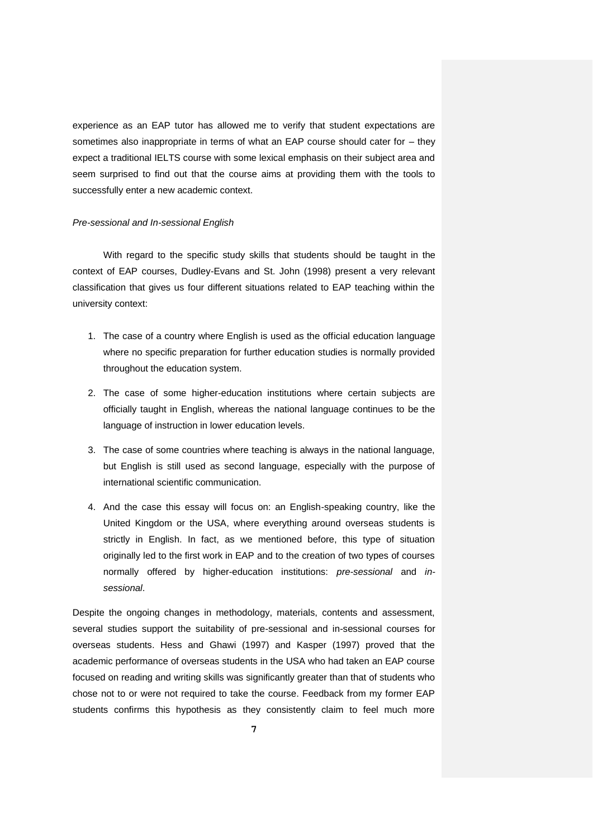experience as an EAP tutor has allowed me to verify that student expectations are sometimes also inappropriate in terms of what an EAP course should cater for – they expect a traditional IELTS course with some lexical emphasis on their subject area and seem surprised to find out that the course aims at providing them with the tools to successfully enter a new academic context.

#### *Pre-sessional and In-sessional English*

With regard to the specific study skills that students should be taught in the context of EAP courses, Dudley-Evans and St. John (1998) present a very relevant classification that gives us four different situations related to EAP teaching within the university context:

- 1. The case of a country where English is used as the official education language where no specific preparation for further education studies is normally provided throughout the education system.
- 2. The case of some higher-education institutions where certain subjects are officially taught in English, whereas the national language continues to be the language of instruction in lower education levels.
- 3. The case of some countries where teaching is always in the national language, but English is still used as second language, especially with the purpose of international scientific communication.
- 4. And the case this essay will focus on: an English-speaking country, like the United Kingdom or the USA, where everything around overseas students is strictly in English. In fact, as we mentioned before, this type of situation originally led to the first work in EAP and to the creation of two types of courses normally offered by higher-education institutions: *pre-sessional* and *insessional*.

Despite the ongoing changes in methodology, materials, contents and assessment, several studies support the suitability of pre-sessional and in-sessional courses for overseas students. Hess and Ghawi (1997) and Kasper (1997) proved that the academic performance of overseas students in the USA who had taken an EAP course focused on reading and writing skills was significantly greater than that of students who chose not to or were not required to take the course. Feedback from my former EAP students confirms this hypothesis as they consistently claim to feel much more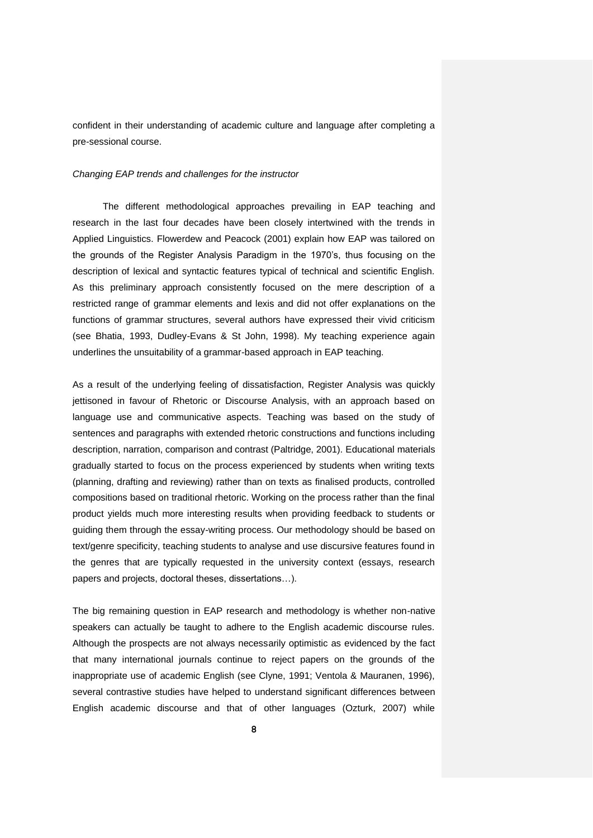confident in their understanding of academic culture and language after completing a pre-sessional course.

#### *Changing EAP trends and challenges for the instructor*

The different methodological approaches prevailing in EAP teaching and research in the last four decades have been closely intertwined with the trends in Applied Linguistics. Flowerdew and Peacock (2001) explain how EAP was tailored on the grounds of the Register Analysis Paradigm in the 1970's, thus focusing on the description of lexical and syntactic features typical of technical and scientific English. As this preliminary approach consistently focused on the mere description of a restricted range of grammar elements and lexis and did not offer explanations on the functions of grammar structures, several authors have expressed their vivid criticism (see Bhatia, 1993, Dudley-Evans & St John, 1998). My teaching experience again underlines the unsuitability of a grammar-based approach in EAP teaching.

As a result of the underlying feeling of dissatisfaction, Register Analysis was quickly jettisoned in favour of Rhetoric or Discourse Analysis, with an approach based on language use and communicative aspects. Teaching was based on the study of sentences and paragraphs with extended rhetoric constructions and functions including description, narration, comparison and contrast (Paltridge, 2001). Educational materials gradually started to focus on the process experienced by students when writing texts (planning, drafting and reviewing) rather than on texts as finalised products, controlled compositions based on traditional rhetoric. Working on the process rather than the final product yields much more interesting results when providing feedback to students or guiding them through the essay-writing process. Our methodology should be based on text/genre specificity, teaching students to analyse and use discursive features found in the genres that are typically requested in the university context (essays, research papers and projects, doctoral theses, dissertations…).

The big remaining question in EAP research and methodology is whether non-native speakers can actually be taught to adhere to the English academic discourse rules. Although the prospects are not always necessarily optimistic as evidenced by the fact that many international journals continue to reject papers on the grounds of the inappropriate use of academic English (see Clyne, 1991; Ventola & Mauranen, 1996), several contrastive studies have helped to understand significant differences between English academic discourse and that of other languages (Ozturk, 2007) while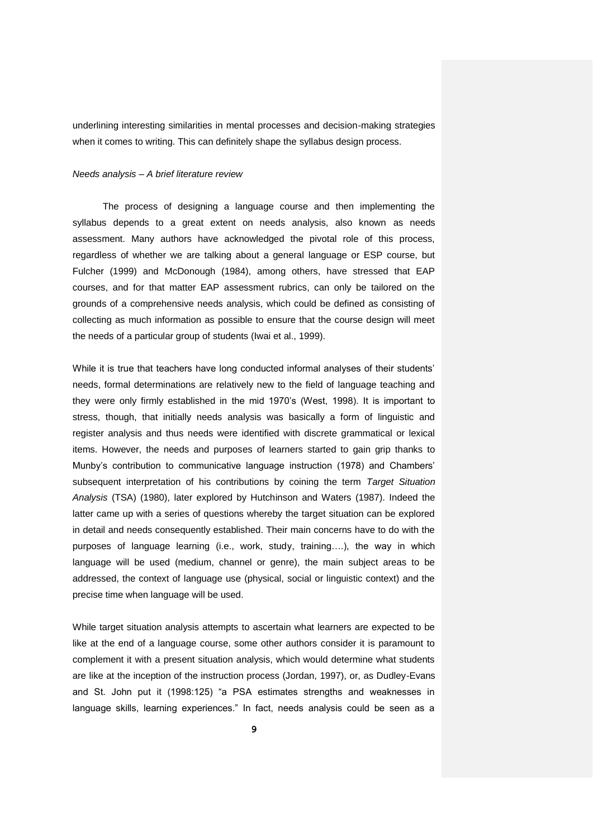underlining interesting similarities in mental processes and decision-making strategies when it comes to writing. This can definitely shape the syllabus design process.

#### *Needs analysis – A brief literature review*

The process of designing a language course and then implementing the syllabus depends to a great extent on needs analysis, also known as needs assessment. Many authors have acknowledged the pivotal role of this process, regardless of whether we are talking about a general language or ESP course, but Fulcher (1999) and McDonough (1984), among others, have stressed that EAP courses, and for that matter EAP assessment rubrics, can only be tailored on the grounds of a comprehensive needs analysis, which could be defined as consisting of collecting as much information as possible to ensure that the course design will meet the needs of a particular group of students (Iwai et al., 1999).

While it is true that teachers have long conducted informal analyses of their students' needs, formal determinations are relatively new to the field of language teaching and they were only firmly established in the mid 1970's (West, 1998). It is important to stress, though, that initially needs analysis was basically a form of linguistic and register analysis and thus needs were identified with discrete grammatical or lexical items. However, the needs and purposes of learners started to gain grip thanks to Munby's contribution to communicative language instruction (1978) and Chambers' subsequent interpretation of his contributions by coining the term *Target Situation Analysis* (TSA) (1980), later explored by Hutchinson and Waters (1987). Indeed the latter came up with a series of questions whereby the target situation can be explored in detail and needs consequently established. Their main concerns have to do with the purposes of language learning (i.e., work, study, training….), the way in which language will be used (medium, channel or genre), the main subject areas to be addressed, the context of language use (physical, social or linguistic context) and the precise time when language will be used.

While target situation analysis attempts to ascertain what learners are expected to be like at the end of a language course, some other authors consider it is paramount to complement it with a present situation analysis, which would determine what students are like at the inception of the instruction process (Jordan, 1997), or, as Dudley-Evans and St. John put it (1998:125) "a PSA estimates strengths and weaknesses in language skills, learning experiences." In fact, needs analysis could be seen as a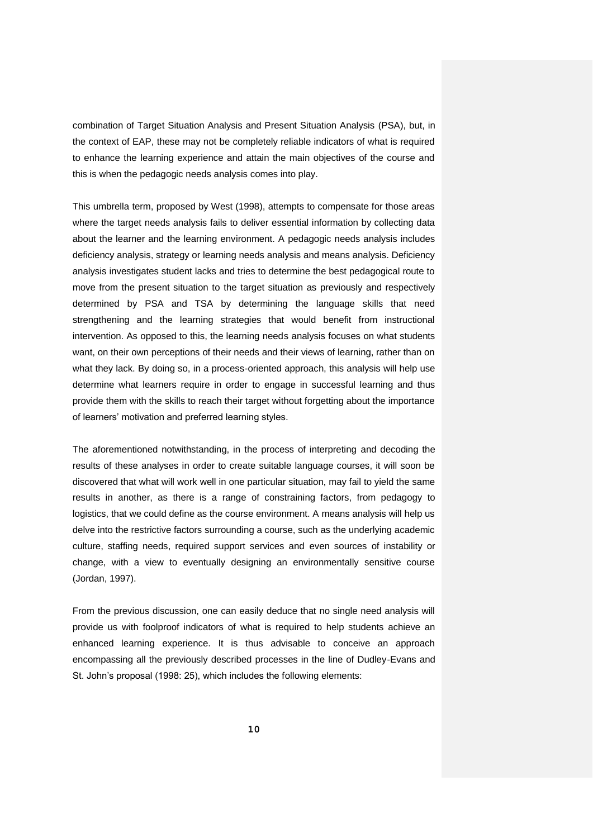combination of Target Situation Analysis and Present Situation Analysis (PSA), but, in the context of EAP, these may not be completely reliable indicators of what is required to enhance the learning experience and attain the main objectives of the course and this is when the pedagogic needs analysis comes into play.

This umbrella term, proposed by West (1998), attempts to compensate for those areas where the target needs analysis fails to deliver essential information by collecting data about the learner and the learning environment. A pedagogic needs analysis includes deficiency analysis, strategy or learning needs analysis and means analysis. Deficiency analysis investigates student lacks and tries to determine the best pedagogical route to move from the present situation to the target situation as previously and respectively determined by PSA and TSA by determining the language skills that need strengthening and the learning strategies that would benefit from instructional intervention. As opposed to this, the learning needs analysis focuses on what students want, on their own perceptions of their needs and their views of learning, rather than on what they lack. By doing so, in a process-oriented approach, this analysis will help use determine what learners require in order to engage in successful learning and thus provide them with the skills to reach their target without forgetting about the importance of learners' motivation and preferred learning styles.

The aforementioned notwithstanding, in the process of interpreting and decoding the results of these analyses in order to create suitable language courses, it will soon be discovered that what will work well in one particular situation, may fail to yield the same results in another, as there is a range of constraining factors, from pedagogy to logistics, that we could define as the course environment. A means analysis will help us delve into the restrictive factors surrounding a course, such as the underlying academic culture, staffing needs, required support services and even sources of instability or change, with a view to eventually designing an environmentally sensitive course (Jordan, 1997).

From the previous discussion, one can easily deduce that no single need analysis will provide us with foolproof indicators of what is required to help students achieve an enhanced learning experience. It is thus advisable to conceive an approach encompassing all the previously described processes in the line of Dudley-Evans and St. John's proposal (1998: 25), which includes the following elements: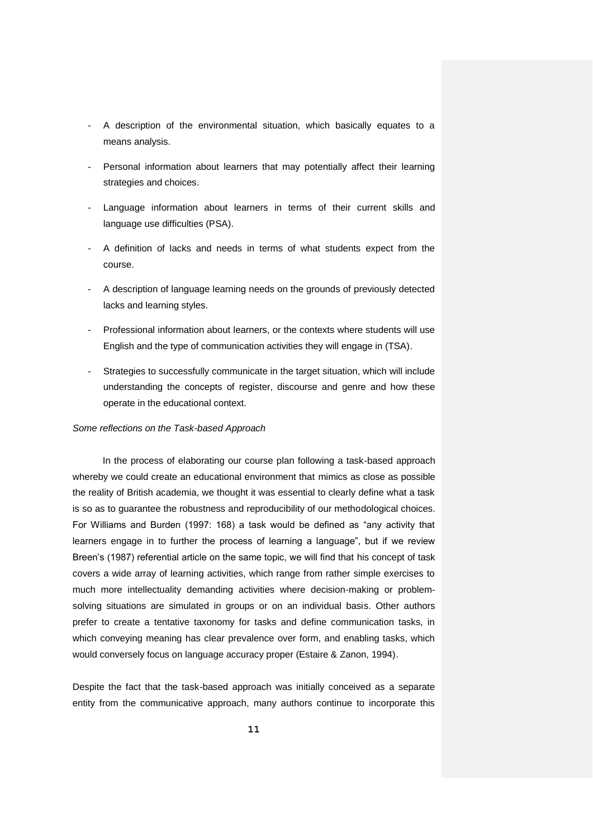- A description of the environmental situation, which basically equates to a means analysis.
- Personal information about learners that may potentially affect their learning strategies and choices.
- Language information about learners in terms of their current skills and language use difficulties (PSA).
- A definition of lacks and needs in terms of what students expect from the course.
- A description of language learning needs on the grounds of previously detected lacks and learning styles.
- Professional information about learners, or the contexts where students will use English and the type of communication activities they will engage in (TSA).
- Strategies to successfully communicate in the target situation, which will include understanding the concepts of register, discourse and genre and how these operate in the educational context.

#### *Some reflections on the Task-based Approach*

In the process of elaborating our course plan following a task-based approach whereby we could create an educational environment that mimics as close as possible the reality of British academia, we thought it was essential to clearly define what a task is so as to guarantee the robustness and reproducibility of our methodological choices. For Williams and Burden (1997: 168) a task would be defined as "any activity that learners engage in to further the process of learning a language", but if we review Breen's (1987) referential article on the same topic, we will find that his concept of task covers a wide array of learning activities, which range from rather simple exercises to much more intellectuality demanding activities where decision-making or problemsolving situations are simulated in groups or on an individual basis. Other authors prefer to create a tentative taxonomy for tasks and define communication tasks, in which conveying meaning has clear prevalence over form, and enabling tasks, which would conversely focus on language accuracy proper (Estaire & Zanon, 1994).

Despite the fact that the task-based approach was initially conceived as a separate entity from the communicative approach, many authors continue to incorporate this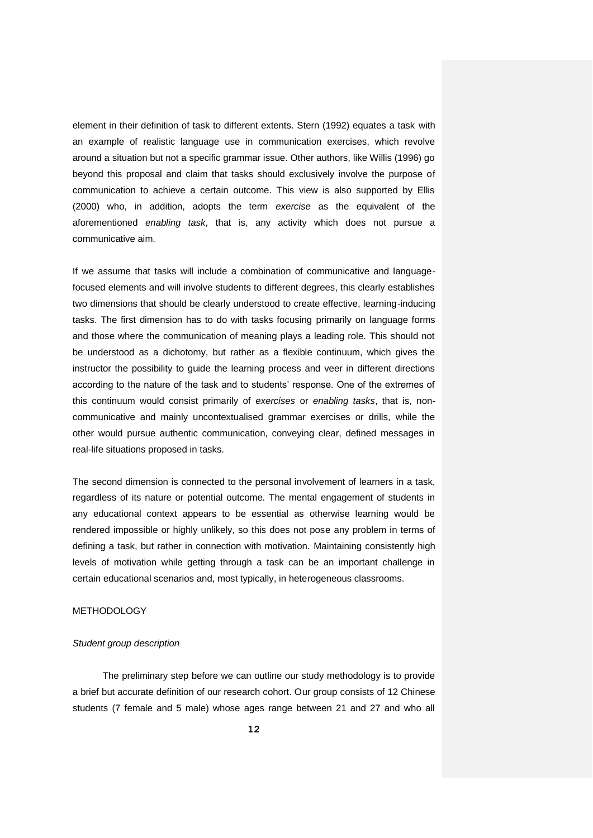element in their definition of task to different extents. Stern (1992) equates a task with an example of realistic language use in communication exercises, which revolve around a situation but not a specific grammar issue. Other authors, like Willis (1996) go beyond this proposal and claim that tasks should exclusively involve the purpose of communication to achieve a certain outcome. This view is also supported by Ellis (2000) who, in addition, adopts the term *exercise* as the equivalent of the aforementioned *enabling task*, that is, any activity which does not pursue a communicative aim.

If we assume that tasks will include a combination of communicative and languagefocused elements and will involve students to different degrees, this clearly establishes two dimensions that should be clearly understood to create effective, learning-inducing tasks. The first dimension has to do with tasks focusing primarily on language forms and those where the communication of meaning plays a leading role. This should not be understood as a dichotomy, but rather as a flexible continuum, which gives the instructor the possibility to guide the learning process and veer in different directions according to the nature of the task and to students' response. One of the extremes of this continuum would consist primarily of *exercises* or *enabling tasks*, that is, noncommunicative and mainly uncontextualised grammar exercises or drills, while the other would pursue authentic communication, conveying clear, defined messages in real-life situations proposed in tasks.

The second dimension is connected to the personal involvement of learners in a task, regardless of its nature or potential outcome. The mental engagement of students in any educational context appears to be essential as otherwise learning would be rendered impossible or highly unlikely, so this does not pose any problem in terms of defining a task, but rather in connection with motivation. Maintaining consistently high levels of motivation while getting through a task can be an important challenge in certain educational scenarios and, most typically, in heterogeneous classrooms.

#### METHODOLOGY

#### *Student group description*

The preliminary step before we can outline our study methodology is to provide a brief but accurate definition of our research cohort. Our group consists of 12 Chinese students (7 female and 5 male) whose ages range between 21 and 27 and who all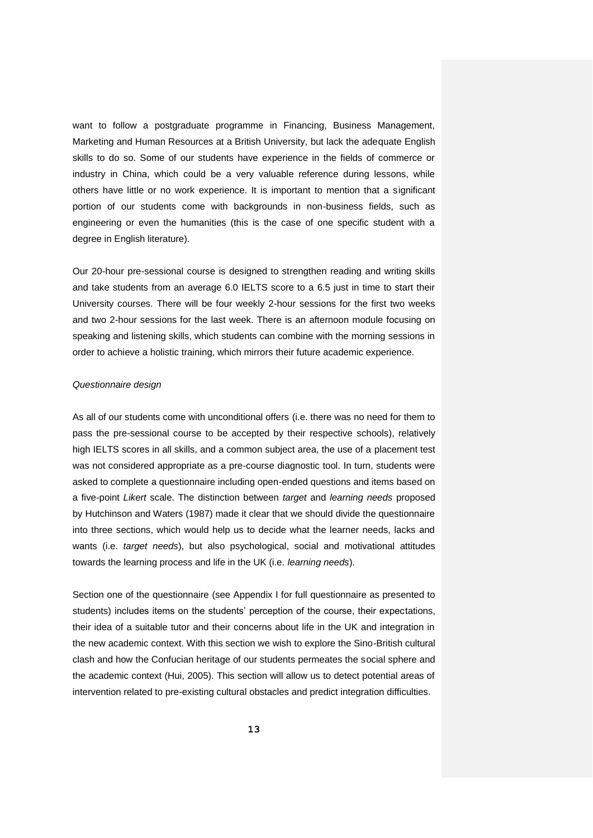want to follow a postgraduate programme in Financing, Business Management, Marketing and Human Resources at a British University, but lack the adequate English skills to do so. Some of our students have experience in the fields of commerce or industry in China, which could be a very valuable reference during lessons, while others have little or no work experience. It is important to mention that a significant portion of our students come with backgrounds in non-business fields, such as engineering or even the humanities (this is the case of one specific student with a degree in English literature).

Our 20-hour pre-sessional course is designed to strengthen reading and writing skills and take students from an average 6.0 IELTS score to a 6.5 just in time to start their University courses. There will be four weekly 2-hour sessions for the first two weeks and two 2-hour sessions for the last week. There is an afternoon module focusing on speaking and listening skills, which students can combine with the morning sessions in order to achieve a holistic training, which mirrors their future academic experience.

#### *Questionnaire design*

As all of our students come with unconditional offers (i.e. there was no need for them to pass the pre-sessional course to be accepted by their respective schools), relatively high IELTS scores in all skills, and a common subject area, the use of a placement test was not considered appropriate as a pre-course diagnostic tool. In turn, students were asked to complete a questionnaire including open-ended questions and items based on a five-point *Likert* scale. The distinction between *target* and *learning needs* proposed by Hutchinson and Waters (1987) made it clear that we should divide the questionnaire into three sections, which would help us to decide what the learner needs, lacks and wants (i.e. *target needs*), but also psychological, social and motivational attitudes towards the learning process and life in the UK (i.e. *learning needs*).

Section one of the questionnaire (see Appendix I for full questionnaire as presented to students) includes items on the students' perception of the course, their expectations, their idea of a suitable tutor and their concerns about life in the UK and integration in the new academic context. With this section we wish to explore the Sino-British cultural clash and how the Confucian heritage of our students permeates the social sphere and the academic context (Hui, 2005). This section will allow us to detect potential areas of intervention related to pre-existing cultural obstacles and predict integration difficulties.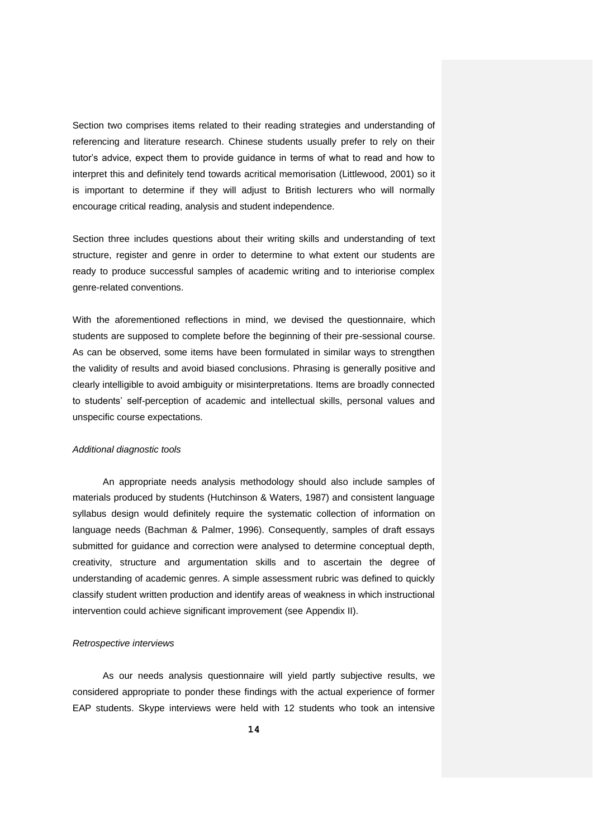Section two comprises items related to their reading strategies and understanding of referencing and literature research. Chinese students usually prefer to rely on their tutor's advice, expect them to provide guidance in terms of what to read and how to interpret this and definitely tend towards acritical memorisation (Littlewood, 2001) so it is important to determine if they will adjust to British lecturers who will normally encourage critical reading, analysis and student independence.

Section three includes questions about their writing skills and understanding of text structure, register and genre in order to determine to what extent our students are ready to produce successful samples of academic writing and to interiorise complex genre-related conventions.

With the aforementioned reflections in mind, we devised the questionnaire, which students are supposed to complete before the beginning of their pre-sessional course. As can be observed, some items have been formulated in similar ways to strengthen the validity of results and avoid biased conclusions. Phrasing is generally positive and clearly intelligible to avoid ambiguity or misinterpretations. Items are broadly connected to students' self-perception of academic and intellectual skills, personal values and unspecific course expectations.

#### *Additional diagnostic tools*

An appropriate needs analysis methodology should also include samples of materials produced by students (Hutchinson & Waters, 1987) and consistent language syllabus design would definitely require the systematic collection of information on language needs (Bachman & Palmer, 1996). Consequently, samples of draft essays submitted for guidance and correction were analysed to determine conceptual depth, creativity, structure and argumentation skills and to ascertain the degree of understanding of academic genres. A simple assessment rubric was defined to quickly classify student written production and identify areas of weakness in which instructional intervention could achieve significant improvement (see Appendix II).

#### *Retrospective interviews*

As our needs analysis questionnaire will yield partly subjective results, we considered appropriate to ponder these findings with the actual experience of former EAP students. Skype interviews were held with 12 students who took an intensive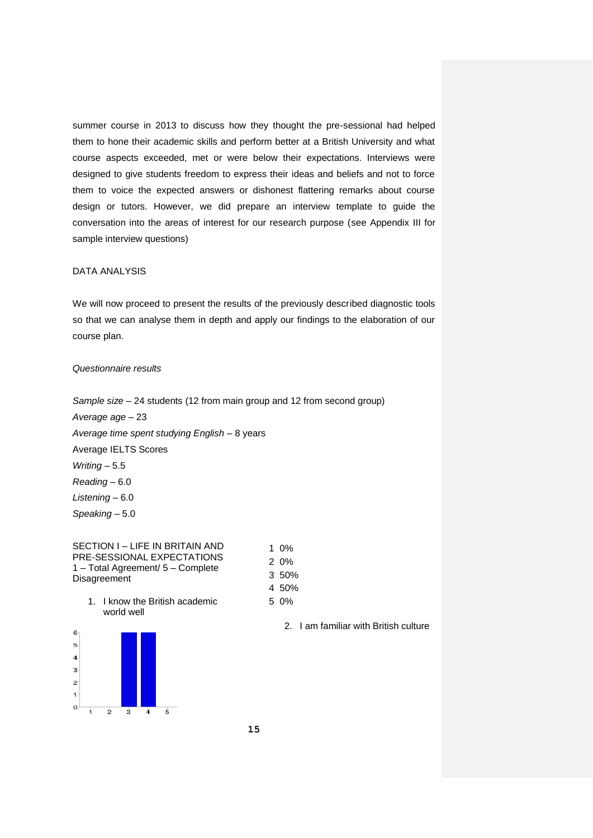summer course in 2013 to discuss how they thought the pre-sessional had helped them to hone their academic skills and perform better at a British University and what course aspects exceeded, met or were below their expectations. Interviews were designed to give students freedom to express their ideas and beliefs and not to force them to voice the expected answers or dishonest flattering remarks about course design or tutors. However, we did prepare an interview template to guide the conversation into the areas of interest for our research purpose (see Appendix III for sample interview questions)

## DATA ANALYSIS

We will now proceed to present the results of the previously described diagnostic tools so that we can analyse them in depth and apply our findings to the elaboration of our course plan.

#### *Questionnaire results*

*Speaking* – 5.0

*Sample size* – 24 students (12 from main group and 12 from second group) *Average age* – 23 *Average time spent studying English* – 8 years Average IELTS Scores *Writing* – 5.5 *Reading* – 6.0 *Listening* – 6.0

SECTION I – LIFE IN BRITAIN AND PRE-SESSIONAL EXPECTATIONS 1 – Total Agreement/ 5 – Complete Disagreement

- 1 0% 2 0% 3 50%
- 1. I know the British academic world well



2. I am familiar with British culture

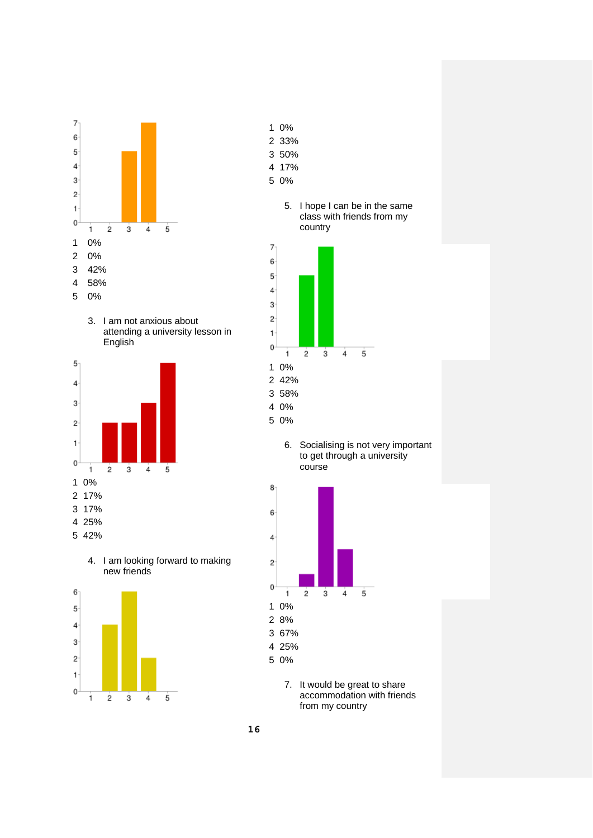

3. I am not anxious about attending a university lesson in English



4. I am looking forward to making new friends



- 0%
- 33%
- 50%
- 17%
- 0%

## 5. I hope I can be in the same class with friends from my country



6. Socialising is not very important to get through a university course



7. It would be great to share accommodation with friends from my country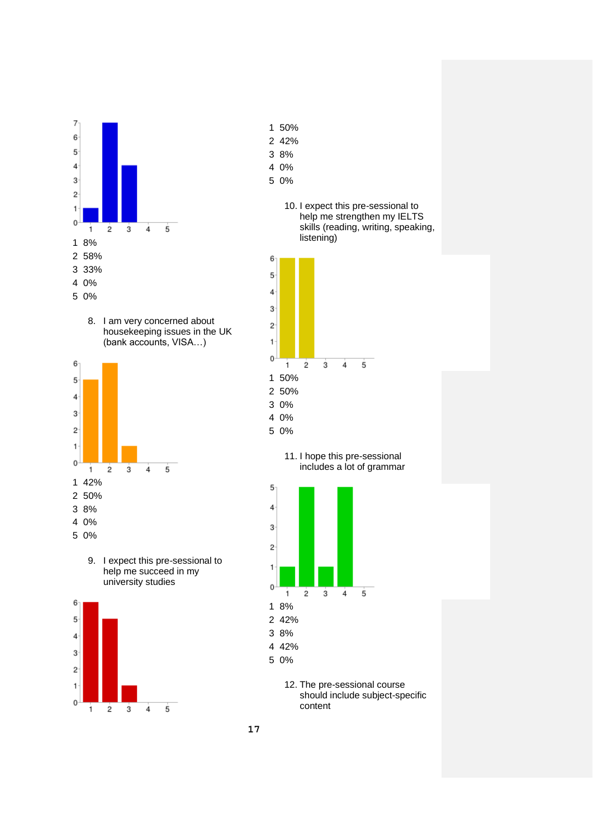

8. I am very concerned about housekeeping issues in the UK (bank accounts, VISA…)



9. I expect this pre-sessional to help me succeed in my university studies



- 50%
- 42%
- 8%
- 0%
- 0%
	- 10. I expect this pre-sessional to help me strengthen my IELTS skills (reading, writing, speaking, listening)



11. I hope this pre-sessional includes a lot of grammar



12. The pre-sessional course should include subject-specific content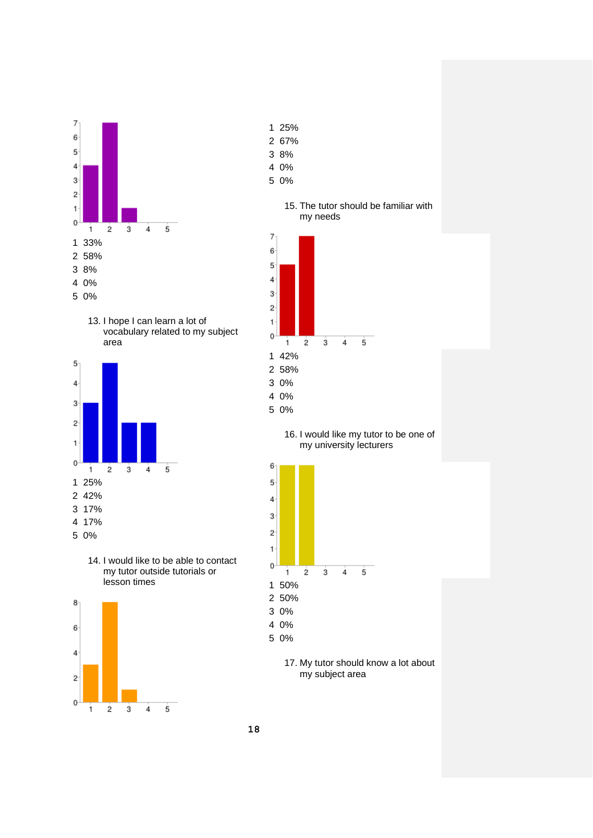

13. I hope I can learn a lot of vocabulary related to my subject area



14. I would like to be able to contact my tutor outside tutorials or lesson times



- 25%
- 67%
- 8%
- 0%
- 0%





16. I would like my tutor to be one of my university lecturers



17. My tutor should know a lot about my subject area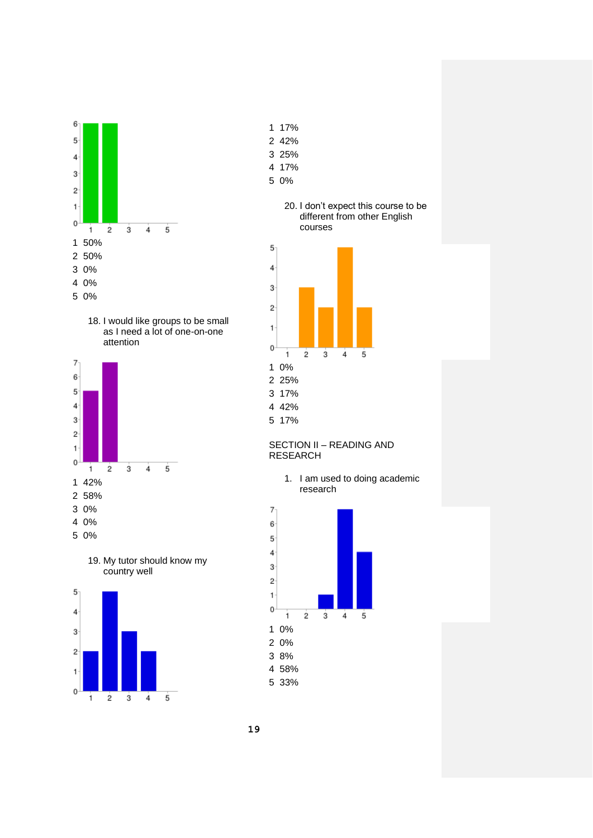

18. I would like groups to be small as I need a lot of one-on-one attention







- 17%
- 42%
- 25%
- 17%
- 0%

#### 20. I don't expect this course to be different from other English courses



42%

17%

## SECTION II – READING AND RESEARCH

1. I am used to doing academic research



- 33%
- 

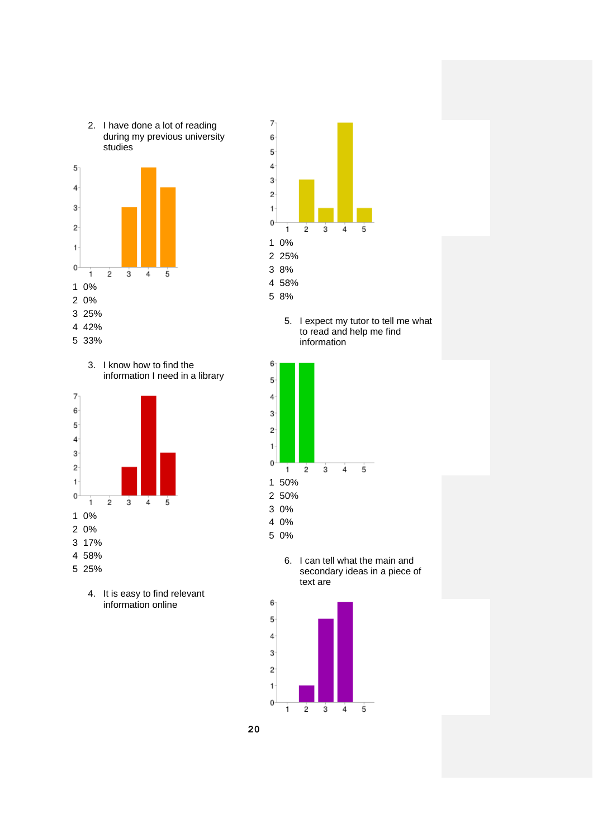







4. It is easy to find relevant information online



5. I expect my tutor to tell me what to read and help me find information



0%

0%

6. I can tell what the main and secondary ideas in a piece of text are



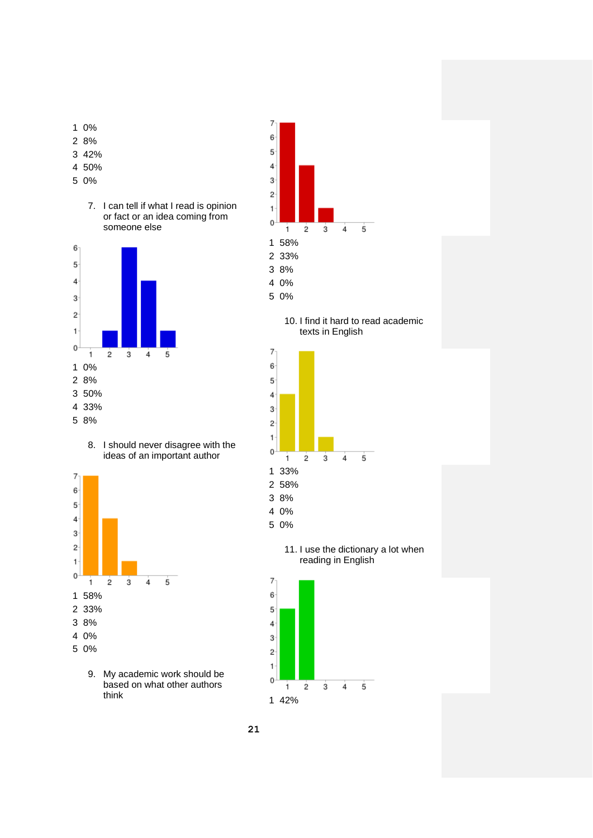- 0%
- 8%
- 42%
- 50%
- 0%
	- 7. I can tell if what I read is opinion or fact or an idea coming from someone else



8. I should never disagree with the ideas of an important author



9. My academic work should be based on what other authors think



10. I find it hard to read academic texts in English



11. I use the dictionary a lot when reading in English

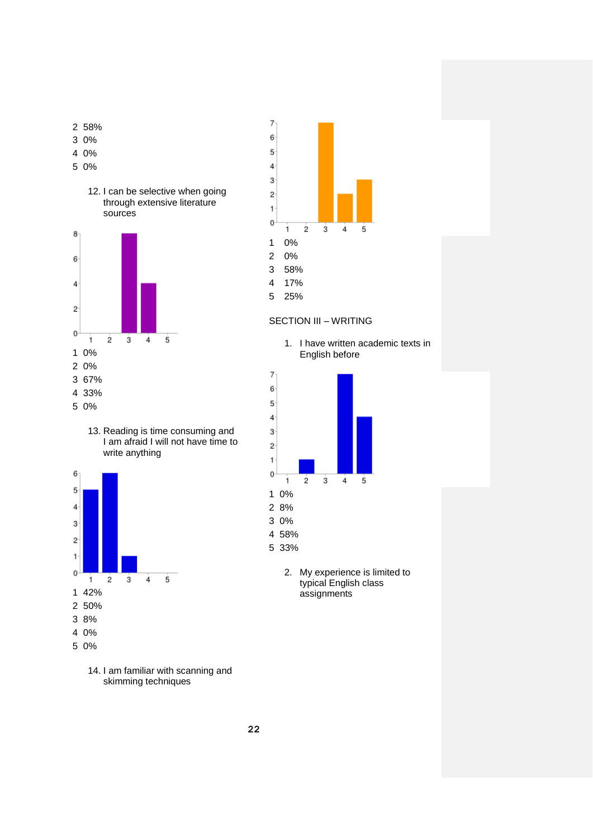





14. I am familiar with scanning and skimming techniques



## SECTION III – WRITING

1. I have written academic texts in English before



2. My experience is limited to typical English class assignments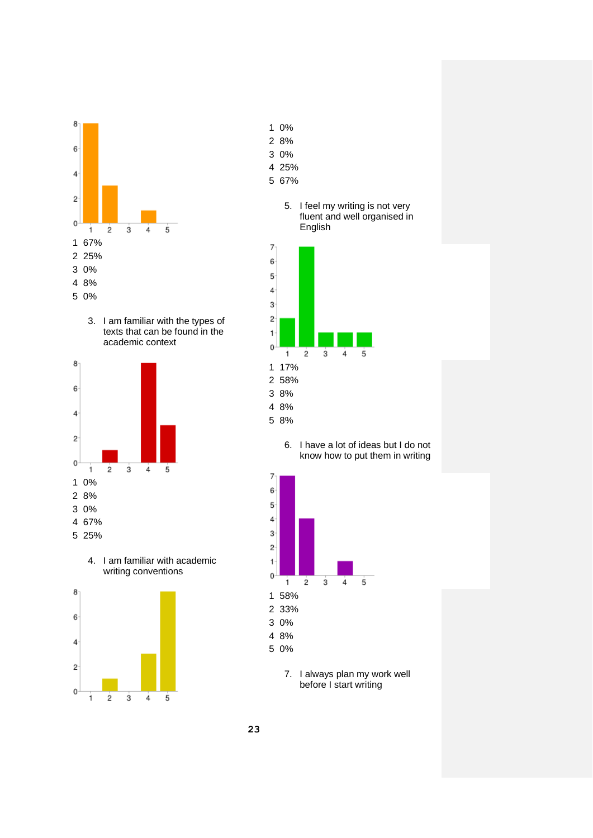

3. I am familiar with the types of texts that can be found in the academic context



4. I am familiar with academic writing conventions



- 0%
- 8%
- 0%
- 25%
- 67%

## 5. I feel my writing is not very fluent and well organised in English



6. I have a lot of ideas but I do not know how to put them in writing



7. I always plan my work well before I start writing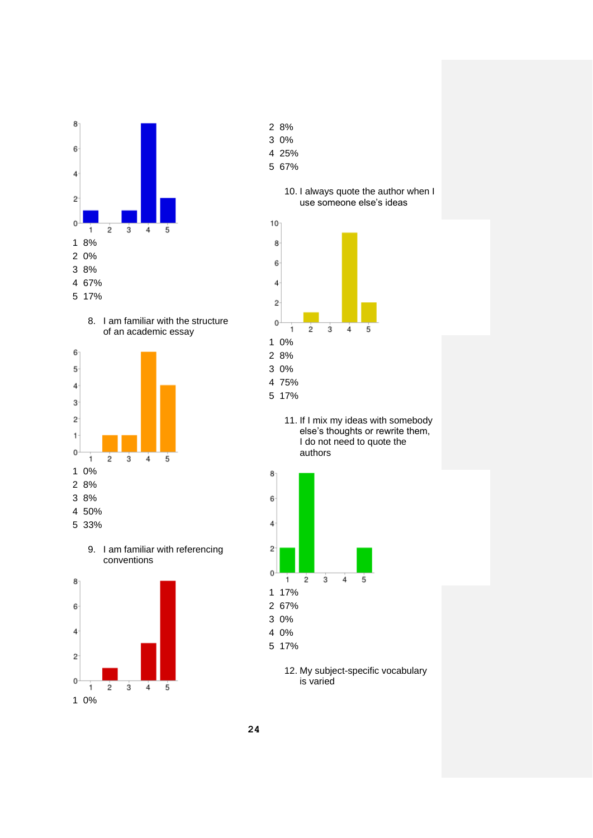









- 8%
- 0%
- 25%
- 67%





11. If I mix my ideas with somebody else's thoughts or rewrite them, I do not need to quote the authors



12. My subject-specific vocabulary is varied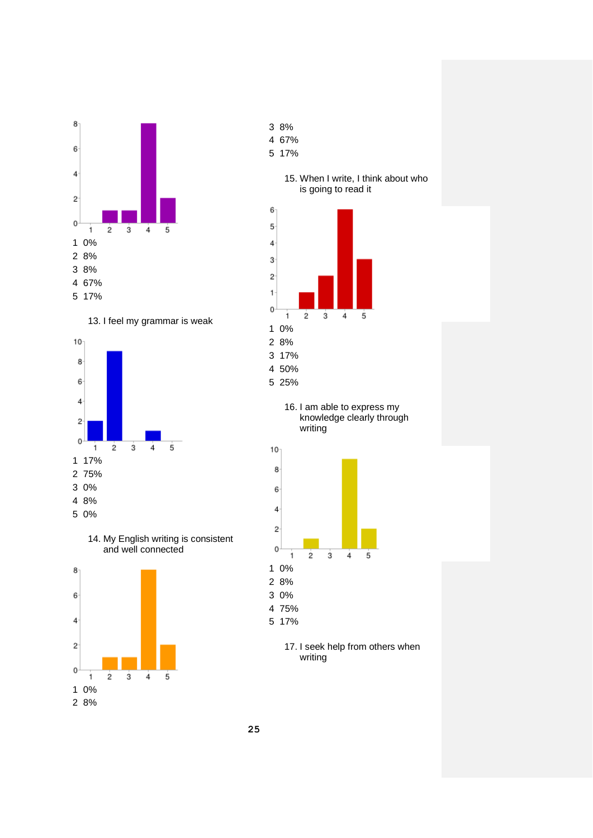





14. My English writing is consistent and well connected



- 8%
- 67%
- 17%





16. I am able to express my knowledge clearly through writing



17. I seek help from others when writing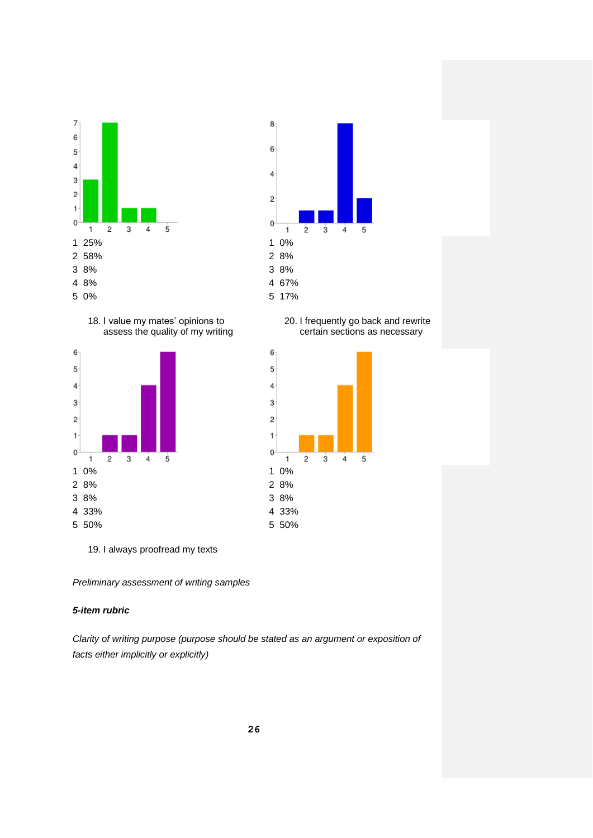







20. I frequently go back and rewrite certain sections as necessary



19. I always proofread my texts

*Preliminary assessment of writing samples*

## *5-item rubric*

*Clarity of writing purpose (purpose should be stated as an argument or exposition of facts either implicitly or explicitly)*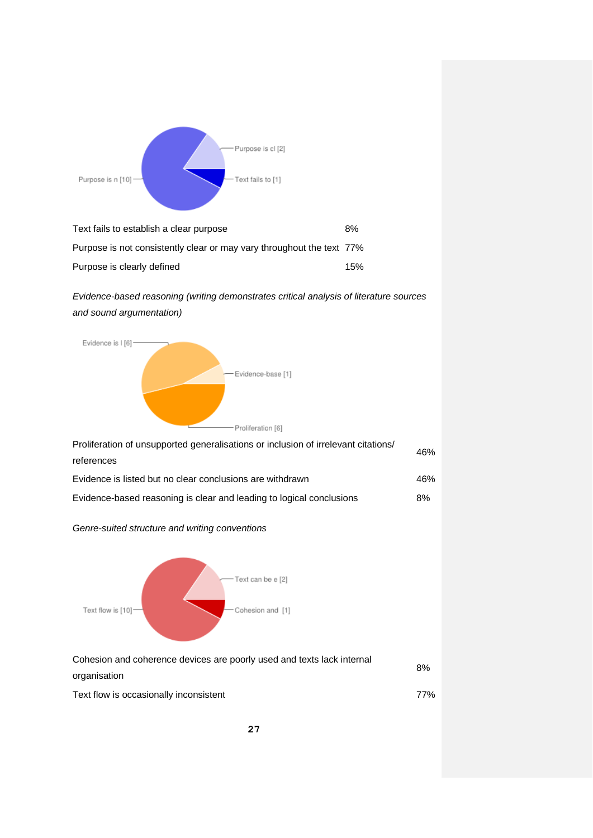

| Text fails to establish a clear purpose                               | 8%  |
|-----------------------------------------------------------------------|-----|
| Purpose is not consistently clear or may vary throughout the text 77% |     |
| Purpose is clearly defined                                            | 15% |

# *Evidence-based reasoning (writing demonstrates critical analysis of literature sources and sound argumentation)*



| Cohesion and coherence devices are poorly used and texts lack internal |     |
|------------------------------------------------------------------------|-----|
| organisation                                                           | 8%  |
| Text flow is occasionally inconsistent                                 | 77% |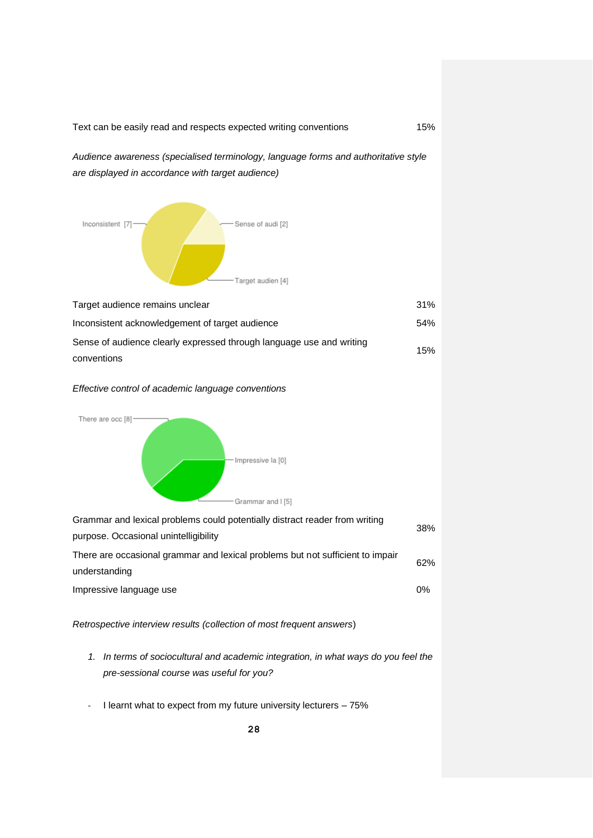Text can be easily read and respects expected writing conventions 15%

*are displayed in accordance with target audience)*

Inconsistent [7] -Sense of audi [2] -Target audien [4] Target audience remains unclear 31% Inconsistent acknowledgement of target audience 54% Sense of audience clearly expressed through language use and writing 15% conventions

*Audience awareness (specialised terminology, language forms and authoritative style* 

#### *Effective control of academic language conventions*



| Grammar and lexical problems could potentially distract reader from writing                     | 38%   |
|-------------------------------------------------------------------------------------------------|-------|
| purpose. Occasional unintelligibility                                                           |       |
| There are occasional grammar and lexical problems but not sufficient to impair<br>understanding | 62%   |
| Impressive language use                                                                         | $0\%$ |
|                                                                                                 |       |

*Retrospective interview results (collection of most frequent answers*)

- *1. In terms of sociocultural and academic integration, in what ways do you feel the pre-sessional course was useful for you?*
- I learnt what to expect from my future university lecturers 75%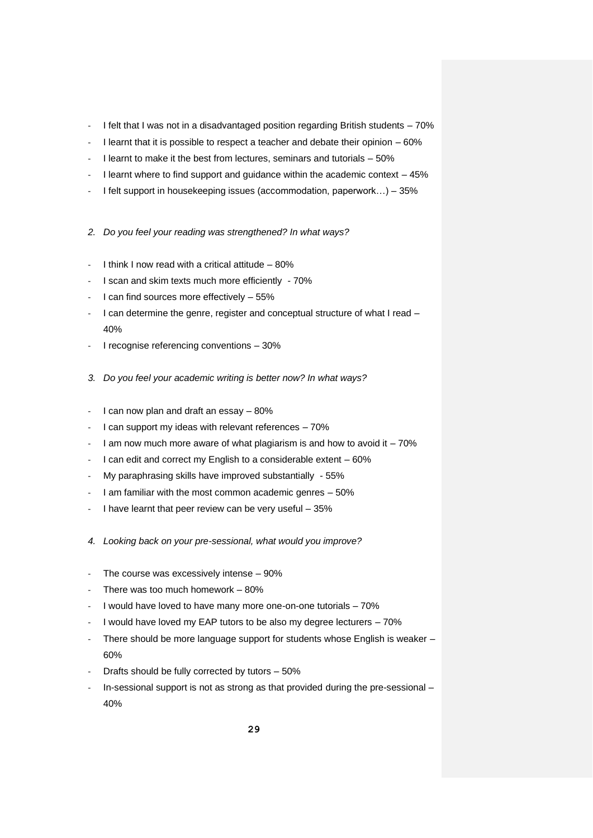- I felt that I was not in a disadvantaged position regarding British students 70%
- I learnt that it is possible to respect a teacher and debate their opinion 60%
- I learnt to make it the best from lectures, seminars and tutorials 50%
- I learnt where to find support and guidance within the academic context  $-45%$
- I felt support in housekeeping issues (accommodation, paperwork...) 35%
- *2. Do you feel your reading was strengthened? In what ways?*
- I think I now read with a critical attitude 80%
- I scan and skim texts much more efficiently 70%
- I can find sources more effectively  $-55%$
- I can determine the genre, register and conceptual structure of what I read 40%
- I recognise referencing conventions 30%
- *3. Do you feel your academic writing is better now? In what ways?*
- I can now plan and draft an essay 80%
- I can support my ideas with relevant references  $-70\%$
- I am now much more aware of what plagiarism is and how to avoid it  $-70\%$
- I can edit and correct my English to a considerable extent 60%
- My paraphrasing skills have improved substantially 55%
- I am familiar with the most common academic genres 50%
- I have learnt that peer review can be very useful  $-35%$
- *4. Looking back on your pre-sessional, what would you improve?*
- The course was excessively intense  $-90\%$
- There was too much homework  $-80\%$
- I would have loved to have many more one-on-one tutorials 70%
- I would have loved my EAP tutors to be also my degree lecturers 70%
- There should be more language support for students whose English is weaker -60%
- Drafts should be fully corrected by tutors  $-50\%$
- In-sessional support is not as strong as that provided during the pre-sessional -40%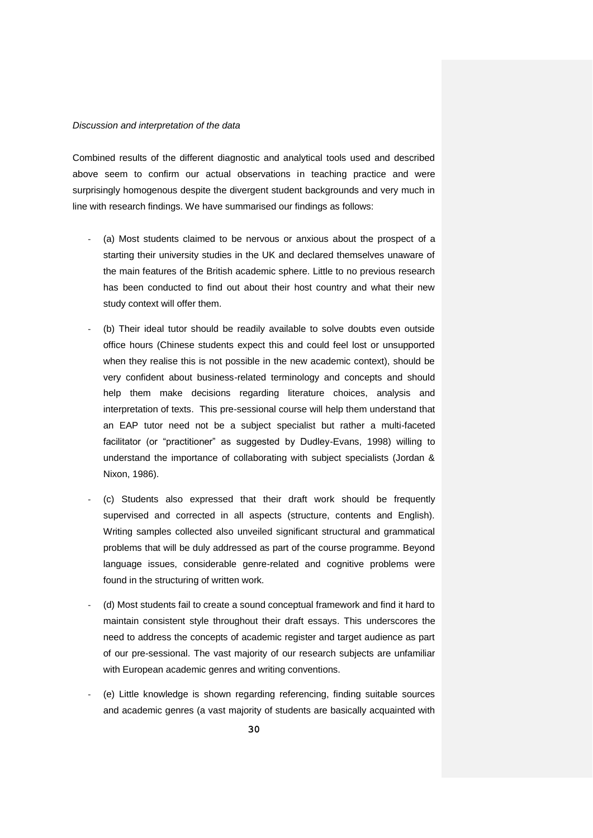#### *Discussion and interpretation of the data*

Combined results of the different diagnostic and analytical tools used and described above seem to confirm our actual observations in teaching practice and were surprisingly homogenous despite the divergent student backgrounds and very much in line with research findings. We have summarised our findings as follows:

- (a) Most students claimed to be nervous or anxious about the prospect of a starting their university studies in the UK and declared themselves unaware of the main features of the British academic sphere. Little to no previous research has been conducted to find out about their host country and what their new study context will offer them.
- (b) Their ideal tutor should be readily available to solve doubts even outside office hours (Chinese students expect this and could feel lost or unsupported when they realise this is not possible in the new academic context), should be very confident about business-related terminology and concepts and should help them make decisions regarding literature choices, analysis and interpretation of texts. This pre-sessional course will help them understand that an EAP tutor need not be a subject specialist but rather a multi-faceted facilitator (or "practitioner" as suggested by Dudley-Evans, 1998) willing to understand the importance of collaborating with subject specialists (Jordan & Nixon, 1986).
- (c) Students also expressed that their draft work should be frequently supervised and corrected in all aspects (structure, contents and English). Writing samples collected also unveiled significant structural and grammatical problems that will be duly addressed as part of the course programme. Beyond language issues, considerable genre-related and cognitive problems were found in the structuring of written work.
- (d) Most students fail to create a sound conceptual framework and find it hard to maintain consistent style throughout their draft essays. This underscores the need to address the concepts of academic register and target audience as part of our pre-sessional. The vast majority of our research subjects are unfamiliar with European academic genres and writing conventions.
- (e) Little knowledge is shown regarding referencing, finding suitable sources and academic genres (a vast majority of students are basically acquainted with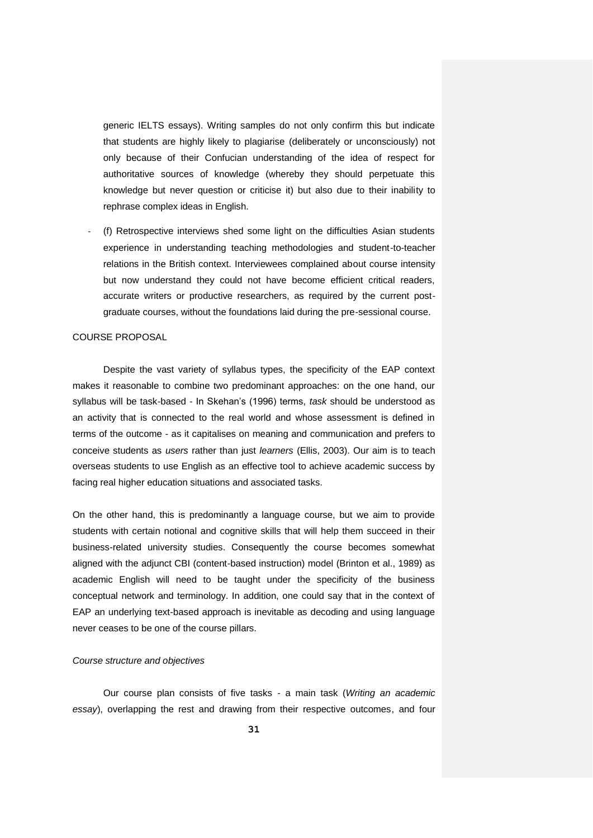generic IELTS essays). Writing samples do not only confirm this but indicate that students are highly likely to plagiarise (deliberately or unconsciously) not only because of their Confucian understanding of the idea of respect for authoritative sources of knowledge (whereby they should perpetuate this knowledge but never question or criticise it) but also due to their inability to rephrase complex ideas in English.

(f) Retrospective interviews shed some light on the difficulties Asian students experience in understanding teaching methodologies and student-to-teacher relations in the British context. Interviewees complained about course intensity but now understand they could not have become efficient critical readers, accurate writers or productive researchers, as required by the current postgraduate courses, without the foundations laid during the pre-sessional course.

#### COURSE PROPOSAL

Despite the vast variety of syllabus types, the specificity of the EAP context makes it reasonable to combine two predominant approaches: on the one hand, our syllabus will be task-based - In Skehan's (1996) terms, *task* should be understood as an activity that is connected to the real world and whose assessment is defined in terms of the outcome - as it capitalises on meaning and communication and prefers to conceive students as *users* rather than just *learners* (Ellis, 2003). Our aim is to teach overseas students to use English as an effective tool to achieve academic success by facing real higher education situations and associated tasks.

On the other hand, this is predominantly a language course, but we aim to provide students with certain notional and cognitive skills that will help them succeed in their business-related university studies. Consequently the course becomes somewhat aligned with the adjunct CBI (content-based instruction) model (Brinton et al., 1989) as academic English will need to be taught under the specificity of the business conceptual network and terminology. In addition, one could say that in the context of EAP an underlying text-based approach is inevitable as decoding and using language never ceases to be one of the course pillars.

### *Course structure and objectives*

Our course plan consists of five tasks - a main task (*Writing an academic essay*), overlapping the rest and drawing from their respective outcomes, and four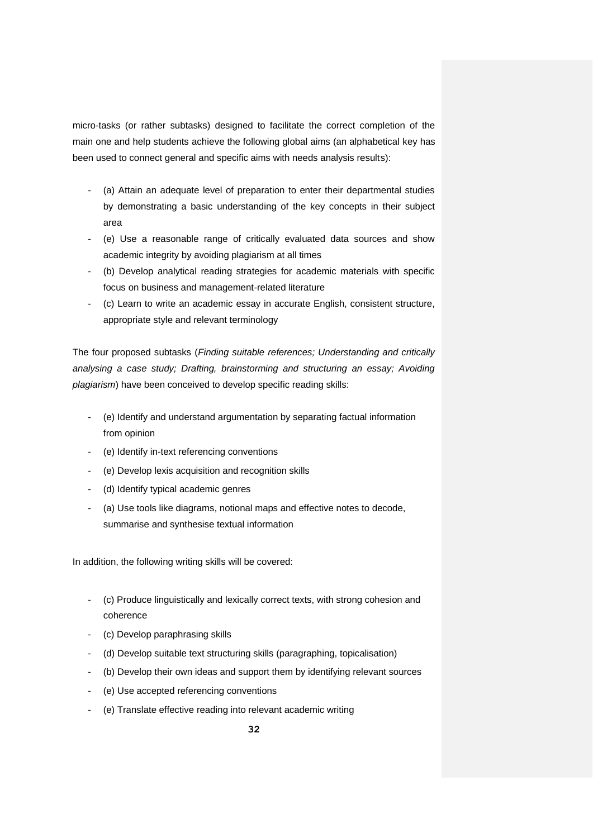micro-tasks (or rather subtasks) designed to facilitate the correct completion of the main one and help students achieve the following global aims (an alphabetical key has been used to connect general and specific aims with needs analysis results):

- (a) Attain an adequate level of preparation to enter their departmental studies by demonstrating a basic understanding of the key concepts in their subject area
- (e) Use a reasonable range of critically evaluated data sources and show academic integrity by avoiding plagiarism at all times
- (b) Develop analytical reading strategies for academic materials with specific focus on business and management-related literature
- (c) Learn to write an academic essay in accurate English, consistent structure, appropriate style and relevant terminology

The four proposed subtasks (*Finding suitable references; Understanding and critically analysing a case study; Drafting, brainstorming and structuring an essay; Avoiding plagiarism*) have been conceived to develop specific reading skills:

- (e) Identify and understand argumentation by separating factual information from opinion
- (e) Identify in-text referencing conventions
- (e) Develop lexis acquisition and recognition skills
- (d) Identify typical academic genres
- (a) Use tools like diagrams, notional maps and effective notes to decode, summarise and synthesise textual information

In addition, the following writing skills will be covered:

- (c) Produce linguistically and lexically correct texts, with strong cohesion and coherence
- (c) Develop paraphrasing skills
- (d) Develop suitable text structuring skills (paragraphing, topicalisation)
- (b) Develop their own ideas and support them by identifying relevant sources
- (e) Use accepted referencing conventions
- (e) Translate effective reading into relevant academic writing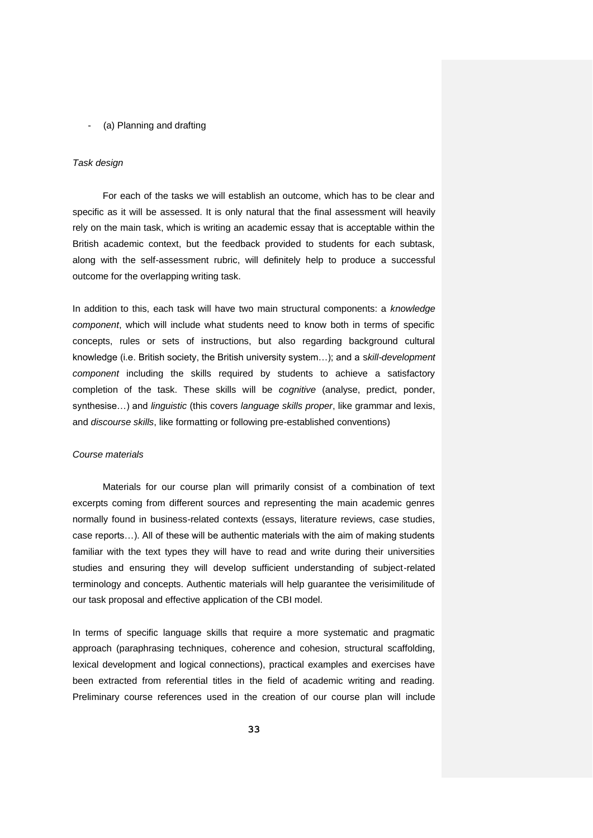#### - (a) Planning and drafting

### *Task design*

For each of the tasks we will establish an outcome, which has to be clear and specific as it will be assessed. It is only natural that the final assessment will heavily rely on the main task, which is writing an academic essay that is acceptable within the British academic context, but the feedback provided to students for each subtask, along with the self-assessment rubric, will definitely help to produce a successful outcome for the overlapping writing task.

In addition to this, each task will have two main structural components: a *knowledge component*, which will include what students need to know both in terms of specific concepts, rules or sets of instructions, but also regarding background cultural knowledge (i.e. British society, the British university system…); and a s*kill-development component* including the skills required by students to achieve a satisfactory completion of the task. These skills will be *cognitive* (analyse, predict, ponder, synthesise…) and *linguistic* (this covers *language skills proper*, like grammar and lexis, and *discourse skills*, like formatting or following pre-established conventions)

#### *Course materials*

Materials for our course plan will primarily consist of a combination of text excerpts coming from different sources and representing the main academic genres normally found in business-related contexts (essays, literature reviews, case studies, case reports…). All of these will be authentic materials with the aim of making students familiar with the text types they will have to read and write during their universities studies and ensuring they will develop sufficient understanding of subject-related terminology and concepts. Authentic materials will help guarantee the verisimilitude of our task proposal and effective application of the CBI model.

In terms of specific language skills that require a more systematic and pragmatic approach (paraphrasing techniques, coherence and cohesion, structural scaffolding, lexical development and logical connections), practical examples and exercises have been extracted from referential titles in the field of academic writing and reading. Preliminary course references used in the creation of our course plan will include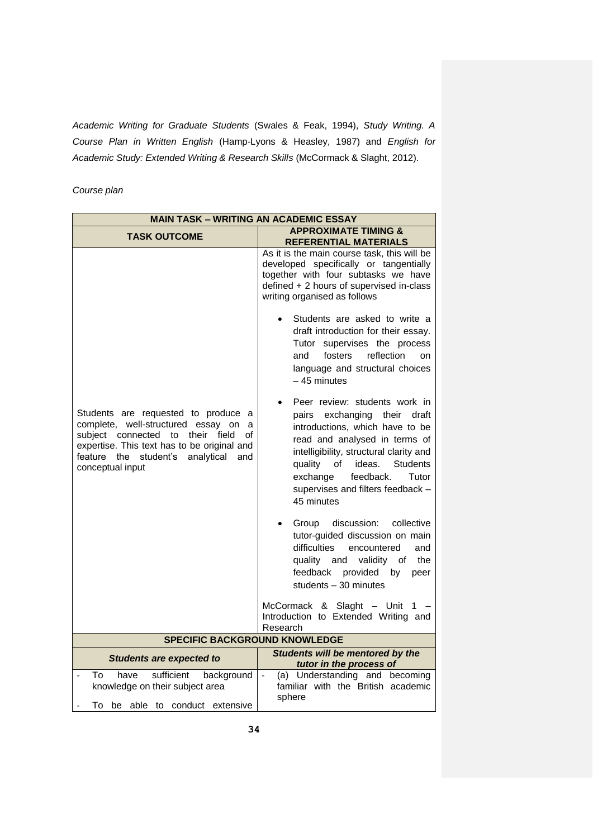*Academic Writing for Graduate Students* (Swales & Feak, 1994), *Study Writing. A Course Plan in Written English* (Hamp-Lyons & Heasley, 1987) and *English for Academic Study: Extended Writing & Research Skills* (McCormack & Slaght, 2012).

*Course plan*

| <b>MAIN TASK - WRITING AN ACADEMIC ESSAY</b>                                                                                                                                                                                                 |                                                                                                                                                                                                                                                                                                                                                                                                                                                                                                                                                                                                                                                                                                                                                                                                                                                                                                                                                                                         |  |  |  |
|----------------------------------------------------------------------------------------------------------------------------------------------------------------------------------------------------------------------------------------------|-----------------------------------------------------------------------------------------------------------------------------------------------------------------------------------------------------------------------------------------------------------------------------------------------------------------------------------------------------------------------------------------------------------------------------------------------------------------------------------------------------------------------------------------------------------------------------------------------------------------------------------------------------------------------------------------------------------------------------------------------------------------------------------------------------------------------------------------------------------------------------------------------------------------------------------------------------------------------------------------|--|--|--|
| <b>APPROXIMATE TIMING &amp;</b><br><b>TASK OUTCOME</b>                                                                                                                                                                                       |                                                                                                                                                                                                                                                                                                                                                                                                                                                                                                                                                                                                                                                                                                                                                                                                                                                                                                                                                                                         |  |  |  |
| Students are requested to produce a<br>complete, well-structured essay<br>on<br>a<br>subject connected to<br>their field<br>οf<br>expertise. This text has to be original and<br>feature the student's analytical<br>and<br>conceptual input | <b>REFERENTIAL MATERIALS</b><br>As it is the main course task, this will be<br>developed specifically or tangentially<br>together with four subtasks we have<br>defined + 2 hours of supervised in-class<br>writing organised as follows<br>Students are asked to write a<br>draft introduction for their essay.<br>Tutor supervises the process<br>fosters<br>reflection<br>and<br>on<br>language and structural choices<br>$-45$ minutes<br>Peer review: students work in<br>exchanging their<br>pairs<br>draft<br>introductions, which have to be<br>read and analysed in terms of<br>intelligibility, structural clarity and<br><b>Students</b><br>quality<br>of<br>ideas.<br>feedback.<br>exchange<br>Tutor<br>supervises and filters feedback -<br>45 minutes<br>Group<br>discussion:<br>collective<br>tutor-guided discussion on main<br>difficulties<br>encountered<br>and<br>quality and<br>validity<br>the<br>οf<br>feedback<br>provided by<br>peer<br>students $-30$ minutes |  |  |  |
|                                                                                                                                                                                                                                              | McCormack & Slaght - Unit 1<br>Introduction to Extended Writing and<br>Research                                                                                                                                                                                                                                                                                                                                                                                                                                                                                                                                                                                                                                                                                                                                                                                                                                                                                                         |  |  |  |
| <b>SPECIFIC BACKGROUND KNOWLEDGE</b>                                                                                                                                                                                                         |                                                                                                                                                                                                                                                                                                                                                                                                                                                                                                                                                                                                                                                                                                                                                                                                                                                                                                                                                                                         |  |  |  |
| <b>Students are expected to</b>                                                                                                                                                                                                              | Students will be mentored by the<br>tutor in the process of                                                                                                                                                                                                                                                                                                                                                                                                                                                                                                                                                                                                                                                                                                                                                                                                                                                                                                                             |  |  |  |
| background<br>To<br>have<br>sufficient<br>knowledge on their subject area<br>To be able to conduct extensive                                                                                                                                 | (a) Understanding and becoming<br>$\frac{1}{2}$<br>familiar with the British academic<br>sphere                                                                                                                                                                                                                                                                                                                                                                                                                                                                                                                                                                                                                                                                                                                                                                                                                                                                                         |  |  |  |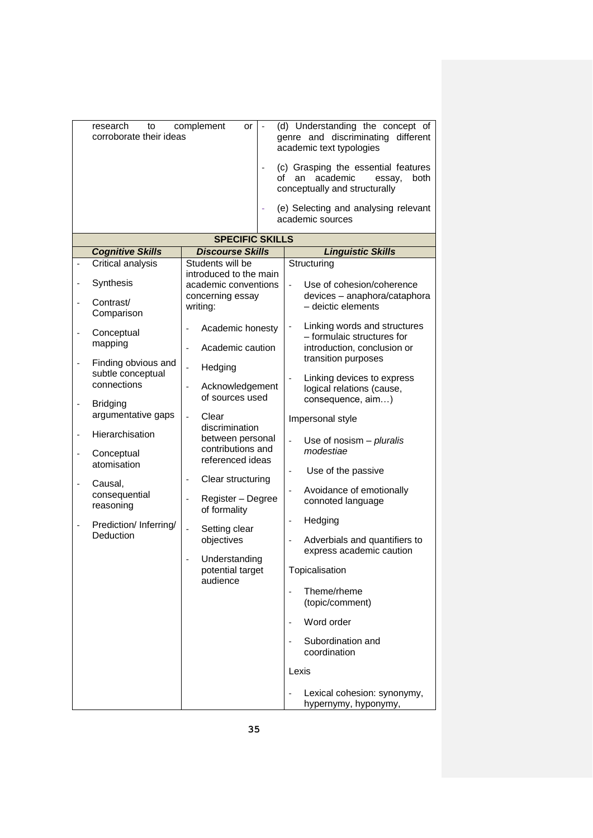|   | complement<br>research<br>to<br>or<br>corroborate their ideas<br>genre and discriminating<br>academic text typologies<br>of an academic<br>essay,<br>conceptually and structurally |                                                                                                                | (d) Understanding the concept of<br>different<br>(c) Grasping the essential features<br>both<br>(e) Selecting and analysing relevant<br>academic sources |  |
|---|------------------------------------------------------------------------------------------------------------------------------------------------------------------------------------|----------------------------------------------------------------------------------------------------------------|----------------------------------------------------------------------------------------------------------------------------------------------------------|--|
|   | <b>SPECIFIC SKILLS</b>                                                                                                                                                             |                                                                                                                |                                                                                                                                                          |  |
|   | <b>Cognitive Skills</b>                                                                                                                                                            | <b>Discourse Skills</b>                                                                                        | <b>Linguistic Skills</b>                                                                                                                                 |  |
|   | Critical analysis                                                                                                                                                                  | Students will be                                                                                               | Structuring                                                                                                                                              |  |
|   |                                                                                                                                                                                    | introduced to the main                                                                                         |                                                                                                                                                          |  |
| - | Synthesis                                                                                                                                                                          | academic conventions                                                                                           | Use of cohesion/coherence                                                                                                                                |  |
|   | Contrast/<br>Comparison                                                                                                                                                            | concerning essay<br>writing:                                                                                   | devices - anaphora/cataphora<br>- deictic elements                                                                                                       |  |
|   | Conceptual<br>mapping                                                                                                                                                              | Academic honesty                                                                                               | Linking words and structures<br>- formulaic structures for                                                                                               |  |
|   | Finding obvious and<br>subtle conceptual<br>connections                                                                                                                            | Academic caution<br>$\overline{a}$<br>Hedging<br>$\overline{\phantom{a}}$<br>Acknowledgement<br>$\overline{a}$ | introduction, conclusion or<br>transition purposes<br>Linking devices to express<br>logical relations (cause,                                            |  |
|   | <b>Bridging</b><br>argumentative gaps                                                                                                                                              | of sources used<br>Clear<br>$\overline{a}$<br>discrimination                                                   | consequence, aim)<br>Impersonal style                                                                                                                    |  |
|   | Hierarchisation<br>Conceptual<br>atomisation                                                                                                                                       | between personal<br>contributions and<br>referenced ideas                                                      | Use of nosism $-$ pluralis<br>modestiae                                                                                                                  |  |
|   | Causal,<br>consequential<br>reasoning                                                                                                                                              | Clear structuring<br>$\overline{\phantom{a}}$<br>Register - Degree<br>$\overline{\phantom{a}}$<br>of formality | Use of the passive<br>Avoidance of emotionally<br>connoted language                                                                                      |  |
|   | Prediction/ Inferring/<br>Deduction                                                                                                                                                | Setting clear<br>objectives                                                                                    | Hedging<br>$\qquad \qquad \blacksquare$<br>Adverbials and quantifiers to                                                                                 |  |
|   |                                                                                                                                                                                    | Understanding<br>potential target<br>audience                                                                  | express academic caution<br>Topicalisation                                                                                                               |  |
|   |                                                                                                                                                                                    |                                                                                                                | Theme/rheme<br>(topic/comment)                                                                                                                           |  |
|   |                                                                                                                                                                                    |                                                                                                                | Word order                                                                                                                                               |  |
|   |                                                                                                                                                                                    |                                                                                                                | Subordination and<br>coordination                                                                                                                        |  |
|   |                                                                                                                                                                                    |                                                                                                                | Lexis                                                                                                                                                    |  |
|   |                                                                                                                                                                                    |                                                                                                                | Lexical cohesion: synonymy,<br>hypernymy, hyponymy,                                                                                                      |  |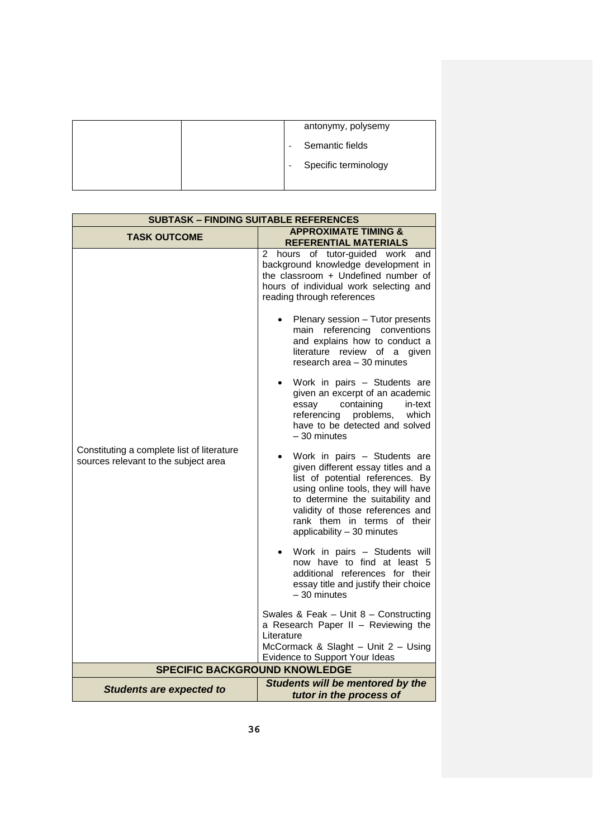|  | antonymy, polysemy   |
|--|----------------------|
|  | Semantic fields      |
|  | Specific terminology |
|  |                      |

| <b>SUBTASK - FINDING SUITABLE REFERENCES</b>                                       |                                                                                                                                                                                                                                                                                                                                                                                                                                                                                                                                                                                                                                            |  |  |  |
|------------------------------------------------------------------------------------|--------------------------------------------------------------------------------------------------------------------------------------------------------------------------------------------------------------------------------------------------------------------------------------------------------------------------------------------------------------------------------------------------------------------------------------------------------------------------------------------------------------------------------------------------------------------------------------------------------------------------------------------|--|--|--|
| <b>TASK OUTCOME</b>                                                                | <b>APPROXIMATE TIMING &amp;</b><br><b>REFERENTIAL MATERIALS</b>                                                                                                                                                                                                                                                                                                                                                                                                                                                                                                                                                                            |  |  |  |
| Constituting a complete list of literature<br>sources relevant to the subject area | hours of tutor-guided work and<br>$\mathbf{2}$<br>background knowledge development in<br>the classroom + Undefined number of<br>hours of individual work selecting and<br>reading through references<br>Plenary session - Tutor presents<br>main referencing conventions<br>and explains how to conduct a<br>literature review of a given<br>research area - 30 minutes<br>Work in pairs - Students are<br>given an excerpt of an academic<br>containing<br>essay<br>in-text<br>problems,<br>which<br>referencing<br>have to be detected and solved<br>$-30$ minutes<br>Work in pairs - Students are<br>given different essay titles and a |  |  |  |
|                                                                                    | list of potential references. By<br>using online tools, they will have<br>to determine the suitability and<br>validity of those references and<br>rank them in terms of their<br>applicability - 30 minutes                                                                                                                                                                                                                                                                                                                                                                                                                                |  |  |  |
|                                                                                    | Work in pairs - Students will<br>now have to find at least 5<br>additional references for their<br>essay title and justify their choice<br>$-30$ minutes                                                                                                                                                                                                                                                                                                                                                                                                                                                                                   |  |  |  |
|                                                                                    | Swales & Feak - Unit 8 - Constructing<br>a Research Paper II - Reviewing the<br>Literature<br>McCormack & Slaght - Unit $2 -$ Using                                                                                                                                                                                                                                                                                                                                                                                                                                                                                                        |  |  |  |
|                                                                                    | Evidence to Support Your Ideas                                                                                                                                                                                                                                                                                                                                                                                                                                                                                                                                                                                                             |  |  |  |
| <b>SPECIFIC BACKGROUND KNOWLEDGE</b>                                               |                                                                                                                                                                                                                                                                                                                                                                                                                                                                                                                                                                                                                                            |  |  |  |
| <b>Students are expected to</b>                                                    | Students will be mentored by the<br>tutor in the process of                                                                                                                                                                                                                                                                                                                                                                                                                                                                                                                                                                                |  |  |  |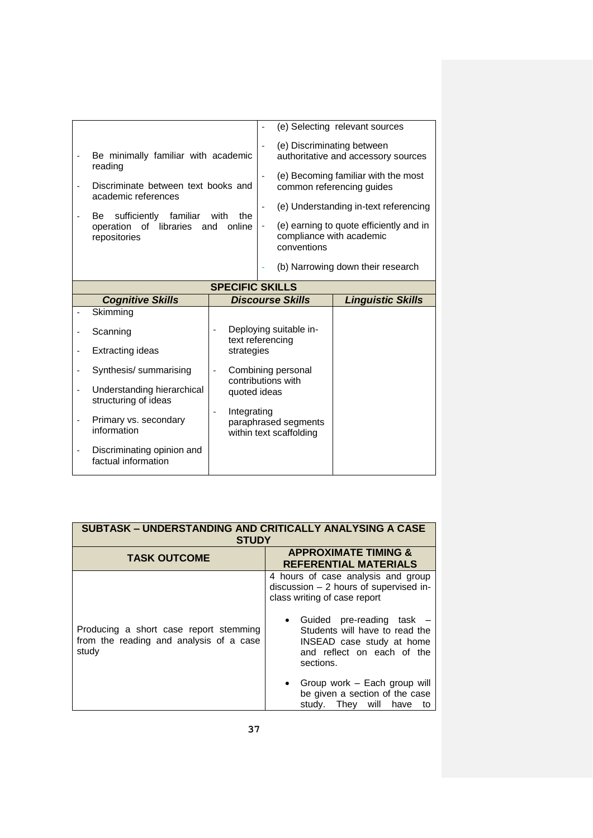|                          |                                                                                                           |                                |                              |                                                 | (e) Selecting relevant sources                                    |
|--------------------------|-----------------------------------------------------------------------------------------------------------|--------------------------------|------------------------------|-------------------------------------------------|-------------------------------------------------------------------|
|                          | Be minimally familiar with academic<br>reading                                                            |                                | $\overline{a}$               |                                                 | (e) Discriminating between<br>authoritative and accessory sources |
|                          | Discriminate between text books and<br>academic references                                                |                                | $\frac{1}{2}$                |                                                 | (e) Becoming familiar with the most<br>common referencing guides  |
|                          |                                                                                                           |                                | $\overline{\phantom{a}}$     |                                                 | (e) Understanding in-text referencing                             |
|                          | sufficiently familiar<br>with<br>the<br>Be.<br>operation of<br>libraries<br>online<br>and<br>repositories |                                | $\qquad \qquad \blacksquare$ | compliance with academic<br>conventions         | (e) earning to quote efficiently and in                           |
|                          |                                                                                                           |                                |                              |                                                 | (b) Narrowing down their research                                 |
|                          |                                                                                                           | <b>SPECIFIC SKILLS</b>         |                              |                                                 |                                                                   |
|                          | <b>Cognitive Skills</b>                                                                                   |                                |                              | <b>Discourse Skills</b>                         | <b>Linguistic Skills</b>                                          |
|                          | Skimming                                                                                                  |                                |                              |                                                 |                                                                   |
|                          |                                                                                                           |                                |                              |                                                 |                                                                   |
|                          | Scanning                                                                                                  |                                |                              | Deploying suitable in-                          |                                                                   |
| $\overline{\phantom{0}}$ | <b>Extracting ideas</b>                                                                                   | text referencing<br>strategies |                              |                                                 |                                                                   |
|                          | Synthesis/ summarising                                                                                    | $\frac{1}{2}$                  |                              | Combining personal                              |                                                                   |
| $\overline{a}$           | Understanding hierarchical<br>structuring of ideas                                                        | quoted ideas                   |                              | contributions with                              |                                                                   |
|                          | Primary vs. secondary<br>information                                                                      | Integrating                    |                              | paraphrased segments<br>within text scaffolding |                                                                   |

| SUBTASK – UNDERSTANDING AND CRITICALLY ANALYSING A CASE<br><b>STUDY</b>                    |                                                                                                                                                                                                                                                                                                                                                                |  |  |
|--------------------------------------------------------------------------------------------|----------------------------------------------------------------------------------------------------------------------------------------------------------------------------------------------------------------------------------------------------------------------------------------------------------------------------------------------------------------|--|--|
| <b>TASK OUTCOME</b>                                                                        | <b>APPROXIMATE TIMING &amp;</b><br><b>REFERENTIAL MATERIALS</b>                                                                                                                                                                                                                                                                                                |  |  |
| Producing a short case report stemming<br>from the reading and analysis of a case<br>study | 4 hours of case analysis and group<br>discussion $-2$ hours of supervised in-<br>class writing of case report<br>Guided pre-reading task -<br>Students will have to read the<br>INSEAD case study at home<br>and reflect on each of the<br>sections.<br>Group work - Each group will<br>be given a section of the case<br>study.<br>will<br>have<br>Thev<br>to |  |  |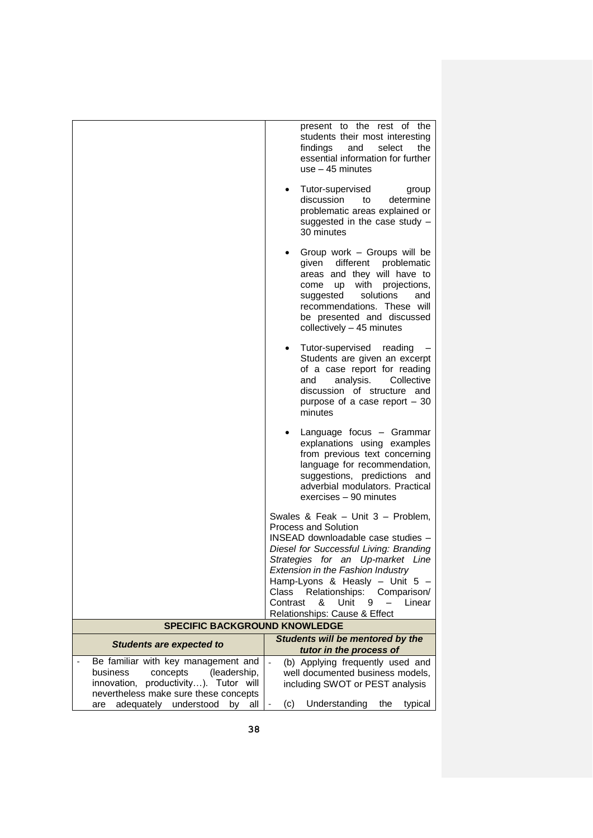|                                                                                                                                                                                                            | present to the rest of the<br>students their most interesting<br>findings<br>select<br>the<br>and<br>essential information for further<br>use $-45$ minutes                                                                                                                                                                                                                 |
|------------------------------------------------------------------------------------------------------------------------------------------------------------------------------------------------------------|-----------------------------------------------------------------------------------------------------------------------------------------------------------------------------------------------------------------------------------------------------------------------------------------------------------------------------------------------------------------------------|
|                                                                                                                                                                                                            | Tutor-supervised<br>group<br>$\bullet$<br>discussion<br>determine<br>to<br>problematic areas explained or<br>suggested in the case study -<br>30 minutes                                                                                                                                                                                                                    |
|                                                                                                                                                                                                            | Group work - Groups will be<br>given different problematic<br>areas and they will have to<br>up with projections,<br>come<br>solutions<br>and<br>suggested<br>recommendations. These will<br>be presented and discussed<br>collectively $-45$ minutes                                                                                                                       |
|                                                                                                                                                                                                            | Tutor-supervised reading<br>$\bullet$<br>Students are given an excerpt<br>of a case report for reading<br>analysis.<br>Collective<br>and<br>discussion of structure and<br>purpose of a case report $-30$<br>minutes                                                                                                                                                        |
|                                                                                                                                                                                                            | Language focus - Grammar<br>$\bullet$<br>explanations using examples<br>from previous text concerning<br>language for recommendation,<br>suggestions, predictions and<br>adverbial modulators. Practical<br>exercises - 90 minutes                                                                                                                                          |
|                                                                                                                                                                                                            | Swales & Feak - Unit 3 - Problem,<br><b>Process and Solution</b><br>INSEAD downloadable case studies -<br>Diesel for Successful Living: Branding<br>Strategies for an Up-market Line<br>Extension in the Fashion Industry<br>Hamp-Lyons & Heasly - Unit 5 -<br>Class Relationships:<br>Comparison/<br>Contrast<br>&<br>Unit<br>Linear<br>9<br>Relationships: Cause & Effect |
| <b>SPECIFIC BACKGROUND KNOWLEDGE</b>                                                                                                                                                                       |                                                                                                                                                                                                                                                                                                                                                                             |
| <b>Students are expected to</b>                                                                                                                                                                            | Students will be mentored by the<br>tutor in the process of                                                                                                                                                                                                                                                                                                                 |
| Be familiar with key management and<br>concepts<br>(leadership,<br>business<br>innovation, productivity). Tutor will<br>nevertheless make sure these concepts<br>adequately understood<br>by<br>all<br>are | (b) Applying frequently used and<br>well documented business models,<br>including SWOT or PEST analysis<br>Understanding<br>(c)<br>the<br>typical                                                                                                                                                                                                                           |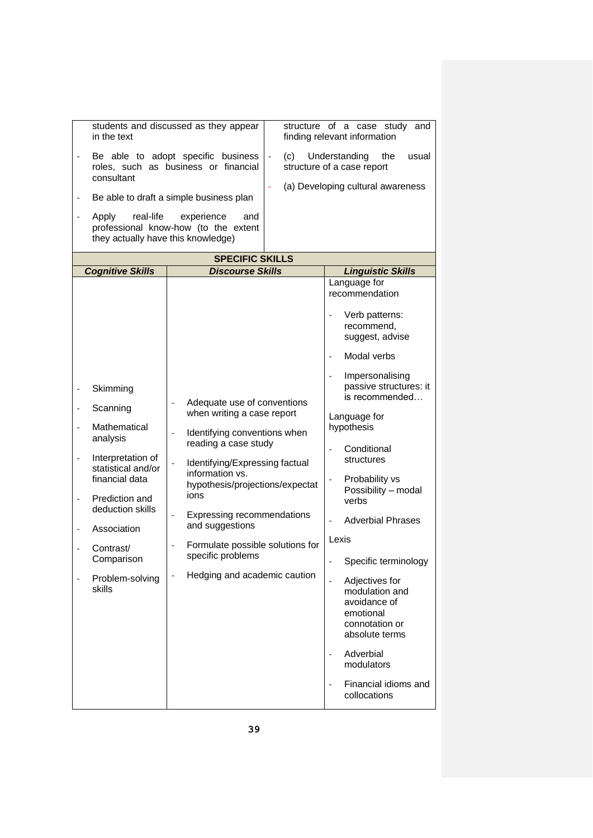|                              | in the text                                              | students and discussed as they appear                                                                         | structure of a case study<br>and<br>finding relevant information                                  |
|------------------------------|----------------------------------------------------------|---------------------------------------------------------------------------------------------------------------|---------------------------------------------------------------------------------------------------|
|                              | consultant                                               | Be able to adopt specific business<br>(c)<br>$\overline{\phantom{a}}$<br>roles, such as business or financial | Understanding<br>the<br>usual<br>structure of a case report                                       |
|                              |                                                          | Be able to draft a simple business plan                                                                       | (a) Developing cultural awareness                                                                 |
| $\qquad \qquad \blacksquare$ | real-life<br>Apply<br>they actually have this knowledge) | experience<br>and<br>professional know-how (to the extent                                                     |                                                                                                   |
|                              |                                                          | <b>SPECIFIC SKILLS</b>                                                                                        |                                                                                                   |
|                              | <b>Cognitive Skills</b>                                  | <b>Discourse Skills</b>                                                                                       | <b>Linguistic Skills</b>                                                                          |
|                              |                                                          |                                                                                                               | Language for<br>recommendation                                                                    |
|                              |                                                          |                                                                                                               | Verb patterns:<br>recommend,<br>suggest, advise                                                   |
|                              |                                                          |                                                                                                               | Modal verbs                                                                                       |
|                              | Skimming                                                 |                                                                                                               | Impersonalising<br>passive structures: it<br>is recommended                                       |
| $\overline{\phantom{0}}$     | Scanning                                                 | Adequate use of conventions<br>when writing a case report                                                     | Language for                                                                                      |
|                              | Mathematical<br>analysis                                 | Identifying conventions when<br>reading a case study                                                          | hypothesis                                                                                        |
| $\overline{a}$               | Interpretation of<br>statistical and/or                  | Identifying/Expressing factual<br>information vs.                                                             | Conditional<br>structures                                                                         |
| $\overline{\phantom{0}}$     | financial data<br>Prediction and                         | hypothesis/projections/expectat<br>ions                                                                       | Probability vs<br>Possibility - modal<br>verbs                                                    |
|                              | deduction skills<br>Association                          | Expressing recommendations<br>and suggestions                                                                 | <b>Adverbial Phrases</b>                                                                          |
|                              | Contrast/                                                | Formulate possible solutions for                                                                              | Lexis                                                                                             |
|                              | Comparison                                               | specific problems                                                                                             | Specific terminology                                                                              |
|                              | Problem-solving<br>skills                                | Hedging and academic caution                                                                                  | Adjectives for<br>modulation and<br>avoidance of<br>emotional<br>connotation or<br>absolute terms |
|                              |                                                          |                                                                                                               | Adverbial<br>$\qquad \qquad \blacksquare$<br>modulators                                           |
|                              |                                                          |                                                                                                               | Financial idioms and<br>collocations                                                              |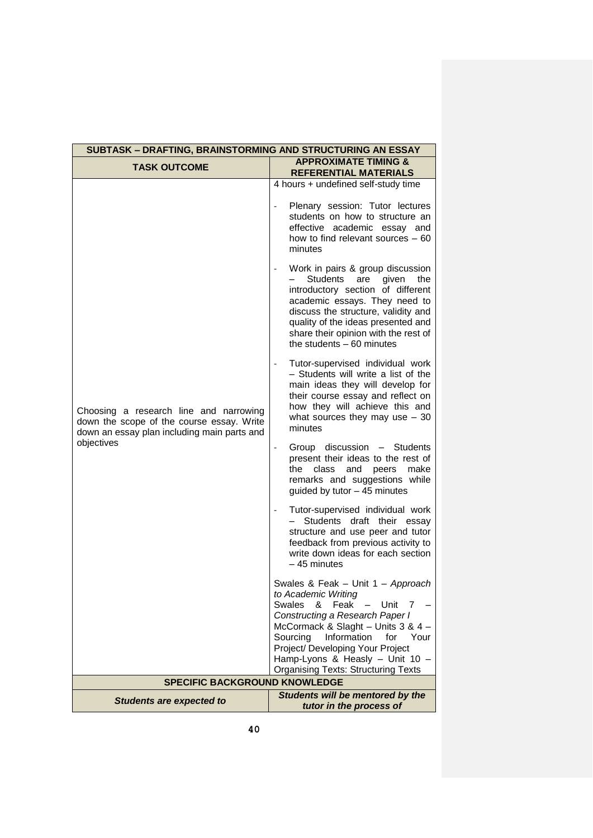| SUBTASK - DRAFTING, BRAINSTORMING AND STRUCTURING AN ESSAY                                                                                       |                                                                                                                                                                                                                                                                                                                                                                                                                                                                                                                                                                                                                                                                                                                                                                                                                                          |  |  |  |  |
|--------------------------------------------------------------------------------------------------------------------------------------------------|------------------------------------------------------------------------------------------------------------------------------------------------------------------------------------------------------------------------------------------------------------------------------------------------------------------------------------------------------------------------------------------------------------------------------------------------------------------------------------------------------------------------------------------------------------------------------------------------------------------------------------------------------------------------------------------------------------------------------------------------------------------------------------------------------------------------------------------|--|--|--|--|
| <b>TASK OUTCOME</b>                                                                                                                              | <b>APPROXIMATE TIMING &amp;</b><br><b>REFERENTIAL MATERIALS</b>                                                                                                                                                                                                                                                                                                                                                                                                                                                                                                                                                                                                                                                                                                                                                                          |  |  |  |  |
| Choosing a research line and narrowing<br>down the scope of the course essay. Write<br>down an essay plan including main parts and<br>objectives | 4 hours + undefined self-study time<br>Plenary session: Tutor lectures<br>students on how to structure an<br>effective academic essay and<br>how to find relevant sources $-60$<br>minutes<br>Work in pairs & group discussion<br>Students<br>are given<br>the<br>introductory section of different<br>academic essays. They need to<br>discuss the structure, validity and<br>quality of the ideas presented and<br>share their opinion with the rest of<br>the students $-60$ minutes<br>Tutor-supervised individual work<br>- Students will write a list of the<br>main ideas they will develop for<br>their course essay and reflect on<br>how they will achieve this and<br>what sources they may use $-30$<br>minutes<br>Group discussion - Students<br>present their ideas to the rest of<br>make<br>the<br>class<br>and<br>peers |  |  |  |  |
|                                                                                                                                                  | remarks and suggestions while<br>guided by tutor - 45 minutes<br>Tutor-supervised individual work<br>Students draft their essay<br>structure and use peer and tutor<br>feedback from previous activity to<br>write down ideas for each section<br>$-45$ minutes<br>Swales & Feak - Unit 1 - Approach<br>to Academic Writing<br>Feak<br>Swales<br>&<br>Unit<br>7<br>Constructing a Research Paper I<br>McCormack & Slaght - Units 3 & 4 -<br>Information<br>Sourcing<br>for<br>Your<br>Project/ Developing Your Project<br>Hamp-Lyons & Heasly - Unit 10 -<br><b>Organising Texts: Structuring Texts</b>                                                                                                                                                                                                                                  |  |  |  |  |
| <b>SPECIFIC BACKGROUND KNOWLEDGE</b>                                                                                                             |                                                                                                                                                                                                                                                                                                                                                                                                                                                                                                                                                                                                                                                                                                                                                                                                                                          |  |  |  |  |
| <b>Students are expected to</b>                                                                                                                  | Students will be mentored by the<br>tutor in the process of                                                                                                                                                                                                                                                                                                                                                                                                                                                                                                                                                                                                                                                                                                                                                                              |  |  |  |  |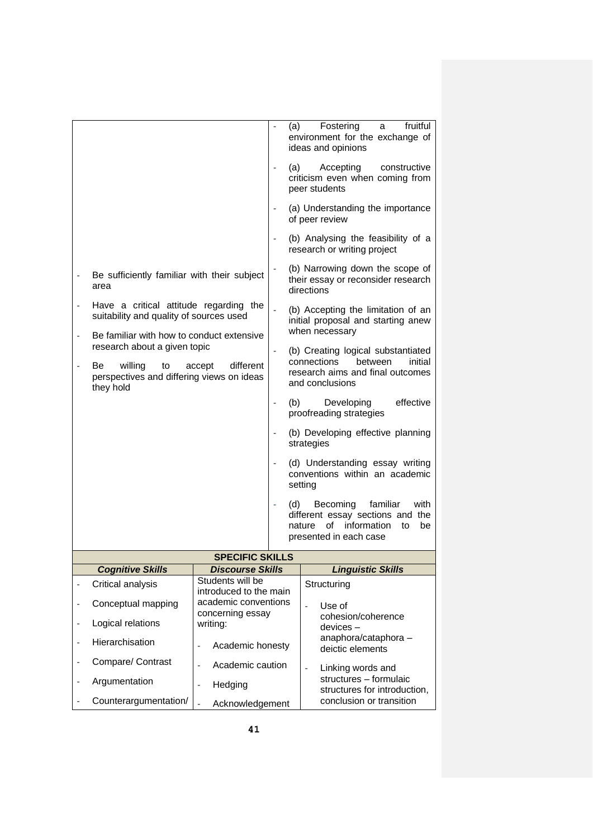|                          |                                                                                                      |                                                                                            |  | (a)     | Fostering<br>fruitful<br>a<br>environment for the exchange of<br>ideas and opinions                                                   |  |  |
|--------------------------|------------------------------------------------------------------------------------------------------|--------------------------------------------------------------------------------------------|--|---------|---------------------------------------------------------------------------------------------------------------------------------------|--|--|
|                          |                                                                                                      |                                                                                            |  | (a)     | Accepting<br>constructive<br>criticism even when coming from<br>peer students                                                         |  |  |
|                          |                                                                                                      |                                                                                            |  |         | (a) Understanding the importance<br>of peer review                                                                                    |  |  |
|                          |                                                                                                      |                                                                                            |  |         | (b) Analysing the feasibility of a<br>research or writing project                                                                     |  |  |
|                          | Be sufficiently familiar with their subject<br>area                                                  |                                                                                            |  |         | (b) Narrowing down the scope of<br>their essay or reconsider research<br>directions                                                   |  |  |
|                          | Have a critical attitude regarding the<br>suitability and quality of sources used                    |                                                                                            |  |         | (b) Accepting the limitation of an<br>initial proposal and starting anew                                                              |  |  |
|                          | Be familiar with how to conduct extensive<br>research about a given topic                            |                                                                                            |  |         | when necessary                                                                                                                        |  |  |
|                          | Be<br>willing<br>different<br>to<br>accept<br>perspectives and differing views on ideas<br>they hold |                                                                                            |  |         | (b) Creating logical substantiated<br>connections<br><b>between</b><br>initial<br>research aims and final outcomes<br>and conclusions |  |  |
|                          |                                                                                                      |                                                                                            |  | (b)     | effective<br>Developing<br>proofreading strategies                                                                                    |  |  |
|                          |                                                                                                      |                                                                                            |  |         | (b) Developing effective planning<br>strategies                                                                                       |  |  |
|                          |                                                                                                      |                                                                                            |  | setting | (d) Understanding essay writing<br>conventions within an academic                                                                     |  |  |
|                          |                                                                                                      |                                                                                            |  |         | Becoming<br>familiar<br>with<br>different essay sections and the<br>of<br>information<br>nature<br>to<br>be<br>presented in each case |  |  |
|                          |                                                                                                      | <b>SPECIFIC SKILLS</b>                                                                     |  |         |                                                                                                                                       |  |  |
|                          | <b>Cognitive Skills</b>                                                                              | <b>Discourse Skills</b>                                                                    |  |         | <b>Linguistic Skills</b>                                                                                                              |  |  |
|                          | Critical analysis                                                                                    | Students will be<br>introduced to the main                                                 |  |         | Structuring                                                                                                                           |  |  |
| $\overline{\phantom{0}}$ | Conceptual mapping                                                                                   | academic conventions<br>concerning essay<br>writing:<br>Academic honesty<br>$\overline{a}$ |  |         | Use of<br>$\overline{a}$                                                                                                              |  |  |
| $\overline{a}$           | Logical relations                                                                                    |                                                                                            |  |         | cohesion/coherence<br>$devices -$                                                                                                     |  |  |
|                          | Hierarchisation                                                                                      |                                                                                            |  |         | anaphora/cataphora -<br>deictic elements                                                                                              |  |  |
| $\overline{a}$           | Compare/ Contrast                                                                                    | Academic caution<br>$\overline{a}$                                                         |  |         | Linking words and<br>$\overline{a}$                                                                                                   |  |  |
| $\overline{a}$           | Argumentation                                                                                        | Hedging<br>$\overline{a}$                                                                  |  |         | structures - formulaic<br>structures for introduction,                                                                                |  |  |
|                          | Counterargumentation/                                                                                | $\overline{a}$<br>Acknowledgement                                                          |  |         | conclusion or transition                                                                                                              |  |  |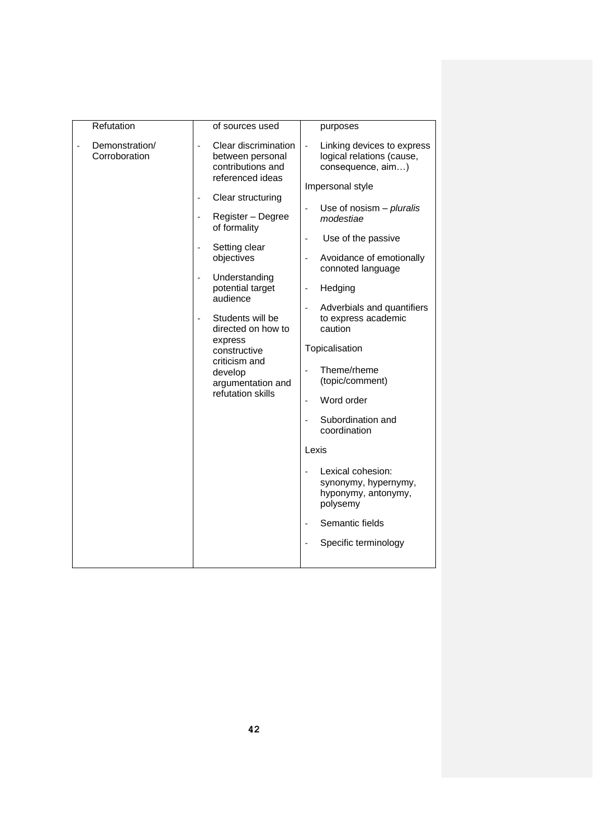| Refutation    |                |                              | of sources used                                                                   |                                   | purposes                                                                                         |
|---------------|----------------|------------------------------|-----------------------------------------------------------------------------------|-----------------------------------|--------------------------------------------------------------------------------------------------|
| Corroboration | Demonstration/ |                              | Clear discrimination<br>between personal<br>contributions and<br>referenced ideas |                                   | Linking devices to express<br>logical relations (cause,<br>consequence, aim)<br>Impersonal style |
|               |                |                              | Clear structuring                                                                 |                                   | Use of nosism $-$ pluralis                                                                       |
|               |                | $\overline{\phantom{a}}$     | Register - Degree<br>of formality                                                 |                                   | modestiae                                                                                        |
|               |                |                              | Setting clear                                                                     | $\overline{a}$                    | Use of the passive                                                                               |
|               |                |                              | objectives                                                                        |                                   | Avoidance of emotionally<br>connoted language                                                    |
|               |                | $\qquad \qquad \blacksquare$ | Understanding<br>potential target                                                 | $\overline{a}$                    | Hedging                                                                                          |
|               |                |                              | audience                                                                          |                                   | Adverbials and quantifiers                                                                       |
|               |                |                              | Students will be<br>directed on how to                                            |                                   | to express academic<br>caution                                                                   |
|               |                |                              | express<br>constructive                                                           |                                   | Topicalisation                                                                                   |
|               |                |                              | criticism and<br>develop                                                          |                                   | Theme/rheme                                                                                      |
|               |                |                              | argumentation and<br>refutation skills                                            |                                   | (topic/comment)                                                                                  |
|               |                |                              |                                                                                   | $\overline{a}$                    | Word order                                                                                       |
|               |                |                              | $\overline{\phantom{a}}$                                                          | Subordination and<br>coordination |                                                                                                  |
|               |                |                              | Lexis                                                                             |                                   |                                                                                                  |
|               |                |                              |                                                                                   |                                   | Lexical cohesion:<br>synonymy, hypernymy,<br>hyponymy, antonymy,<br>polysemy                     |
|               |                |                              |                                                                                   |                                   | Semantic fields                                                                                  |
|               |                |                              |                                                                                   |                                   | Specific terminology                                                                             |
|               |                |                              |                                                                                   |                                   |                                                                                                  |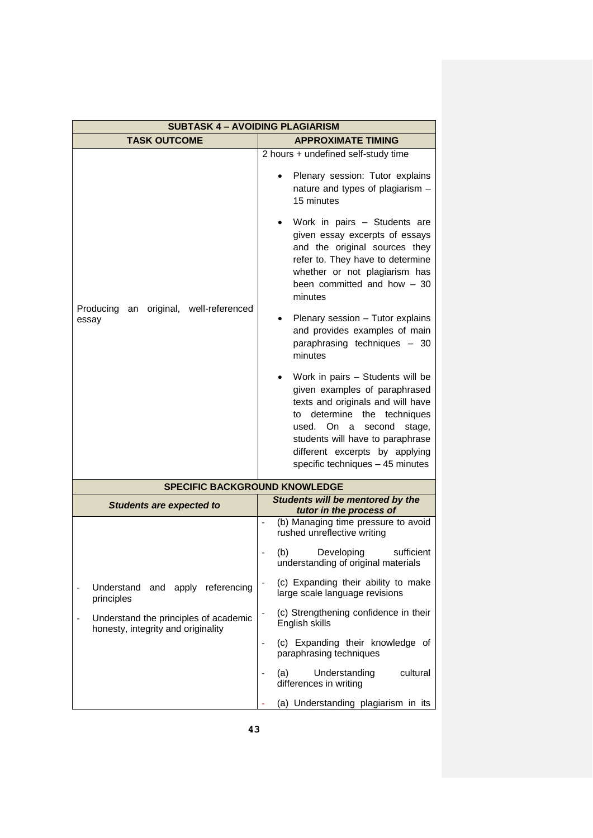| <b>SUBTASK 4 - AVOIDING PLAGIARISM</b>                                      |                                                                                                                                                                                                                                                                                   |  |  |  |  |
|-----------------------------------------------------------------------------|-----------------------------------------------------------------------------------------------------------------------------------------------------------------------------------------------------------------------------------------------------------------------------------|--|--|--|--|
| <b>TASK OUTCOME</b>                                                         | <b>APPROXIMATE TIMING</b>                                                                                                                                                                                                                                                         |  |  |  |  |
|                                                                             | 2 hours + undefined self-study time<br>Plenary session: Tutor explains<br>nature and types of plagiarism -<br>15 minutes                                                                                                                                                          |  |  |  |  |
| Producing<br>original, well-referenced<br>an<br>essay                       | Work in pairs - Students are<br>given essay excerpts of essays<br>and the original sources they<br>refer to. They have to determine<br>whether or not plagiarism has<br>been committed and how $-30$<br>minutes                                                                   |  |  |  |  |
|                                                                             | Plenary session - Tutor explains<br>and provides examples of main<br>paraphrasing techniques - 30<br>minutes                                                                                                                                                                      |  |  |  |  |
|                                                                             | Work in pairs - Students will be<br>given examples of paraphrased<br>texts and originals and will have<br>to determine the techniques<br>used. On a<br>second<br>stage,<br>students will have to paraphrase<br>different excerpts by applying<br>specific techniques - 45 minutes |  |  |  |  |
| <b>SPECIFIC BACKGROUND KNOWLEDGE</b>                                        |                                                                                                                                                                                                                                                                                   |  |  |  |  |
| <b>Students are expected to</b>                                             | Students will be mentored by the<br>tutor in the process of                                                                                                                                                                                                                       |  |  |  |  |
|                                                                             | (b) Managing time pressure to avoid<br>rushed unreflective writing                                                                                                                                                                                                                |  |  |  |  |
|                                                                             | Developing<br>(b)<br>sufficient<br>understanding of original materials                                                                                                                                                                                                            |  |  |  |  |
| and apply referencing<br>Understand<br>principles                           | (c) Expanding their ability to make<br>large scale language revisions                                                                                                                                                                                                             |  |  |  |  |
| Understand the principles of academic<br>honesty, integrity and originality | (c) Strengthening confidence in their<br>English skills                                                                                                                                                                                                                           |  |  |  |  |
|                                                                             | (c) Expanding their knowledge of<br>paraphrasing techniques                                                                                                                                                                                                                       |  |  |  |  |
|                                                                             | Understanding<br>cultural<br>(a)<br>differences in writing                                                                                                                                                                                                                        |  |  |  |  |
|                                                                             | (a) Understanding plagiarism in its                                                                                                                                                                                                                                               |  |  |  |  |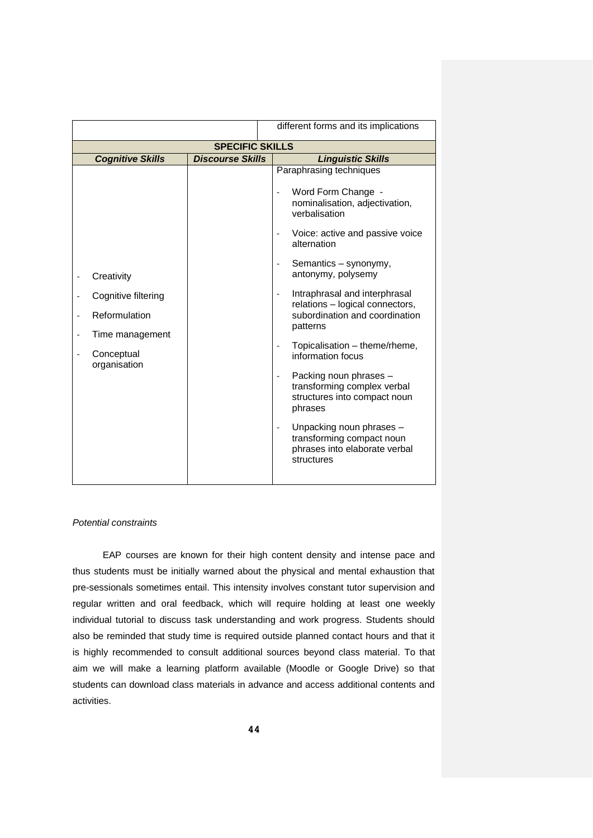|                                                                                                     |                         | different forms and its implications                                                                                                                                                                                                                                                                                                                                                                                                                                                                                                                                                                                                                                                        |  |  |  |  |  |
|-----------------------------------------------------------------------------------------------------|-------------------------|---------------------------------------------------------------------------------------------------------------------------------------------------------------------------------------------------------------------------------------------------------------------------------------------------------------------------------------------------------------------------------------------------------------------------------------------------------------------------------------------------------------------------------------------------------------------------------------------------------------------------------------------------------------------------------------------|--|--|--|--|--|
| <b>SPECIFIC SKILLS</b>                                                                              |                         |                                                                                                                                                                                                                                                                                                                                                                                                                                                                                                                                                                                                                                                                                             |  |  |  |  |  |
| <b>Cognitive Skills</b>                                                                             | <b>Discourse Skills</b> | <b>Linguistic Skills</b>                                                                                                                                                                                                                                                                                                                                                                                                                                                                                                                                                                                                                                                                    |  |  |  |  |  |
| Creativity<br>Cognitive filtering<br>Reformulation<br>Time management<br>Conceptual<br>organisation |                         | Paraphrasing techniques<br>Word Form Change -<br>nominalisation, adjectivation,<br>verbalisation<br>Voice: active and passive voice<br>$\overline{\phantom{a}}$<br>alternation<br>Semantics - synonymy,<br>$\overline{\phantom{a}}$<br>antonymy, polysemy<br>Intraphrasal and interphrasal<br>$\overline{a}$<br>relations - logical connectors,<br>subordination and coordination<br>patterns<br>Topicalisation - theme/rheme,<br>information focus<br>Packing noun phrases -<br>$\overline{\phantom{a}}$<br>transforming complex verbal<br>structures into compact noun<br>phrases<br>Unpacking noun phrases -<br>transforming compact noun<br>phrases into elaborate verbal<br>structures |  |  |  |  |  |

#### *Potential constraints*

EAP courses are known for their high content density and intense pace and thus students must be initially warned about the physical and mental exhaustion that pre-sessionals sometimes entail. This intensity involves constant tutor supervision and regular written and oral feedback, which will require holding at least one weekly individual tutorial to discuss task understanding and work progress. Students should also be reminded that study time is required outside planned contact hours and that it is highly recommended to consult additional sources beyond class material. To that aim we will make a learning platform available (Moodle or Google Drive) so that students can download class materials in advance and access additional contents and activities.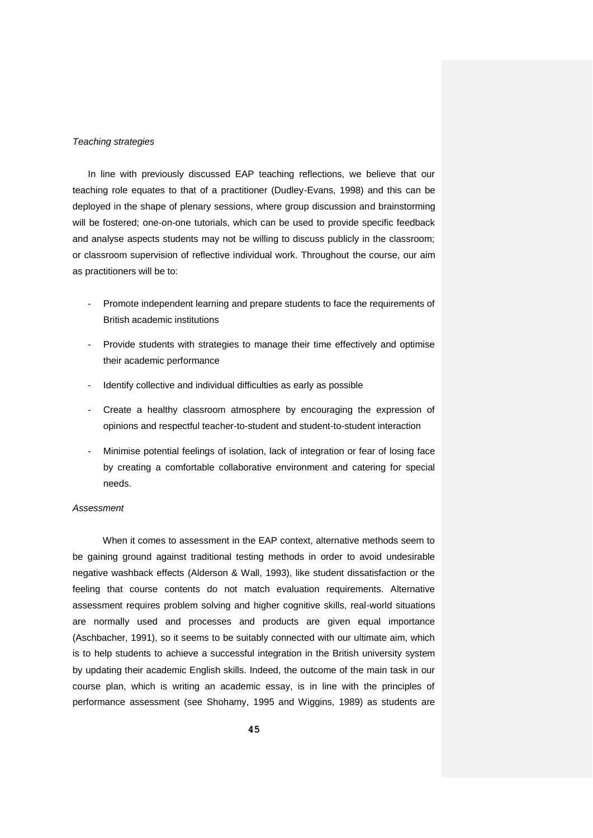#### *Teaching strategies*

In line with previously discussed EAP teaching reflections, we believe that our teaching role equates to that of a practitioner (Dudley-Evans, 1998) and this can be deployed in the shape of plenary sessions, where group discussion and brainstorming will be fostered; one-on-one tutorials, which can be used to provide specific feedback and analyse aspects students may not be willing to discuss publicly in the classroom; or classroom supervision of reflective individual work. Throughout the course, our aim as practitioners will be to:

- Promote independent learning and prepare students to face the requirements of British academic institutions
- Provide students with strategies to manage their time effectively and optimise their academic performance
- Identify collective and individual difficulties as early as possible
- Create a healthy classroom atmosphere by encouraging the expression of opinions and respectful teacher-to-student and student-to-student interaction
- Minimise potential feelings of isolation, lack of integration or fear of losing face by creating a comfortable collaborative environment and catering for special needs.

#### *Assessment*

When it comes to assessment in the EAP context, alternative methods seem to be gaining ground against traditional testing methods in order to avoid undesirable negative washback effects (Alderson & Wall, 1993), like student dissatisfaction or the feeling that course contents do not match evaluation requirements. Alternative assessment requires problem solving and higher cognitive skills, real-world situations are normally used and processes and products are given equal importance (Aschbacher, 1991), so it seems to be suitably connected with our ultimate aim, which is to help students to achieve a successful integration in the British university system by updating their academic English skills. Indeed, the outcome of the main task in our course plan, which is writing an academic essay, is in line with the principles of performance assessment (see Shohamy, 1995 and Wiggins, 1989) as students are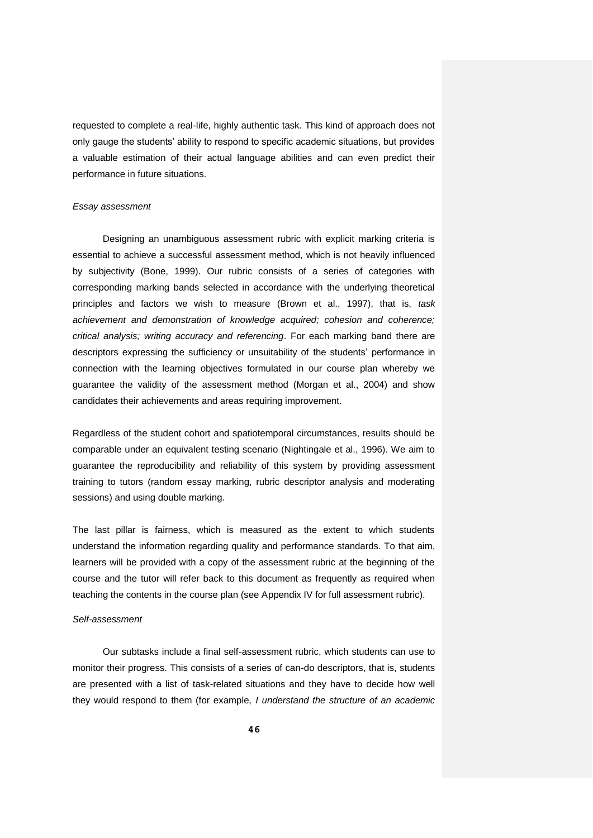requested to complete a real-life, highly authentic task. This kind of approach does not only gauge the students' ability to respond to specific academic situations, but provides a valuable estimation of their actual language abilities and can even predict their performance in future situations.

#### *Essay assessment*

Designing an unambiguous assessment rubric with explicit marking criteria is essential to achieve a successful assessment method, which is not heavily influenced by subjectivity (Bone, 1999). Our rubric consists of a series of categories with corresponding marking bands selected in accordance with the underlying theoretical principles and factors we wish to measure (Brown et al., 1997), that is, *task achievement and demonstration of knowledge acquired; cohesion and coherence; critical analysis; writing accuracy and referencing*. For each marking band there are descriptors expressing the sufficiency or unsuitability of the students' performance in connection with the learning objectives formulated in our course plan whereby we guarantee the validity of the assessment method (Morgan et al., 2004) and show candidates their achievements and areas requiring improvement.

Regardless of the student cohort and spatiotemporal circumstances, results should be comparable under an equivalent testing scenario (Nightingale et al., 1996). We aim to guarantee the reproducibility and reliability of this system by providing assessment training to tutors (random essay marking, rubric descriptor analysis and moderating sessions) and using double marking.

The last pillar is fairness, which is measured as the extent to which students understand the information regarding quality and performance standards. To that aim, learners will be provided with a copy of the assessment rubric at the beginning of the course and the tutor will refer back to this document as frequently as required when teaching the contents in the course plan (see Appendix IV for full assessment rubric).

#### *Self-assessment*

Our subtasks include a final self-assessment rubric, which students can use to monitor their progress. This consists of a series of can-do descriptors, that is, students are presented with a list of task-related situations and they have to decide how well they would respond to them (for example, *I understand the structure of an academic*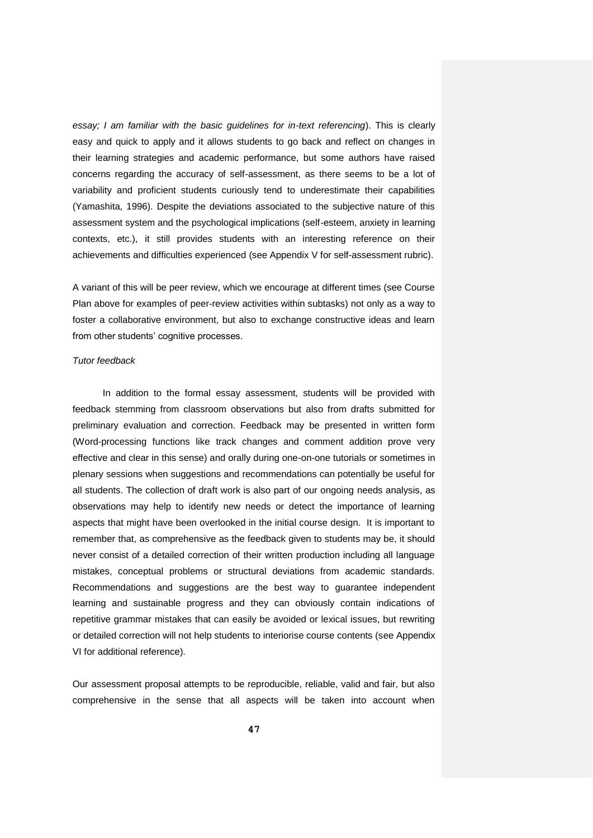*essay; I am familiar with the basic guidelines for in-text referencing*). This is clearly easy and quick to apply and it allows students to go back and reflect on changes in their learning strategies and academic performance, but some authors have raised concerns regarding the accuracy of self-assessment, as there seems to be a lot of variability and proficient students curiously tend to underestimate their capabilities (Yamashita, 1996). Despite the deviations associated to the subjective nature of this assessment system and the psychological implications (self-esteem, anxiety in learning contexts, etc.), it still provides students with an interesting reference on their achievements and difficulties experienced (see Appendix V for self-assessment rubric).

A variant of this will be peer review, which we encourage at different times (see Course Plan above for examples of peer-review activities within subtasks) not only as a way to foster a collaborative environment, but also to exchange constructive ideas and learn from other students' cognitive processes.

#### *Tutor feedback*

In addition to the formal essay assessment, students will be provided with feedback stemming from classroom observations but also from drafts submitted for preliminary evaluation and correction. Feedback may be presented in written form (Word-processing functions like track changes and comment addition prove very effective and clear in this sense) and orally during one-on-one tutorials or sometimes in plenary sessions when suggestions and recommendations can potentially be useful for all students. The collection of draft work is also part of our ongoing needs analysis, as observations may help to identify new needs or detect the importance of learning aspects that might have been overlooked in the initial course design. It is important to remember that, as comprehensive as the feedback given to students may be, it should never consist of a detailed correction of their written production including all language mistakes, conceptual problems or structural deviations from academic standards. Recommendations and suggestions are the best way to guarantee independent learning and sustainable progress and they can obviously contain indications of repetitive grammar mistakes that can easily be avoided or lexical issues, but rewriting or detailed correction will not help students to interiorise course contents (see Appendix VI for additional reference).

Our assessment proposal attempts to be reproducible, reliable, valid and fair, but also comprehensive in the sense that all aspects will be taken into account when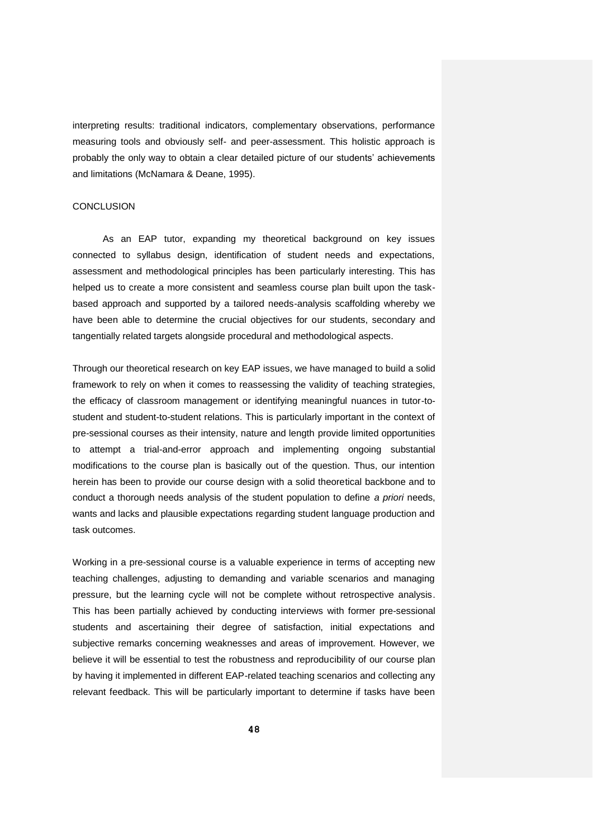interpreting results: traditional indicators, complementary observations, performance measuring tools and obviously self- and peer-assessment. This holistic approach is probably the only way to obtain a clear detailed picture of our students' achievements and limitations (McNamara & Deane, 1995).

#### **CONCLUSION**

As an EAP tutor, expanding my theoretical background on key issues connected to syllabus design, identification of student needs and expectations, assessment and methodological principles has been particularly interesting. This has helped us to create a more consistent and seamless course plan built upon the taskbased approach and supported by a tailored needs-analysis scaffolding whereby we have been able to determine the crucial objectives for our students, secondary and tangentially related targets alongside procedural and methodological aspects.

Through our theoretical research on key EAP issues, we have managed to build a solid framework to rely on when it comes to reassessing the validity of teaching strategies, the efficacy of classroom management or identifying meaningful nuances in tutor-tostudent and student-to-student relations. This is particularly important in the context of pre-sessional courses as their intensity, nature and length provide limited opportunities to attempt a trial-and-error approach and implementing ongoing substantial modifications to the course plan is basically out of the question. Thus, our intention herein has been to provide our course design with a solid theoretical backbone and to conduct a thorough needs analysis of the student population to define *a priori* needs, wants and lacks and plausible expectations regarding student language production and task outcomes.

Working in a pre-sessional course is a valuable experience in terms of accepting new teaching challenges, adjusting to demanding and variable scenarios and managing pressure, but the learning cycle will not be complete without retrospective analysis. This has been partially achieved by conducting interviews with former pre-sessional students and ascertaining their degree of satisfaction, initial expectations and subjective remarks concerning weaknesses and areas of improvement. However, we believe it will be essential to test the robustness and reproducibility of our course plan by having it implemented in different EAP-related teaching scenarios and collecting any relevant feedback. This will be particularly important to determine if tasks have been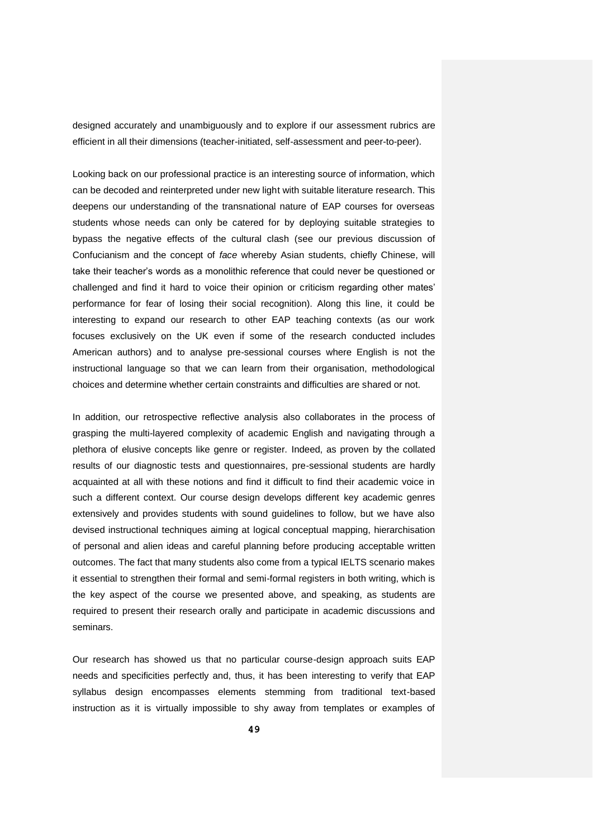designed accurately and unambiguously and to explore if our assessment rubrics are efficient in all their dimensions (teacher-initiated, self-assessment and peer-to-peer).

Looking back on our professional practice is an interesting source of information, which can be decoded and reinterpreted under new light with suitable literature research. This deepens our understanding of the transnational nature of EAP courses for overseas students whose needs can only be catered for by deploying suitable strategies to bypass the negative effects of the cultural clash (see our previous discussion of Confucianism and the concept of *face* whereby Asian students, chiefly Chinese, will take their teacher's words as a monolithic reference that could never be questioned or challenged and find it hard to voice their opinion or criticism regarding other mates' performance for fear of losing their social recognition). Along this line, it could be interesting to expand our research to other EAP teaching contexts (as our work focuses exclusively on the UK even if some of the research conducted includes American authors) and to analyse pre-sessional courses where English is not the instructional language so that we can learn from their organisation, methodological choices and determine whether certain constraints and difficulties are shared or not.

In addition, our retrospective reflective analysis also collaborates in the process of grasping the multi-layered complexity of academic English and navigating through a plethora of elusive concepts like genre or register. Indeed, as proven by the collated results of our diagnostic tests and questionnaires, pre-sessional students are hardly acquainted at all with these notions and find it difficult to find their academic voice in such a different context. Our course design develops different key academic genres extensively and provides students with sound guidelines to follow, but we have also devised instructional techniques aiming at logical conceptual mapping, hierarchisation of personal and alien ideas and careful planning before producing acceptable written outcomes. The fact that many students also come from a typical IELTS scenario makes it essential to strengthen their formal and semi-formal registers in both writing, which is the key aspect of the course we presented above, and speaking, as students are required to present their research orally and participate in academic discussions and seminars.

Our research has showed us that no particular course-design approach suits EAP needs and specificities perfectly and, thus, it has been interesting to verify that EAP syllabus design encompasses elements stemming from traditional text-based instruction as it is virtually impossible to shy away from templates or examples of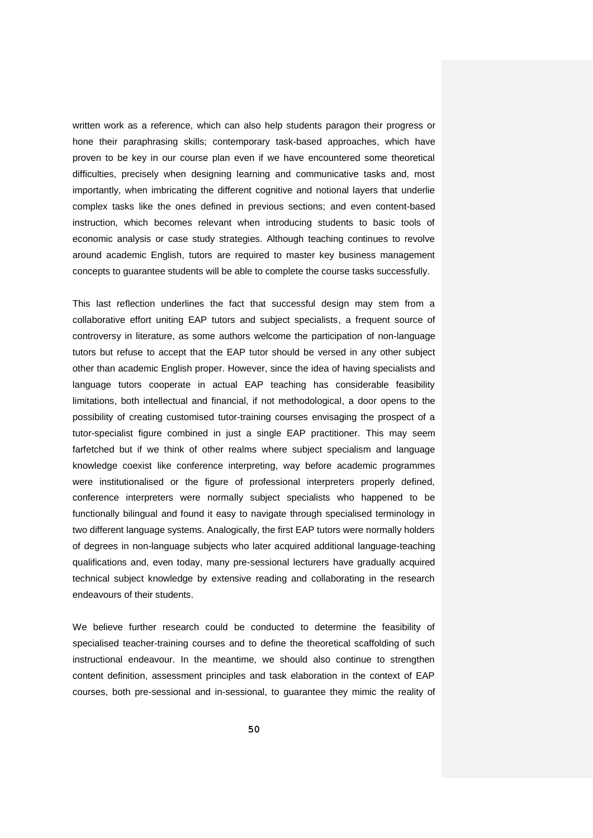written work as a reference, which can also help students paragon their progress or hone their paraphrasing skills; contemporary task-based approaches, which have proven to be key in our course plan even if we have encountered some theoretical difficulties, precisely when designing learning and communicative tasks and, most importantly, when imbricating the different cognitive and notional layers that underlie complex tasks like the ones defined in previous sections; and even content-based instruction, which becomes relevant when introducing students to basic tools of economic analysis or case study strategies. Although teaching continues to revolve around academic English, tutors are required to master key business management concepts to guarantee students will be able to complete the course tasks successfully.

This last reflection underlines the fact that successful design may stem from a collaborative effort uniting EAP tutors and subject specialists, a frequent source of controversy in literature, as some authors welcome the participation of non-language tutors but refuse to accept that the EAP tutor should be versed in any other subject other than academic English proper. However, since the idea of having specialists and language tutors cooperate in actual EAP teaching has considerable feasibility limitations, both intellectual and financial, if not methodological, a door opens to the possibility of creating customised tutor-training courses envisaging the prospect of a tutor-specialist figure combined in just a single EAP practitioner. This may seem farfetched but if we think of other realms where subject specialism and language knowledge coexist like conference interpreting, way before academic programmes were institutionalised or the figure of professional interpreters properly defined, conference interpreters were normally subject specialists who happened to be functionally bilingual and found it easy to navigate through specialised terminology in two different language systems. Analogically, the first EAP tutors were normally holders of degrees in non-language subjects who later acquired additional language-teaching qualifications and, even today, many pre-sessional lecturers have gradually acquired technical subject knowledge by extensive reading and collaborating in the research endeavours of their students.

We believe further research could be conducted to determine the feasibility of specialised teacher-training courses and to define the theoretical scaffolding of such instructional endeavour. In the meantime, we should also continue to strengthen content definition, assessment principles and task elaboration in the context of EAP courses, both pre-sessional and in-sessional, to guarantee they mimic the reality of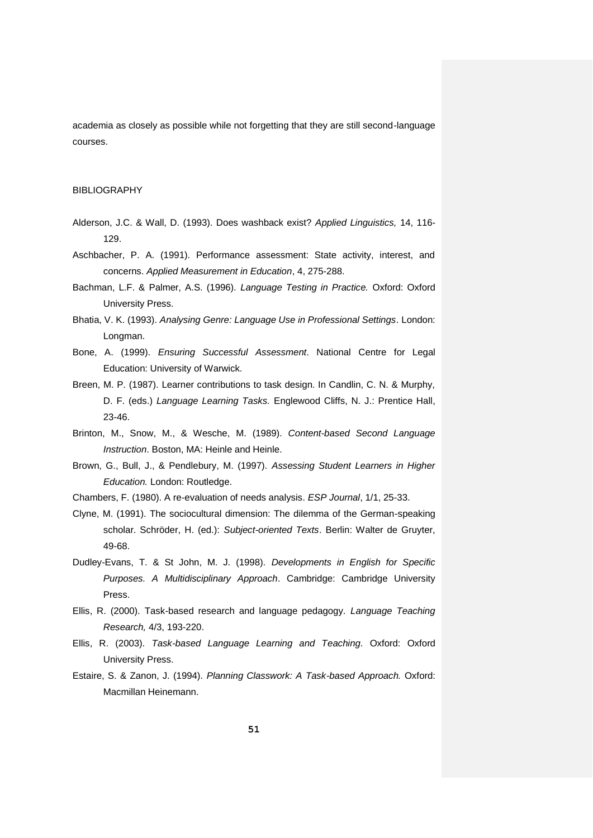academia as closely as possible while not forgetting that they are still second-language courses.

## BIBLIOGRAPHY

- Alderson, J.C. & Wall, D. (1993). Does washback exist? *Applied Linguistics,* 14, 116- 129.
- Aschbacher, P. A. (1991). Performance assessment: State activity, interest, and concerns. *Applied Measurement in Education*, 4, 275-288.
- Bachman, L.F. & Palmer, A.S. (1996). *Language Testing in Practice.* Oxford: Oxford University Press.
- Bhatia, V. K. (1993). *Analysing Genre: Language Use in Professional Settings*. London: Longman.
- Bone, A. (1999). *Ensuring Successful Assessment*. National Centre for Legal Education: University of Warwick.
- Breen, M. P. (1987). Learner contributions to task design. In Candlin, C. N. & Murphy, D. F. (eds.) *Language Learning Tasks.* Englewood Cliffs, N. J.: Prentice Hall, 23-46.
- Brinton, M., Snow, M., & Wesche, M. (1989). *Content-based Second Language Instruction*. Boston, MA: Heinle and Heinle.
- Brown, G., Bull, J., & Pendlebury, M. (1997). *Assessing Student Learners in Higher Education.* London: Routledge.
- Chambers, F. (1980). A re-evaluation of needs analysis. *ESP Journal*, 1/1, 25-33.
- Clyne, M. (1991). The sociocultural dimension: The dilemma of the German-speaking scholar. Schröder, H. (ed.): *Subject-oriented Texts*. Berlin: Walter de Gruyter, 49-68.
- Dudley-Evans, T. & St John, M. J. (1998). *Developments in English for Specific Purposes. A Multidisciplinary Approach*. Cambridge: Cambridge University Press.
- Ellis, R. (2000). Task-based research and language pedagogy. *Language Teaching Research,* 4/3, 193-220.
- Ellis, R. (2003). *Task-based Language Learning and Teaching*. Oxford: Oxford University Press.
- Estaire, S. & Zanon, J. (1994). *Planning Classwork: A Task-based Approach.* Oxford: Macmillan Heinemann.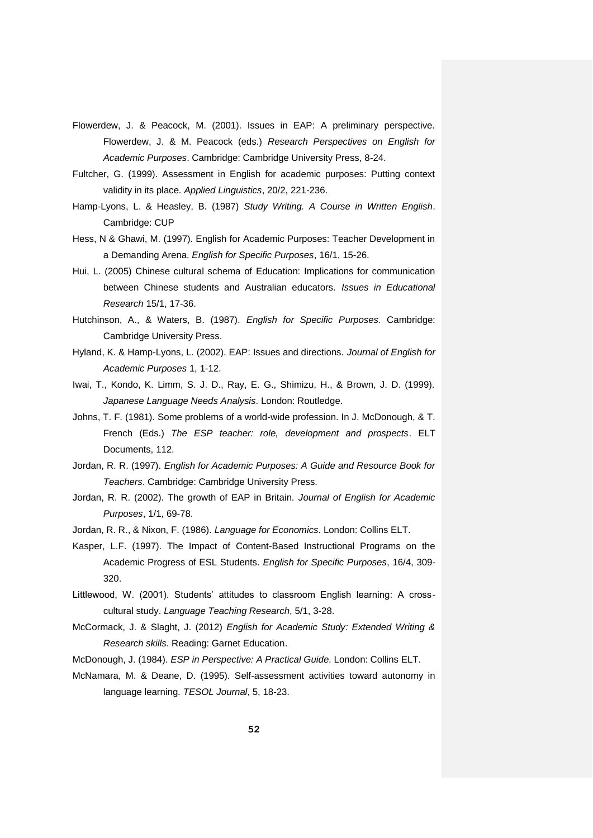- Flowerdew, J. & Peacock, M. (2001). Issues in EAP: A preliminary perspective. Flowerdew, J. & M. Peacock (eds.) *Research Perspectives on English for Academic Purposes*. Cambridge: Cambridge University Press, 8-24.
- Fultcher, G. (1999). Assessment in English for academic purposes: Putting context validity in its place. *Applied Linguistics*, 20/2, 221-236.
- Hamp-Lyons, L. & Heasley, B. (1987) *Study Writing. A Course in Written English*. Cambridge: CUP
- Hess, N & Ghawi, M. (1997). English for Academic Purposes: Teacher Development in a Demanding Arena. *English for Specific Purposes*, 16/1, 15-26.
- Hui, L. (2005) Chinese cultural schema of Education: Implications for communication between Chinese students and Australian educators. *Issues in Educational Research* 15/1, 17-36.
- Hutchinson, A., & Waters, B. (1987). *English for Specific Purposes*. Cambridge: Cambridge University Press.
- Hyland, K. & Hamp-Lyons, L. (2002). EAP: Issues and directions. *Journal of English for Academic Purposes* 1, 1-12.
- Iwai, T., Kondo, K. Limm, S. J. D., Ray, E. G., Shimizu, H., & Brown, J. D. (1999). *Japanese Language Needs Analysis*. London: Routledge.
- Johns, T. F. (1981). Some problems of a world-wide profession. In J. McDonough, & T. French (Eds.) *The ESP teacher: role, development and prospects*. ELT Documents, 112.
- Jordan, R. R. (1997). *English for Academic Purposes: A Guide and Resource Book for Teachers*. Cambridge: Cambridge University Press.
- Jordan, R. R. (2002). The growth of EAP in Britain. *Journal of English for Academic Purposes*, 1/1, 69-78.
- Jordan, R. R., & Nixon, F. (1986). *Language for Economics*. London: Collins ELT.
- Kasper, L.F. (1997). The Impact of Content-Based Instructional Programs on the Academic Progress of ESL Students. *English for Specific Purposes*, 16/4, 309- 320.
- Littlewood, W. (2001). Students' attitudes to classroom English learning: A crosscultural study. *Language Teaching Research*, 5/1, 3-28.
- McCormack, J. & Slaght, J. (2012) *English for Academic Study: Extended Writing & Research skills*. Reading: Garnet Education.

McDonough, J. (1984). *ESP in Perspective: A Practical Guide*. London: Collins ELT.

McNamara, M. & Deane, D. (1995). Self-assessment activities toward autonomy in language learning. *TESOL Journal*, 5, 18-23.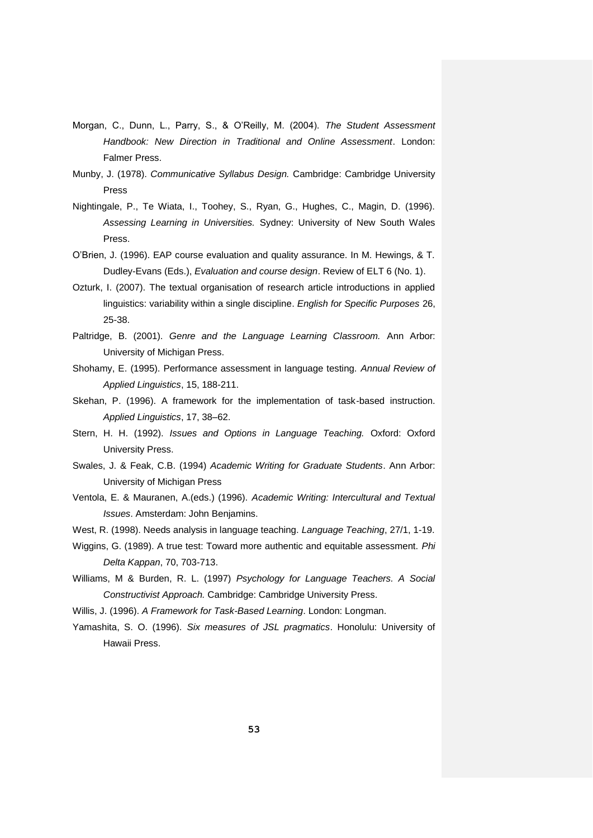- Morgan, C., Dunn, L., Parry, S., & O'Reilly, M. (2004). *The Student Assessment Handbook: New Direction in Traditional and Online Assessment*. London: Falmer Press.
- Munby, J. (1978). *Communicative Syllabus Design.* Cambridge: Cambridge University Press
- Nightingale, P., Te Wiata, I., Toohey, S., Ryan, G., Hughes, C., Magin, D. (1996). *Assessing Learning in Universities.* Sydney: University of New South Wales Press.
- O'Brien, J. (1996). EAP course evaluation and quality assurance. In M. Hewings, & T. Dudley-Evans (Eds.), *Evaluation and course design*. Review of ELT 6 (No. 1).
- Ozturk, I. (2007). The textual organisation of research article introductions in applied linguistics: variability within a single discipline. *English for Specific Purposes* 26, 25-38.
- Paltridge, B. (2001). *Genre and the Language Learning Classroom.* Ann Arbor: University of Michigan Press.
- Shohamy, E. (1995). Performance assessment in language testing. *Annual Review of Applied Linguistics*, 15, 188-211.
- Skehan, P. (1996). A framework for the implementation of task-based instruction. *Applied Linguistics*, 17, 38–62.
- Stern, H. H. (1992). *Issues and Options in Language Teaching.* Oxford: Oxford University Press.
- Swales, J. & Feak, C.B. (1994) *Academic Writing for Graduate Students*. Ann Arbor: University of Michigan Press
- Ventola, E. & Mauranen, A.(eds.) (1996). *Academic Writing: Intercultural and Textual Issues*. Amsterdam: John Benjamins.
- West, R. (1998). Needs analysis in language teaching. *Language Teaching*, 27/1, 1-19.
- Wiggins, G. (1989). A true test: Toward more authentic and equitable assessment. *Phi Delta Kappan*, 70, 703-713.
- Williams, M & Burden, R. L. (1997) *Psychology for Language Teachers. A Social Constructivist Approach.* Cambridge: Cambridge University Press.
- Willis, J. (1996). *A Framework for Task-Based Learning*. London: Longman.
- Yamashita, S. O. (1996). *Six measures of JSL pragmatics*. Honolulu: University of Hawaii Press.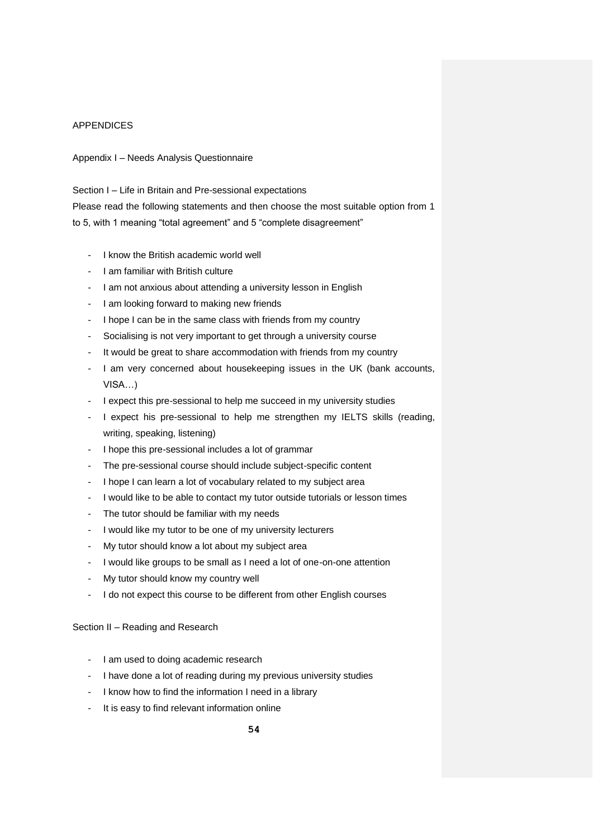## APPENDICES

Appendix I – Needs Analysis Questionnaire

Section I – Life in Britain and Pre-sessional expectations Please read the following statements and then choose the most suitable option from 1 to 5, with 1 meaning "total agreement" and 5 "complete disagreement"

- I know the British academic world well
- I am familiar with British culture
- I am not anxious about attending a university lesson in English
- I am looking forward to making new friends
- I hope I can be in the same class with friends from my country
- Socialising is not very important to get through a university course
- It would be great to share accommodation with friends from my country
- I am very concerned about housekeeping issues in the UK (bank accounts, VISA…)
- I expect this pre-sessional to help me succeed in my university studies
- I expect his pre-sessional to help me strengthen my IELTS skills (reading, writing, speaking, listening)
- I hope this pre-sessional includes a lot of grammar
- The pre-sessional course should include subject-specific content
- I hope I can learn a lot of vocabulary related to my subject area
- I would like to be able to contact my tutor outside tutorials or lesson times
- The tutor should be familiar with my needs
- I would like my tutor to be one of my university lecturers
- My tutor should know a lot about my subject area
- I would like groups to be small as I need a lot of one-on-one attention
- My tutor should know my country well
- I do not expect this course to be different from other English courses

## Section II – Reading and Research

- I am used to doing academic research
- I have done a lot of reading during my previous university studies
- I know how to find the information I need in a library
- It is easy to find relevant information online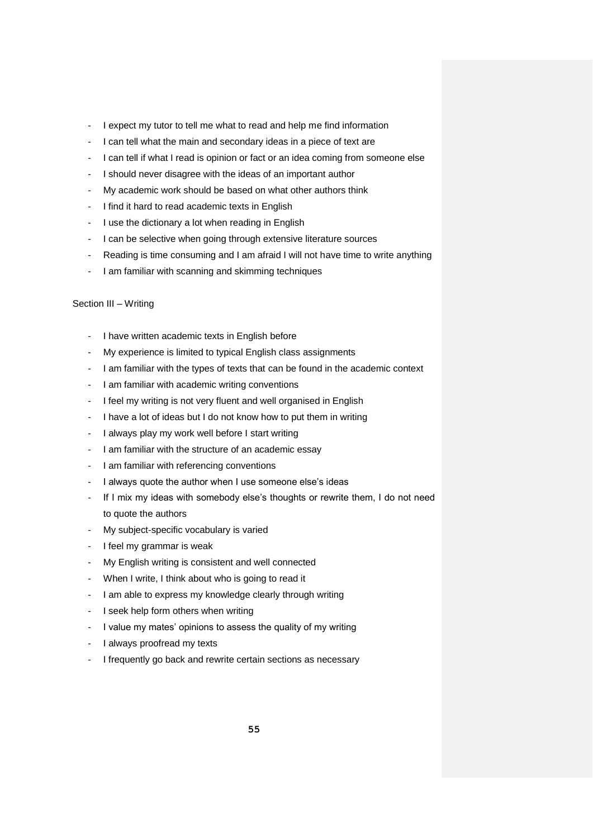- I expect my tutor to tell me what to read and help me find information
- I can tell what the main and secondary ideas in a piece of text are
- I can tell if what I read is opinion or fact or an idea coming from someone else
- I should never disagree with the ideas of an important author
- My academic work should be based on what other authors think
- I find it hard to read academic texts in English
- I use the dictionary a lot when reading in English
- I can be selective when going through extensive literature sources
- Reading is time consuming and I am afraid I will not have time to write anything
- I am familiar with scanning and skimming techniques

## Section III – Writing

- I have written academic texts in English before
- My experience is limited to typical English class assignments
- I am familiar with the types of texts that can be found in the academic context
- I am familiar with academic writing conventions
- I feel my writing is not very fluent and well organised in English
- I have a lot of ideas but I do not know how to put them in writing
- I always play my work well before I start writing
- I am familiar with the structure of an academic essay
- I am familiar with referencing conventions
- I always quote the author when I use someone else's ideas
- If I mix my ideas with somebody else's thoughts or rewrite them, I do not need to quote the authors
- My subject-specific vocabulary is varied
- I feel my grammar is weak
- My English writing is consistent and well connected
- When I write, I think about who is going to read it
- I am able to express my knowledge clearly through writing
- I seek help form others when writing
- I value my mates' opinions to assess the quality of my writing
- I always proofread my texts
- I frequently go back and rewrite certain sections as necessary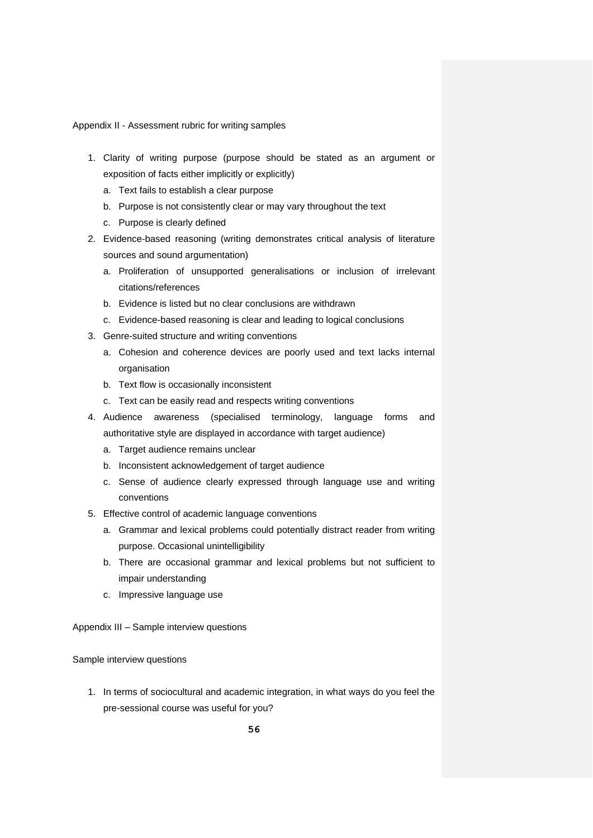Appendix II - Assessment rubric for writing samples

- 1. Clarity of writing purpose (purpose should be stated as an argument or exposition of facts either implicitly or explicitly)
	- a. Text fails to establish a clear purpose
	- b. Purpose is not consistently clear or may vary throughout the text
	- c. Purpose is clearly defined
- 2. Evidence-based reasoning (writing demonstrates critical analysis of literature sources and sound argumentation)
	- a. Proliferation of unsupported generalisations or inclusion of irrelevant citations/references
	- b. Evidence is listed but no clear conclusions are withdrawn
	- c. Evidence-based reasoning is clear and leading to logical conclusions
- 3. Genre-suited structure and writing conventions
	- a. Cohesion and coherence devices are poorly used and text lacks internal organisation
	- b. Text flow is occasionally inconsistent
	- c. Text can be easily read and respects writing conventions
- 4. Audience awareness (specialised terminology, language forms and authoritative style are displayed in accordance with target audience)
	- a. Target audience remains unclear
	- b. Inconsistent acknowledgement of target audience
	- c. Sense of audience clearly expressed through language use and writing conventions
- 5. Effective control of academic language conventions
	- a. Grammar and lexical problems could potentially distract reader from writing purpose. Occasional unintelligibility
	- b. There are occasional grammar and lexical problems but not sufficient to impair understanding
	- c. Impressive language use

Appendix III – Sample interview questions

Sample interview questions

1. In terms of sociocultural and academic integration, in what ways do you feel the pre-sessional course was useful for you?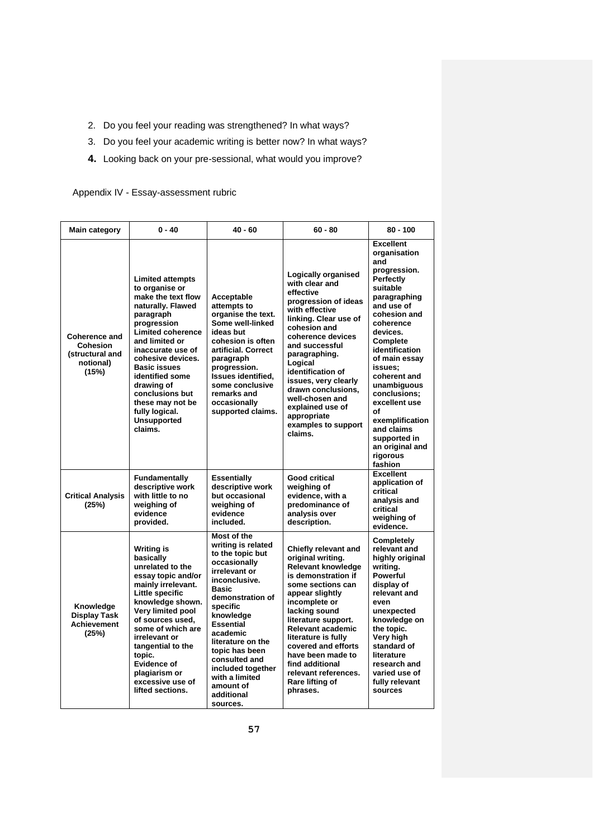- 2. Do you feel your reading was strengthened? In what ways?
- 3. Do you feel your academic writing is better now? In what ways?
- **4.** Looking back on your pre-sessional, what would you improve?

## Appendix IV - Essay-assessment rubric

| <b>Main category</b>                                                      | $0 - 40$                                                                                                                                                                                                                                                                                                                                                   | $40 - 60$                                                                                                                                                                                                                                                                                                                                  | $60 - 80$                                                                                                                                                                                                                                                                                                                                                           | $80 - 100$                                                                                                                                                                                                                                                                                                                                                                                |
|---------------------------------------------------------------------------|------------------------------------------------------------------------------------------------------------------------------------------------------------------------------------------------------------------------------------------------------------------------------------------------------------------------------------------------------------|--------------------------------------------------------------------------------------------------------------------------------------------------------------------------------------------------------------------------------------------------------------------------------------------------------------------------------------------|---------------------------------------------------------------------------------------------------------------------------------------------------------------------------------------------------------------------------------------------------------------------------------------------------------------------------------------------------------------------|-------------------------------------------------------------------------------------------------------------------------------------------------------------------------------------------------------------------------------------------------------------------------------------------------------------------------------------------------------------------------------------------|
| <b>Coherence and</b><br>Cohesion<br>(structural and<br>notional)<br>(15%) | <b>Limited attempts</b><br>to organise or<br>make the text flow<br>naturally. Flawed<br>paragraph<br>progression<br><b>Limited coherence</b><br>and limited or<br>inaccurate use of<br>cohesive devices.<br><b>Basic issues</b><br>identified some<br>drawing of<br>conclusions but<br>these may not be<br>fully logical.<br><b>Unsupported</b><br>claims. | Acceptable<br>attempts to<br>organise the text.<br>Some well-linked<br>ideas but<br>cohesion is often<br>artificial. Correct<br>paragraph<br>progression.<br>Issues identified,<br>some conclusive<br>remarks and<br>occasionally<br>supported claims.                                                                                     | Logically organised<br>with clear and<br>effective<br>progression of ideas<br>with effective<br>linking. Clear use of<br>cohesion and<br>coherence devices<br>and successful<br>paragraphing.<br>Logical<br>identification of<br>issues, very clearly<br>drawn conclusions,<br>well-chosen and<br>explained use of<br>appropriate<br>examples to support<br>claims. | <b>Excellent</b><br>organisation<br>and<br>progression.<br><b>Perfectly</b><br>suitable<br>paragraphing<br>and use of<br>cohesion and<br>coherence<br>devices.<br>Complete<br>identification<br>of main essay<br>issues:<br>coherent and<br>unambiguous<br>conclusions;<br>excellent use<br>οf<br>exemplification<br>and claims<br>supported in<br>an original and<br>rigorous<br>fashion |
| <b>Critical Analysis</b><br>(25%)                                         | <b>Fundamentally</b><br>descriptive work<br>with little to no<br>weighing of<br>evidence<br>provided.                                                                                                                                                                                                                                                      | <b>Essentially</b><br>descriptive work<br>but occasional<br>weighing of<br>evidence<br>included.                                                                                                                                                                                                                                           | Good critical<br>weighing of<br>evidence, with a<br>predominance of<br>analysis over<br>description.                                                                                                                                                                                                                                                                | <b>Excellent</b><br>application of<br>critical<br>analysis and<br>critical<br>weighing of<br>evidence.                                                                                                                                                                                                                                                                                    |
| Knowledge<br><b>Display Task</b><br><b>Achievement</b><br>(25%)           | <b>Writing is</b><br>basically<br>unrelated to the<br>essay topic and/or<br>mainly irrelevant.<br>Little specific<br>knowledge shown.<br><b>Very limited pool</b><br>of sources used.<br>some of which are<br>irrelevant or<br>tangential to the<br>topic.<br>Evidence of<br>plagiarism or<br>excessive use of<br>lifted sections.                         | Most of the<br>writing is related<br>to the topic but<br>occasionally<br>irrelevant or<br>inconclusive.<br><b>Basic</b><br>demonstration of<br>specific<br>knowledge<br><b>Essential</b><br>academic<br>literature on the<br>topic has been<br>consulted and<br>included together<br>with a limited<br>amount of<br>additional<br>sources. | Chiefly relevant and<br>original writing.<br><b>Relevant knowledge</b><br>is demonstration if<br>some sections can<br>appear slightly<br>incomplete or<br>lacking sound<br>literature support.<br>Relevant academic<br>literature is fully<br>covered and efforts<br>have been made to<br>find additional<br>relevant references.<br>Rare lifting of<br>phrases.    | Completely<br>relevant and<br>highly original<br>writina.<br><b>Powerful</b><br>display of<br>relevant and<br>even<br>unexpected<br>knowledge on<br>the topic.<br>Very high<br>standard of<br>literature<br>research and<br>varied use of<br>fully relevant<br>sources                                                                                                                    |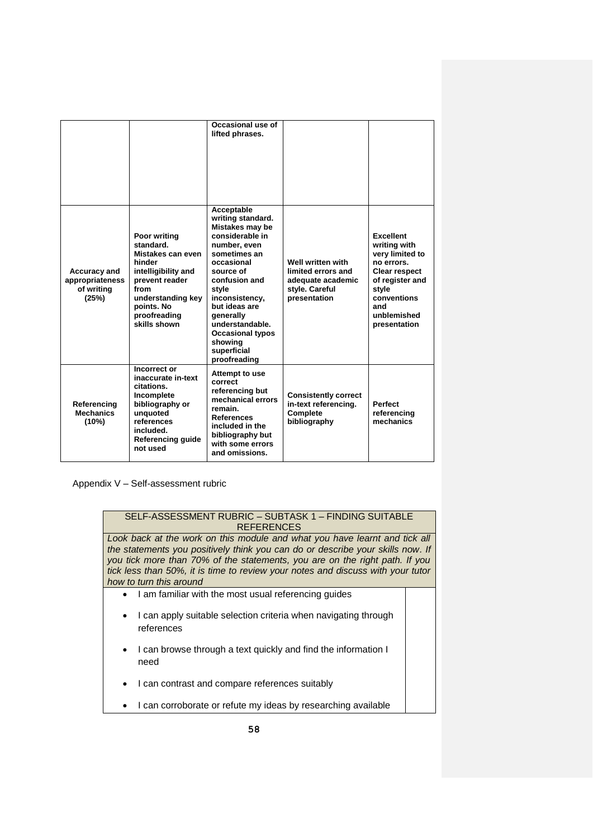|                                                               |                                                                                                                                                                              | Occasional use of<br>lifted phrases.                                                                                                                                                                                                                                                               |                                                                                                |                                                                                                                                                                            |
|---------------------------------------------------------------|------------------------------------------------------------------------------------------------------------------------------------------------------------------------------|----------------------------------------------------------------------------------------------------------------------------------------------------------------------------------------------------------------------------------------------------------------------------------------------------|------------------------------------------------------------------------------------------------|----------------------------------------------------------------------------------------------------------------------------------------------------------------------------|
|                                                               |                                                                                                                                                                              |                                                                                                                                                                                                                                                                                                    |                                                                                                |                                                                                                                                                                            |
| <b>Accuracy and</b><br>appropriateness<br>of writing<br>(25%) | Poor writing<br>standard.<br>Mistakes can even<br>hinder<br>intelligibility and<br>prevent reader<br>from<br>understanding key<br>points. No<br>proofreading<br>skills shown | Acceptable<br>writing standard.<br>Mistakes may be<br>considerable in<br>number, even<br>sometimes an<br>occasional<br>source of<br>confusion and<br>style<br>inconsistency,<br>but ideas are<br>generally<br>understandable.<br><b>Occasional typos</b><br>showing<br>superficial<br>proofreading | Well written with<br>limited errors and<br>adequate academic<br>style. Careful<br>presentation | <b>Excellent</b><br>writing with<br>very limited to<br>no errors.<br><b>Clear respect</b><br>of register and<br>style<br>conventions<br>and<br>unblemished<br>presentation |
| Referencing<br><b>Mechanics</b><br>(10%)                      | Incorrect or<br>inaccurate in-text<br>citations.<br>Incomplete<br>bibliography or<br>unquoted<br>references<br>included.<br>Referencing guide<br>not used                    | Attempt to use<br>correct<br>referencing but<br>mechanical errors<br>remain.<br><b>References</b><br>included in the<br>bibliography but<br>with some errors<br>and omissions.                                                                                                                     | <b>Consistently correct</b><br>in-text referencing.<br>Complete<br>bibliography                | <b>Perfect</b><br>referencing<br>mechanics                                                                                                                                 |

Appendix V – Self-assessment rubric

| SELF-ASSESSMENT RUBRIC - SUBTASK 1 - FINDING SUITABLE<br><b>REFERENCES</b>                                                                                                                                                                                                                                                                                |  |  |  |  |
|-----------------------------------------------------------------------------------------------------------------------------------------------------------------------------------------------------------------------------------------------------------------------------------------------------------------------------------------------------------|--|--|--|--|
| Look back at the work on this module and what you have learnt and tick all<br>the statements you positively think you can do or describe your skills now. If<br>you tick more than 70% of the statements, you are on the right path. If you<br>tick less than 50%, it is time to review your notes and discuss with your tutor<br>how to turn this around |  |  |  |  |
| I am familiar with the most usual referencing guides<br>$\bullet$                                                                                                                                                                                                                                                                                         |  |  |  |  |
| I can apply suitable selection criteria when navigating through<br>references                                                                                                                                                                                                                                                                             |  |  |  |  |
| I can browse through a text quickly and find the information I<br>$\bullet$<br>need                                                                                                                                                                                                                                                                       |  |  |  |  |
| I can contrast and compare references suitably                                                                                                                                                                                                                                                                                                            |  |  |  |  |
| I can corroborate or refute my ideas by researching available                                                                                                                                                                                                                                                                                             |  |  |  |  |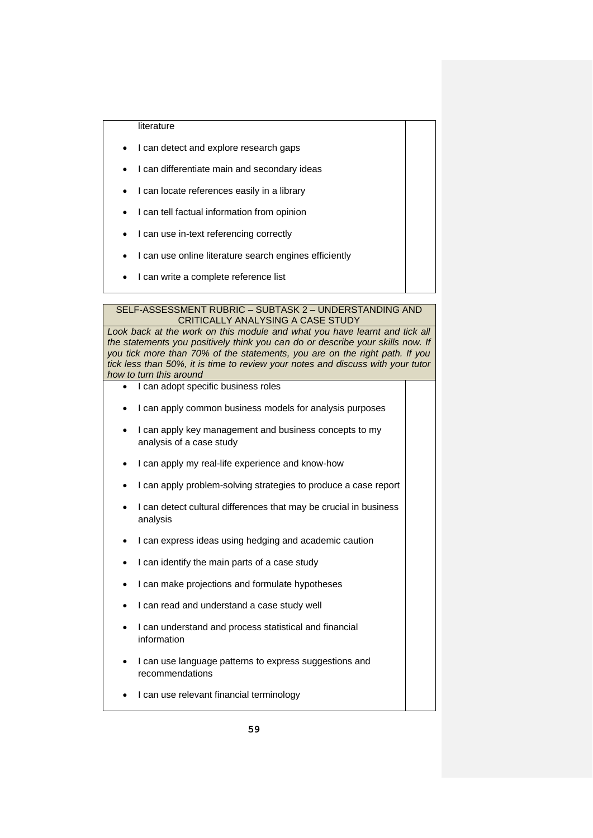#### literature

- I can detect and explore research gaps
- I can differentiate main and secondary ideas
- I can locate references easily in a library
- I can tell factual information from opinion
- I can use in-text referencing correctly
- I can use online literature search engines efficiently
- I can write a complete reference list

#### SELF-ASSESSMENT RUBRIC – SUBTASK 2 – UNDERSTANDING AND CRITICALLY ANALYSING A CASE STUDY

Look back at the work on this module and what you have learnt and tick all *the statements you positively think you can do or describe your skills now. If you tick more than 70% of the statements, you are on the right path. If you tick less than 50%, it is time to review your notes and discuss with your tutor how to turn this around*

- I can adopt specific business roles
- I can apply common business models for analysis purposes
- I can apply key management and business concepts to my analysis of a case study
- I can apply my real-life experience and know-how
- I can apply problem-solving strategies to produce a case report
- I can detect cultural differences that may be crucial in business analysis
- I can express ideas using hedging and academic caution
- I can identify the main parts of a case study
- I can make projections and formulate hypotheses
- I can read and understand a case study well
- I can understand and process statistical and financial information
- I can use language patterns to express suggestions and recommendations
- I can use relevant financial terminology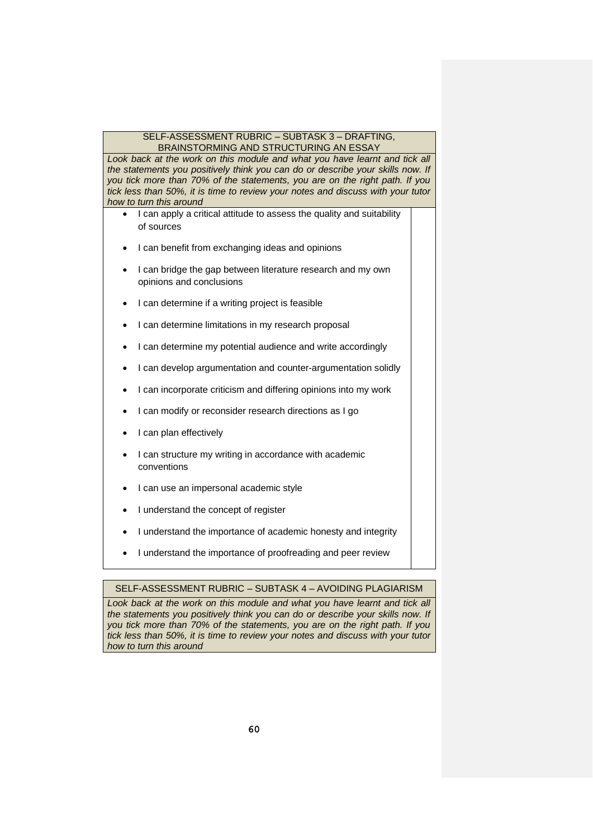#### SELF-ASSESSMENT RUBRIC – SUBTASK 3 – DRAFTING, BRAINSTORMING AND STRUCTURING AN ESSAY

Look back at the work on this module and what you have learnt and tick all *the statements you positively think you can do or describe your skills now. If you tick more than 70% of the statements, you are on the right path. If you tick less than 50%, it is time to review your notes and discuss with your tutor how to turn this around*

- I can apply a critical attitude to assess the quality and suitability of sources
- I can benefit from exchanging ideas and opinions
- I can bridge the gap between literature research and my own opinions and conclusions
- I can determine if a writing project is feasible
- I can determine limitations in my research proposal
- I can determine my potential audience and write accordingly
- I can develop argumentation and counter-argumentation solidly
- I can incorporate criticism and differing opinions into my work
- I can modify or reconsider research directions as I go
- I can plan effectively
- I can structure my writing in accordance with academic conventions
- I can use an impersonal academic style
- I understand the concept of register
- I understand the importance of academic honesty and integrity
- I understand the importance of proofreading and peer review

## SELF-ASSESSMENT RUBRIC – SUBTASK 4 – AVOIDING PLAGIARISM

Look back at the work on this module and what you have learnt and tick all the statements you positively think you can do or describe your skills now. If *you tick more than 70% of the statements, you are on the right path. If you tick less than 50%, it is time to review your notes and discuss with your tutor how to turn this around*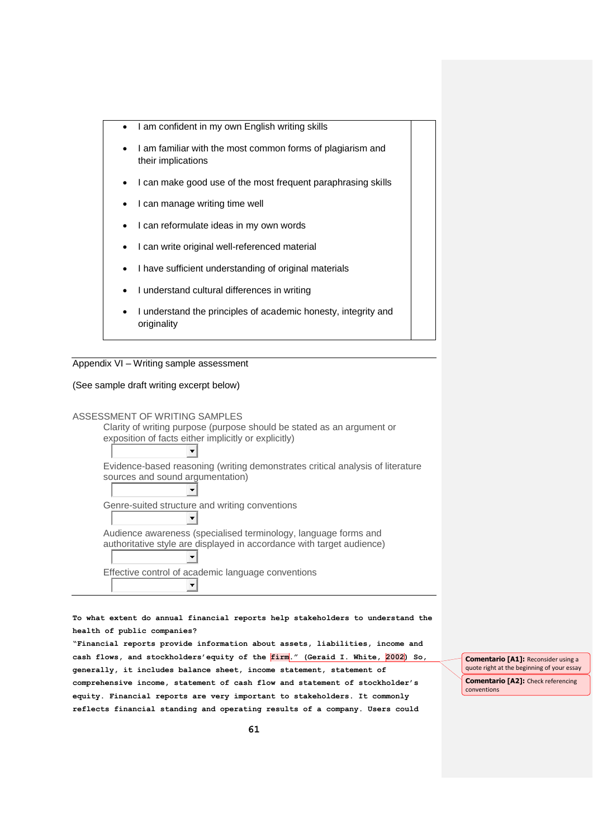- I am confident in my own English writing skills
- I am familiar with the most common forms of plagiarism and their implications
- I can make good use of the most frequent paraphrasing skills
- I can manage writing time well
- I can reformulate ideas in my own words
- I can write original well-referenced material
- I have sufficient understanding of original materials
- I understand cultural differences in writing
- I understand the principles of academic honesty, integrity and originality



#### (See sample draft writing excerpt below)



**To what extent do annual financial reports help stakeholders to understand the health of public companies?**

**"Financial reports provide information about assets, liabilities, income and cash flows, and stockholders'equity of the firm." (Geraid I. White, 2002) So, generally, it includes balance sheet, income statement, statement of comprehensive income, statement of cash flow and statement of stockholder's equity. Financial reports are very important to stakeholders. It commonly reflects financial standing and operating results of a company. Users could** 

**Comentario [A1]:** Reconsider using a quote right at the beginning of your essay

**Comentario [A2]:** Check referencing conventions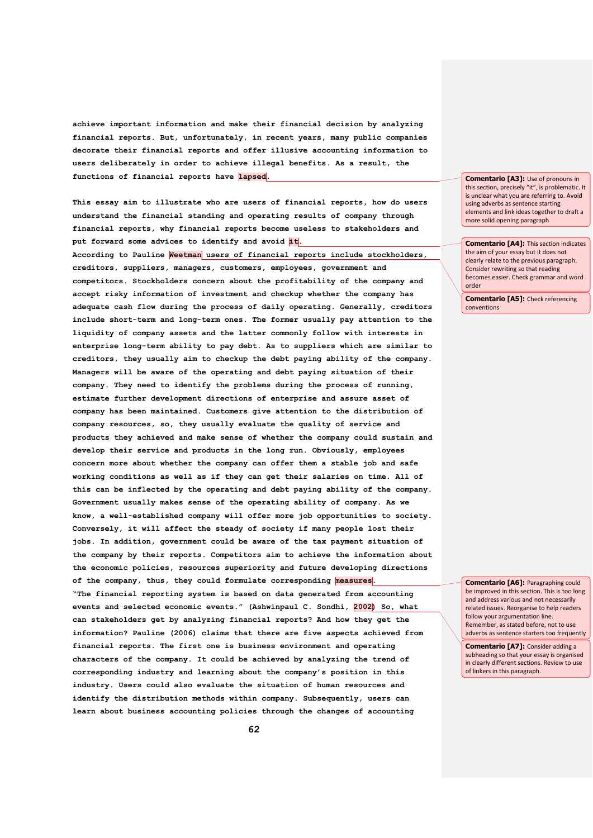**achieve important information and make their financial decision by analyzing financial reports. But, unfortunately, in recent years, many public companies decorate their financial reports and offer illusive accounting information to users deliberately in order to achieve illegal benefits. As a result, the functions of financial reports have lapsed.**

**This essay aim to illustrate who are users of financial reports, how do users understand the financial standing and operating results of company through financial reports, why financial reports become useless to stakeholders and**  put forward some advices to identify and avoid it.

**According to Pauline Weetman users of financial reports include stockholders, creditors, suppliers, managers, customers, employees, government and competitors. Stockholders concern about the profitability of the company and accept risky information of investment and checkup whether the company has adequate cash flow during the process of daily operating. Generally, creditors include short-term and long-term ones. The former usually pay attention to the liquidity of company assets and the latter commonly follow with interests in enterprise long-term ability to pay debt. As to suppliers which are similar to creditors, they usually aim to checkup the debt paying ability of the company. Managers will be aware of the operating and debt paying situation of their company. They need to identify the problems during the process of running, estimate further development directions of enterprise and assure asset of company has been maintained. Customers give attention to the distribution of company resources, so, they usually evaluate the quality of service and products they achieved and make sense of whether the company could sustain and develop their service and products in the long run. Obviously, employees concern more about whether the company can offer them a stable job and safe working conditions as well as if they can get their salaries on time. All of this can be inflected by the operating and debt paying ability of the company. Government usually makes sense of the operating ability of company. As we know, a well-established company will offer more job opportunities to society. Conversely, it will affect the steady of society if many people lost their jobs. In addition, government could be aware of the tax payment situation of the company by their reports. Competitors aim to achieve the information about the economic policies, resources superiority and future developing directions of the company, thus, they could formulate corresponding measures. "The financial reporting system is based on data generated from accounting events and selected economic events." (Ashwinpaul C. Sondhi, 2002) So, what can stakeholders get by analyzing financial reports? And how they get the information? Pauline (2006) claims that there are five aspects achieved from financial reports. The first one is business environment and operating characters of the company. It could be achieved by analyzing the trend of corresponding industry and learning about the company's position in this industry. Users could also evaluate the situation of human resources and identify the distribution methods within company. Subsequently, users can learn about business accounting policies through the changes of accounting** 

**Comentario [A3]:** Use of pronouns in this section, precisely "it", is problematic. It is unclear what you are referring to. Avoid using adverbs as sentence starting elements and link ideas together to draft a more solid opening paragraph

**Comentario [A4]:** This section indicates the aim of your essay but it does not clearly relate to the previous paragraph. Consider rewriting so that reading becomes easier. Check grammar and word order

**Comentario [A5]:** Check referencing conventions

**Comentario [A6]:** Paragraphing could be improved in this section. This is too long and address various and not necessarily related issues. Reorganise to help readers follow your argumentation line. Remember, as stated before, not to use adverbs as sentence starters too frequently

**Comentario [A7]:** Consider adding a subheading so that your essay is organised in clearly different sections. Review to use of linkers in this paragraph.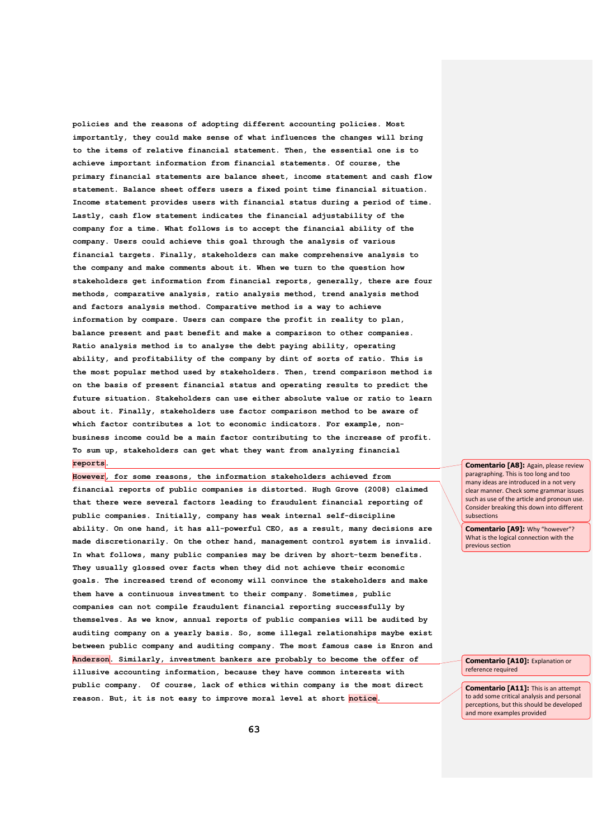**policies and the reasons of adopting different accounting policies. Most importantly, they could make sense of what influences the changes will bring to the items of relative financial statement. Then, the essential one is to achieve important information from financial statements. Of course, the primary financial statements are balance sheet, income statement and cash flow statement. Balance sheet offers users a fixed point time financial situation. Income statement provides users with financial status during a period of time. Lastly, cash flow statement indicates the financial adjustability of the company for a time. What follows is to accept the financial ability of the company. Users could achieve this goal through the analysis of various financial targets. Finally, stakeholders can make comprehensive analysis to the company and make comments about it. When we turn to the question how stakeholders get information from financial reports, generally, there are four methods, comparative analysis, ratio analysis method, trend analysis method and factors analysis method. Comparative method is a way to achieve information by compare. Users can compare the profit in reality to plan, balance present and past benefit and make a comparison to other companies. Ratio analysis method is to analyse the debt paying ability, operating ability, and profitability of the company by dint of sorts of ratio. This is the most popular method used by stakeholders. Then, trend comparison method is on the basis of present financial status and operating results to predict the future situation. Stakeholders can use either absolute value or ratio to learn about it. Finally, stakeholders use factor comparison method to be aware of which factor contributes a lot to economic indicators. For example, nonbusiness income could be a main factor contributing to the increase of profit. To sum up, stakeholders can get what they want from analyzing financial reports.**

**However, for some reasons, the information stakeholders achieved from financial reports of public companies is distorted. Hugh Grove (2008) claimed that there were several factors leading to fraudulent financial reporting of public companies. Initially, company has weak internal self-discipline ability. On one hand, it has all-powerful CEO, as a result, many decisions are made discretionarily. On the other hand, management control system is invalid. In what follows, many public companies may be driven by short-term benefits. They usually glossed over facts when they did not achieve their economic goals. The increased trend of economy will convince the stakeholders and make them have a continuous investment to their company. Sometimes, public companies can not compile fraudulent financial reporting successfully by themselves. As we know, annual reports of public companies will be audited by auditing company on a yearly basis. So, some illegal relationships maybe exist between public company and auditing company. The most famous case is Enron and Anderson. Similarly, investment bankers are probably to become the offer of illusive accounting information, because they have common interests with public company. Of course, lack of ethics within company is the most direct reason. But, it is not easy to improve moral level at short notice.** 

**Comentario [A8]:** Again, please review paragraphing. This is too long and too many ideas are introduced in a not very clear manner. Check some grammar issues such as use of the article and pronoun use. Consider breaking this down into different subsections

**Comentario [A9]:** Why "however"? What is the logical connection with the previous section

**Comentario [A10]:** Explanation or reference required

**Comentario [A11]:** This is an attempt to add some critical analysis and personal perceptions, but this should be developed and more examples provided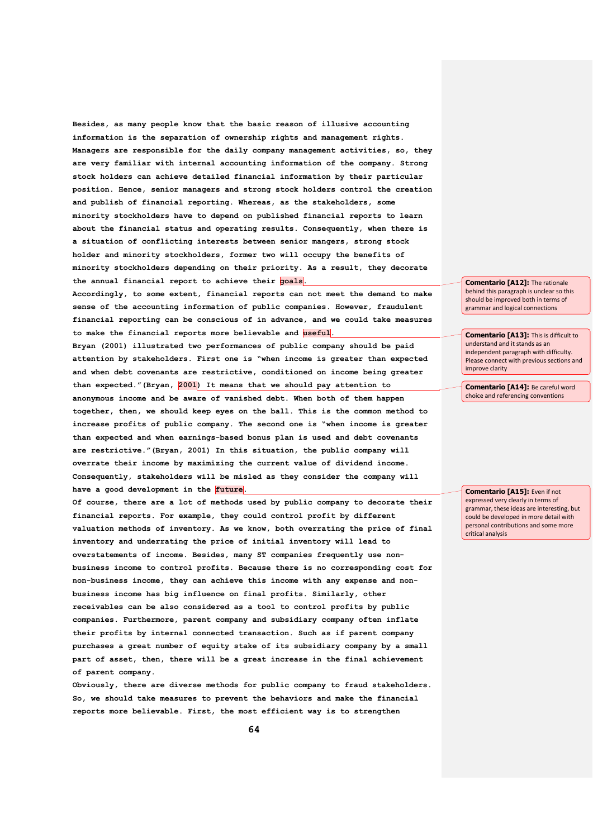**Besides, as many people know that the basic reason of illusive accounting information is the separation of ownership rights and management rights. Managers are responsible for the daily company management activities, so, they are very familiar with internal accounting information of the company. Strong stock holders can achieve detailed financial information by their particular position. Hence, senior managers and strong stock holders control the creation and publish of financial reporting. Whereas, as the stakeholders, some minority stockholders have to depend on published financial reports to learn about the financial status and operating results. Consequently, when there is a situation of conflicting interests between senior mangers, strong stock holder and minority stockholders, former two will occupy the benefits of minority stockholders depending on their priority. As a result, they decorate the annual financial report to achieve their goals.**

**Accordingly, to some extent, financial reports can not meet the demand to make sense of the accounting information of public companies. However, fraudulent financial reporting can be conscious of in advance, and we could take measures to make the financial reports more believable and useful.**

**Bryan (2001) illustrated two performances of public company should be paid attention by stakeholders. First one is "when income is greater than expected and when debt covenants are restrictive, conditioned on income being greater than expected."(Bryan, 2001) It means that we should pay attention to anonymous income and be aware of vanished debt. When both of them happen together, then, we should keep eyes on the ball. This is the common method to increase profits of public company. The second one is "when income is greater than expected and when earnings-based bonus plan is used and debt covenants are restrictive."(Bryan, 2001) In this situation, the public company will overrate their income by maximizing the current value of dividend income. Consequently, stakeholders will be misled as they consider the company will**  have a good development in the *future*.

**Of course, there are a lot of methods used by public company to decorate their financial reports. For example, they could control profit by different valuation methods of inventory. As we know, both overrating the price of final inventory and underrating the price of initial inventory will lead to overstatements of income. Besides, many ST companies frequently use nonbusiness income to control profits. Because there is no corresponding cost for non-business income, they can achieve this income with any expense and nonbusiness income has big influence on final profits. Similarly, other receivables can be also considered as a tool to control profits by public companies. Furthermore, parent company and subsidiary company often inflate their profits by internal connected transaction. Such as if parent company purchases a great number of equity stake of its subsidiary company by a small part of asset, then, there will be a great increase in the final achievement of parent company.**

**Obviously, there are diverse methods for public company to fraud stakeholders. So, we should take measures to prevent the behaviors and make the financial reports more believable. First, the most efficient way is to strengthen** 

**Comentario [A12]:** The rationale behind this paragraph is unclear so this should be improved both in terms of grammar and logical connections

**Comentario [A13]:** This is difficult to understand and it stands as an independent paragraph with difficulty. Please connect with previous sections and improve clarity

**Comentario [A14]:** Be careful word choice and referencing conventions

**Comentario [A15]:** Even if not expressed very clearly in terms of grammar, these ideas are interesting, but could be developed in more detail with personal contributions and some more critical analysis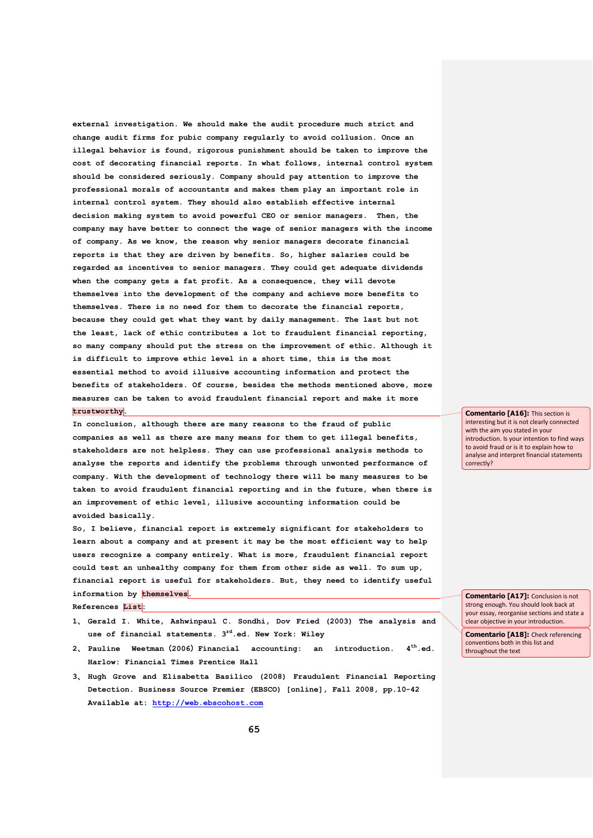**external investigation. We should make the audit procedure much strict and change audit firms for pubic company regularly to avoid collusion. Once an illegal behavior is found, rigorous punishment should be taken to improve the cost of decorating financial reports. In what follows, internal control system should be considered seriously. Company should pay attention to improve the professional morals of accountants and makes them play an important role in internal control system. They should also establish effective internal decision making system to avoid powerful CEO or senior managers. Then, the company may have better to connect the wage of senior managers with the income of company. As we know, the reason why senior managers decorate financial reports is that they are driven by benefits. So, higher salaries could be regarded as incentives to senior managers. They could get adequate dividends when the company gets a fat profit. As a consequence, they will devote themselves into the development of the company and achieve more benefits to themselves. There is no need for them to decorate the financial reports, because they could get what they want by daily management. The last but not the least, lack of ethic contributes a lot to fraudulent financial reporting, so many company should put the stress on the improvement of ethic. Although it is difficult to improve ethic level in a short time, this is the most essential method to avoid illusive accounting information and protect the benefits of stakeholders. Of course, besides the methods mentioned above, more measures can be taken to avoid fraudulent financial report and make it more trustworthy.**

**In conclusion, although there are many reasons to the fraud of public companies as well as there are many means for them to get illegal benefits, stakeholders are not helpless. They can use professional analysis methods to analyse the reports and identify the problems through unwonted performance of company. With the development of technology there will be many measures to be taken to avoid fraudulent financial reporting and in the future, when there is an improvement of ethic level, illusive accounting information could be avoided basically.**

**So, I believe, financial report is extremely significant for stakeholders to learn about a company and at present it may be the most efficient way to help users recognize a company entirely. What is more, fraudulent financial report could test an unhealthy company for them from other side as well. To sum up, financial report is useful for stakeholders. But, they need to identify useful**  information by themselves. **References List:**

- **1**、 **Gerald I. White, Ashwinpaul C. Sondhi, Dov Fried (2003) The analysis and use of financial statements. 3rd.ed. New York: Wiley**
- **2**、 **Pauline Weetman**(**2006**)**Financial accounting: an introduction. 4th.ed. Harlow: Financial Times Prentice Hall**
- **3**、 **Hugh Grove and Elisabetta Basilico (2008) Fraudulent Financial Reporting Detection. Business Source Premier (EBSCO) [online], Fall 2008, pp.10-42 Available at: [http://web.ebscohost.com](http://web.ebscohost.com/)**

**Comentario [A16]:** This section is interesting but it is not clearly connected with the aim you stated in your introduction. Is your intention to find ways to avoid fraud or is it to explain how to analyse and interpret financial statements correctly?

**Comentario [A17]:** Conclusion is not strong enough. You should look back at your essay, reorganise sections and state a clear objective in your introduction.

**Comentario [A18]:** Check referencing conventions both in this list and throughout the text